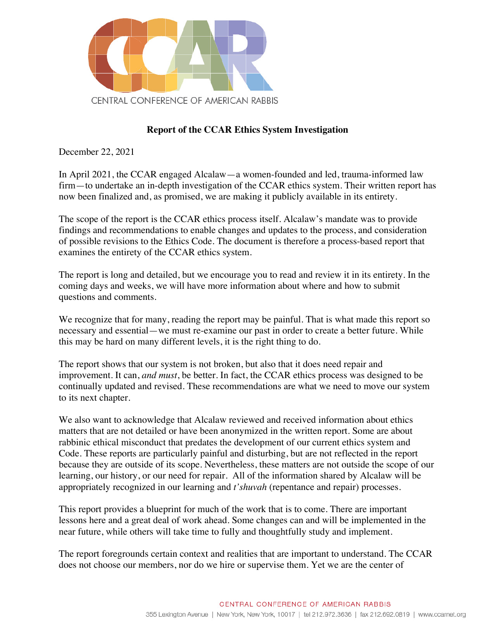

# **Report of the CCAR Ethics System Investigation**

December 22, 2021

In April 2021, the CCAR engaged Alcalaw—a women-founded and led, trauma-informed law firm—to undertake an in-depth investigation of the CCAR ethics system. Their written report has now been finalized and, as promised, we are making it publicly available in its entirety.

The scope of the report is the CCAR ethics process itself. Alcalaw's mandate was to provide findings and recommendations to enable changes and updates to the process, and consideration of possible revisions to the Ethics Code. The document is therefore a process-based report that examines the entirety of the CCAR ethics system.

The report is long and detailed, but we encourage you to read and review it in its entirety. In the coming days and weeks, we will have more information about where and how to submit questions and comments.

We recognize that for many, reading the report may be painful. That is what made this report so necessary and essential—we must re-examine our past in order to create a better future. While this may be hard on many different levels, it is the right thing to do.

The report shows that our system is not broken, but also that it does need repair and improvement. It can, *and must*, be better. In fact, the CCAR ethics process was designed to be continually updated and revised. These recommendations are what we need to move our system to its next chapter.

We also want to acknowledge that Alcalaw reviewed and received information about ethics matters that are not detailed or have been anonymized in the written report. Some are about rabbinic ethical misconduct that predates the development of our current ethics system and Code. These reports are particularly painful and disturbing, but are not reflected in the report because they are outside of its scope. Nevertheless, these matters are not outside the scope of our learning, our history, or our need for repair. All of the information shared by Alcalaw will be appropriately recognized in our learning and *t'shuvah* (repentance and repair) processes.

This report provides a blueprint for much of the work that is to come. There are important lessons here and a great deal of work ahead. Some changes can and will be implemented in the near future, while others will take time to fully and thoughtfully study and implement.

The report foregrounds certain context and realities that are important to understand. The CCAR does not choose our members, nor do we hire or supervise them. Yet we are the center of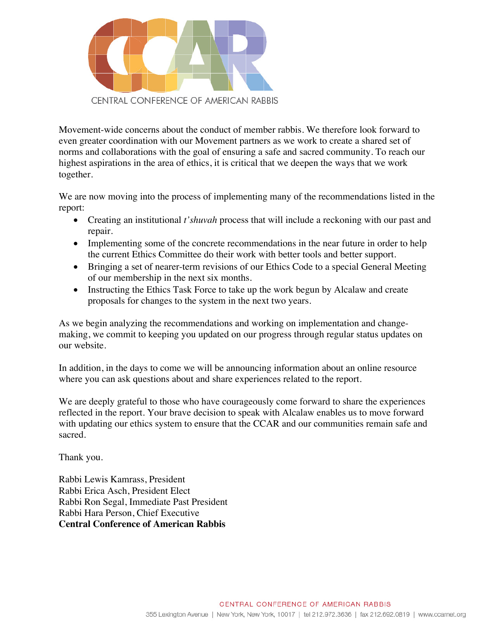

Movement-wide concerns about the conduct of member rabbis. We therefore look forward to even greater coordination with our Movement partners as we work to create a shared set of norms and collaborations with the goal of ensuring a safe and sacred community. To reach our highest aspirations in the area of ethics, it is critical that we deepen the ways that we work together.

We are now moving into the process of implementing many of the recommendations listed in the report:

- Creating an institutional *t'shuvah* process that will include a reckoning with our past and repair.
- Implementing some of the concrete recommendations in the near future in order to help the current Ethics Committee do their work with better tools and better support.
- Bringing a set of nearer-term revisions of our Ethics Code to a special General Meeting of our membership in the next six months.
- Instructing the Ethics Task Force to take up the work begun by Alcalaw and create proposals for changes to the system in the next two years.

As we begin analyzing the recommendations and working on implementation and changemaking, we commit to keeping you updated on our progress through regular status updates on our website.

In addition, in the days to come we will be announcing information about an online resource where you can ask questions about and share experiences related to the report.

We are deeply grateful to those who have courageously come forward to share the experiences reflected in the report. Your brave decision to speak with Alcalaw enables us to move forward with updating our ethics system to ensure that the CCAR and our communities remain safe and sacred.

Thank you.

Rabbi Lewis Kamrass, President Rabbi Erica Asch, President Elect Rabbi Ron Segal, Immediate Past President Rabbi Hara Person, Chief Executive **Central Conference of American Rabbis**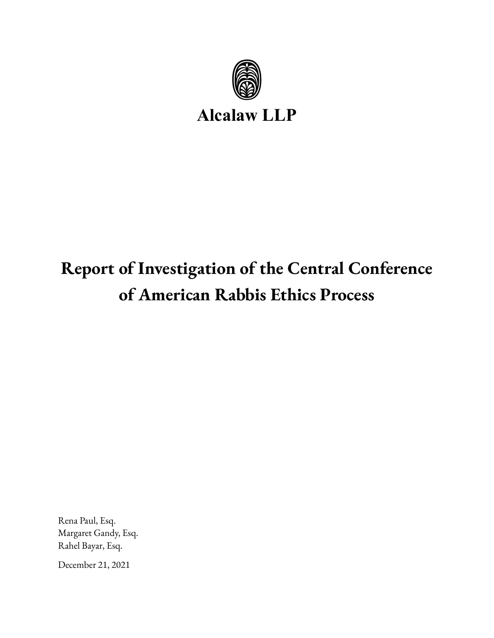

**Alcalaw LLP**

# **Report of Investigation of the Central Conference of American Rabbis Ethics Process**

Rena Paul, Esq. Margaret Gandy, Esq. Rahel Bayar, Esq.

December 21, 2021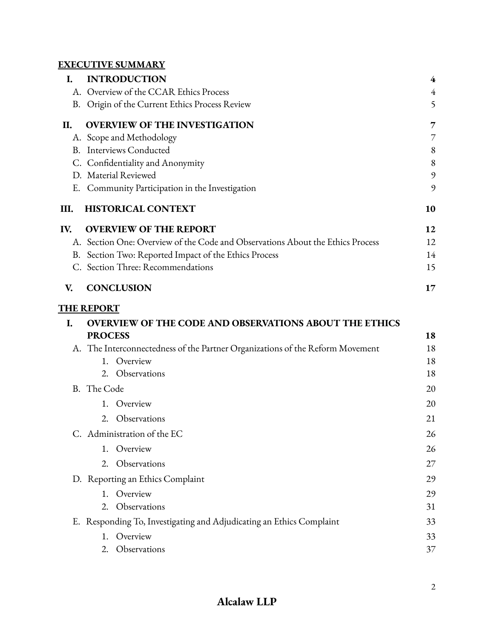# **EXECUTIVE SUMMARY**

| I.  | <b>INTRODUCTION</b>                                                            | 4              |
|-----|--------------------------------------------------------------------------------|----------------|
|     | A. Overview of the CCAR Ethics Process                                         | $\overline{4}$ |
|     | B. Origin of the Current Ethics Process Review                                 | 5              |
| II. | <b>OVERVIEW OF THE INVESTIGATION</b>                                           | 7              |
|     | A. Scope and Methodology                                                       | 7              |
|     | <b>B.</b> Interviews Conducted                                                 | 8              |
|     | C. Confidentiality and Anonymity                                               | 8              |
|     | D. Material Reviewed                                                           | 9              |
|     | E. Community Participation in the Investigation                                | 9              |
| Ш.  | <b>HISTORICAL CONTEXT</b>                                                      | 10             |
| IV. | <b>OVERVIEW OF THE REPORT</b>                                                  | 12             |
|     | A. Section One: Overview of the Code and Observations About the Ethics Process | 12             |
|     | B. Section Two: Reported Impact of the Ethics Process                          | 14             |
|     | C. Section Three: Recommendations                                              | 15             |
| V.  | <b>CONCLUSION</b>                                                              | 17             |
|     | <b>THE REPORT</b>                                                              |                |
| I.  | <b>OVERVIEW OF THE CODE AND OBSERVATIONS ABOUT THE ETHICS</b>                  |                |
|     | <b>PROCESS</b>                                                                 | 18             |
|     | A. The Interconnectedness of the Partner Organizations of the Reform Movement  | 18             |
|     | Overview<br>$1_{-}$                                                            | 18             |
|     | 2. Observations                                                                | 18             |
|     | B. The Code                                                                    | 20             |
|     | Overview<br>1.                                                                 | 20             |
|     | 2. Observations                                                                | 21             |
|     | C. Administration of the EC                                                    | 26             |
|     | Overview<br>1.                                                                 | 26             |
|     | Observations<br>2.                                                             | 27             |
|     | D. Reporting an Ethics Complaint                                               | 29             |
|     | Overview<br>$1_{-}$                                                            | 29             |
|     | 2. Observations                                                                | 31             |
|     | E. Responding To, Investigating and Adjudicating an Ethics Complaint           | 33             |
|     | Overview<br>1.                                                                 | 33             |
|     | Observations<br>2.                                                             | 37             |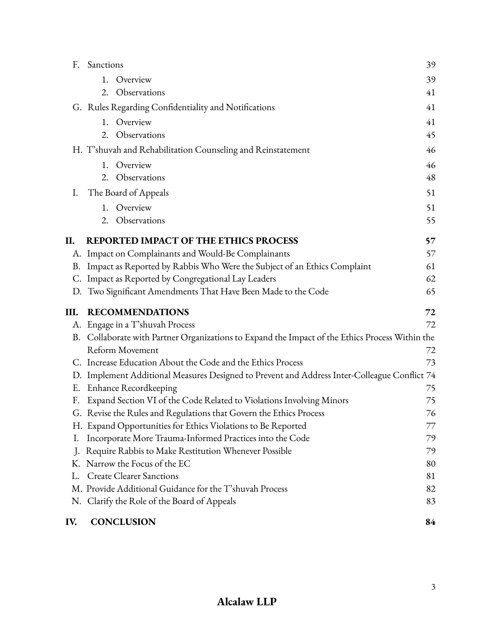| IV. | <b>CONCLUSION</b>                                                                               | 84 |
|-----|-------------------------------------------------------------------------------------------------|----|
|     | N. Clarify the Role of the Board of Appeals                                                     | 83 |
|     | M. Provide Additional Guidance for the T'shuvah Process                                         | 82 |
| L.  | <b>Create Clearer Sanctions</b>                                                                 | 81 |
| Κ.  | Narrow the Focus of the EC                                                                      | 80 |
| J.  | Require Rabbis to Make Restitution Whenever Possible                                            | 79 |
| I.  | Incorporate More Trauma-Informed Practices into the Code                                        | 79 |
|     | H. Expand Opportunities for Ethics Violations to Be Reported                                    | 77 |
|     | G. Revise the Rules and Regulations that Govern the Ethics Process                              | 76 |
| F.  | Expand Section VI of the Code Related to Violations Involving Minors                            | 75 |
| Ε.  | Enhance Recordkeeping                                                                           | 75 |
|     | D. Implement Additional Measures Designed to Prevent and Address Inter-Colleague Conflict 74    |    |
|     | C. Increase Education About the Code and the Ethics Process                                     | 73 |
|     | <b>Reform Movement</b>                                                                          | 72 |
|     | B. Collaborate with Partner Organizations to Expand the Impact of the Ethics Process Within the |    |
| А.  | Engage in a T'shuvah Process                                                                    | 72 |
| Ш.  | <b>RECOMMENDATIONS</b>                                                                          | 72 |
| D.  | Two Significant Amendments That Have Been Made to the Code                                      | 65 |
| C.  | Impact as Reported by Congregational Lay Leaders                                                | 62 |
| В.  | Impact as Reported by Rabbis Who Were the Subject of an Ethics Complaint                        | 61 |
|     | A. Impact on Complainants and Would-Be Complainants                                             | 57 |
| П.  | <b>REPORTED IMPACT OF THE ETHICS PROCESS</b>                                                    | 57 |
|     | 2. Observations                                                                                 | 55 |
|     | 1. Overview                                                                                     | 51 |
| I.  | The Board of Appeals                                                                            | 51 |
|     | Observations<br>2.                                                                              | 48 |
|     | Overview<br>1.                                                                                  | 46 |
|     | H. T'shuvah and Rehabilitation Counseling and Reinstatement                                     | 46 |
|     | Observations<br>2.                                                                              | 45 |
|     | 1. Overview                                                                                     | 41 |
|     | G. Rules Regarding Confidentiality and Notifications                                            | 41 |
|     | 2. Observations                                                                                 | 41 |
|     | Overview<br>1.                                                                                  | 39 |
|     | F. Sanctions                                                                                    | 39 |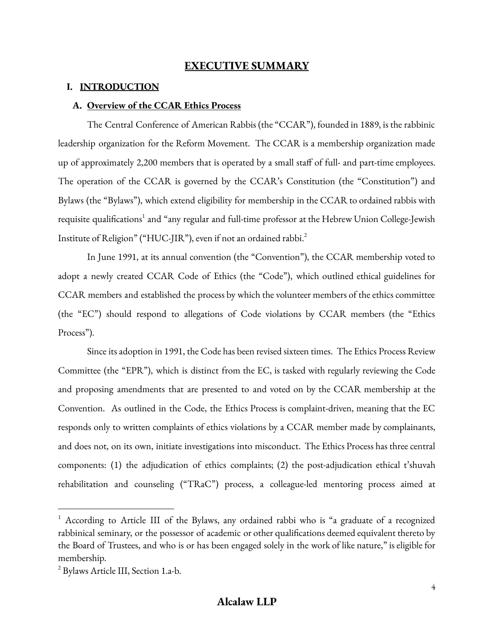# **EXECUTIVE SUMMARY**

#### **I. INTRODUCTION**

#### **A. Overview of the CCAR Ethics Process**

The Central Conference of American Rabbis (the "CCAR"), founded in 1889, is the rabbinic leadership organization for the Reform Movement. The CCAR is a membership organization made up of approximately 2,200 members that is operated by a small staff of full- and part-time employees. The operation of the CCAR is governed by the CCAR's Constitution (the "Constitution") and Bylaws (the "Bylaws"), which extend eligibility for membership in the CCAR to ordained rabbis with requisite qualifications<sup>1</sup> and "any regular and full-time professor at the Hebrew Union College-Jewish Institute of Religion" ("HUC-JIR"), even if not an ordained rabbi. 2

In June 1991, at its annual convention (the "Convention"), the CCAR membership voted to adopt a newly created CCAR Code of Ethics (the "Code"), which outlined ethical guidelines for CCAR members and established the process by which the volunteer members of the ethics committee (the "EC") should respond to allegations of Code violations by CCAR members (the "Ethics Process").

Since its adoption in 1991, the Code has been revised sixteen times. The Ethics Process Review Committee (the "EPR"), which is distinct from the EC, is tasked with regularly reviewing the Code and proposing amendments that are presented to and voted on by the CCAR membership at the Convention. As outlined in the Code, the Ethics Process is complaint-driven, meaning that the EC responds only to written complaints of ethics violations by a CCAR member made by complainants, and does not, on its own, initiate investigations into misconduct. The Ethics Process has three central components: (1) the adjudication of ethics complaints; (2) the post-adjudication ethical t'shuvah rehabilitation and counseling ("TRaC") process, a colleague-led mentoring process aimed at

<sup>&</sup>lt;sup>1</sup> According to Article III of the Bylaws, any ordained rabbi who is "a graduate of a recognized rabbinical seminary, or the possessor of academic or other qualifications deemed equivalent thereto by the Board of Trustees, and who is or has been engaged solely in the work of like nature," is eligible for membership.

<sup>&</sup>lt;sup>2</sup> Bylaws Article III, Section 1.a-b.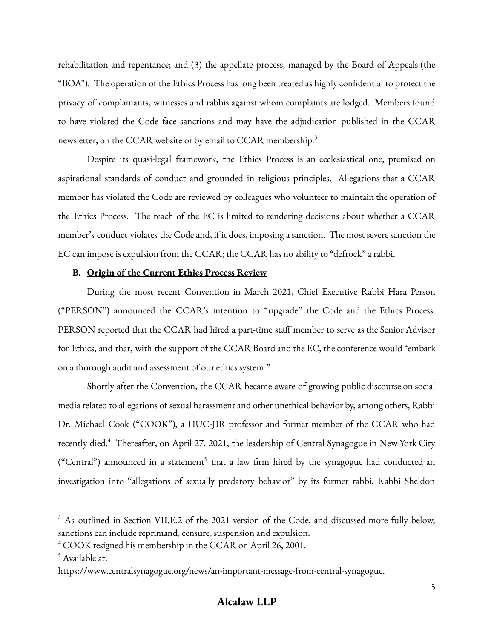rehabilitation and repentance; and (3) the appellate process, managed by the Board of Appeals (the "BOA"). The operation of the Ethics Process has long been treated as highly confidential to protect the privacy of complainants, witnesses and rabbis against whom complaints are lodged. Members found to have violated the Code face sanctions and may have the adjudication published in the CCAR newsletter, on the CCAR website or by email to CCAR membership.<sup>3</sup>

Despite its quasi-legal framework, the Ethics Process is an ecclesiastical one, premised on aspirational standards of conduct and grounded in religious principles. Allegations that a CCAR member has violated the Code are reviewed by colleagues who volunteer to maintain the operation of the Ethics Process. The reach of the EC is limited to rendering decisions about whether a CCAR member's conduct violates the Code and, if it does, imposing a sanction. The most severe sanction the EC can impose is expulsion from the CCAR; the CCAR has no ability to "defrock" a rabbi.

#### **B. Origin of the Current Ethics Process Review**

During the most recent Convention in March 2021, Chief Executive Rabbi Hara Person ("PERSON") announced the CCAR's intention to "upgrade" the Code and the Ethics Process. PERSON reported that the CCAR had hired a part-time staff member to serve as the Senior Advisor for Ethics, and that, with the support of the CCAR Board and the EC, the conference would "embark on a thorough audit and assessment of our ethics system."

Shortly after the Convention, the CCAR became aware of growing public discourse on social media related to allegations of sexual harassment and other unethical behavior by, among others, Rabbi Dr. Michael Cook ("COOK"), a HUC-JIR professor and former member of the CCAR who had recently died.<sup>4</sup> Thereafter, on April 27, 2021, the leadership of Central Synagogue in New York City ("Central") announced in a statement<sup>5</sup> that a law firm hired by the synagogue had conducted an investigation into "allegations of sexually predatory behavior" by its former rabbi, Rabbi Sheldon

<sup>&</sup>lt;sup>3</sup> As outlined in Section VII.E.2 of the 2021 version of the Code, and discussed more fully below, sanctions can include reprimand, censure, suspension and expulsion.

<sup>4</sup> COOK resigned his membership in the CCAR on April 26, 2001.

<sup>5</sup> Available at:

https://www.centralsynagogue.org/news/an-important-message-from-central-synagogue.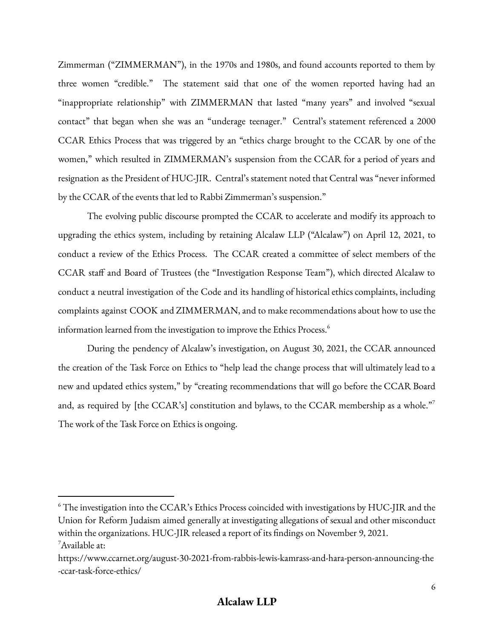Zimmerman ("ZIMMERMAN"), in the 1970s and 1980s, and found accounts reported to them by three women "credible." The statement said that one of the women reported having had an "inappropriate relationship" with ZIMMERMAN that lasted "many years" and involved "sexual contact" that began when she was an "underage teenager." Central's statement referenced a 2000 CCAR Ethics Process that was triggered by an "ethics charge brought to the CCAR by one of the women," which resulted in ZIMMERMAN's suspension from the CCAR for a period of years and resignation as the President of HUC-JIR. Central's statement noted that Central was "never informed by the CCAR of the events that led to Rabbi Zimmerman's suspension."

The evolving public discourse prompted the CCAR to accelerate and modify its approach to upgrading the ethics system, including by retaining Alcalaw LLP ("Alcalaw") on April 12, 2021, to conduct a review of the Ethics Process. The CCAR created a committee of select members of the CCAR staff and Board of Trustees (the "Investigation Response Team"), which directed Alcalaw to conduct a neutral investigation of the Code and its handling of historical ethics complaints, including complaints against COOK and ZIMMERMAN, and to make recommendations about how to use the information learned from the investigation to improve the Ethics Process. 6

During the pendency of Alcalaw's investigation, on August 30, 2021, the CCAR announced the creation of the Task Force on Ethics to "help lead the change process that will ultimately lead to a new and updated ethics system," by "creating recommendations that will go before the CCAR Board and, as required by [the CCAR's] constitution and bylaws, to the CCAR membership as a whole."<sup>7</sup> The work of the Task Force on Ethics is ongoing.

 $^7$ Available at:  $^6$  The investigation into the CCAR's Ethics Process coincided with investigations by HUC-JIR and the Union for Reform Judaism aimed generally at investigating allegations of sexual and other misconduct within the organizations. HUC-JIR released a report of its findings on November 9, 2021.

https://www.ccarnet.org/august-30-2021-from-rabbis-lewis-kamrass-and-hara-person-announcing-the -ccar-task-force-ethics/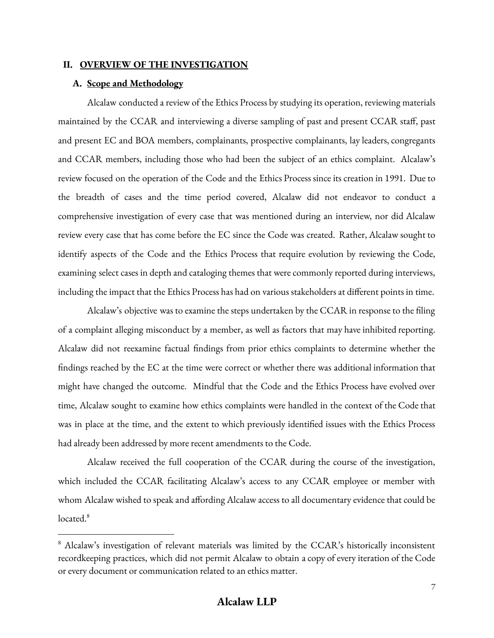#### **II. OVERVIEW OF THE INVESTIGATION**

#### **A. Scope and Methodology**

Alcalaw conducted a review of the Ethics Process by studying its operation, reviewing materials maintained by the CCAR and interviewing a diverse sampling of past and present CCAR staff, past and present EC and BOA members, complainants, prospective complainants, lay leaders, congregants and CCAR members, including those who had been the subject of an ethics complaint. Alcalaw's review focused on the operation of the Code and the Ethics Process since its creation in 1991. Due to the breadth of cases and the time period covered, Alcalaw did not endeavor to conduct a comprehensive investigation of every case that was mentioned during an interview, nor did Alcalaw review every case that has come before the EC since the Code was created. Rather, Alcalaw sought to identify aspects of the Code and the Ethics Process that require evolution by reviewing the Code, examining select cases in depth and cataloging themes that were commonly reported during interviews, including the impact that the Ethics Process has had on various stakeholders at different points in time.

Alcalaw's objective was to examine the steps undertaken by the CCAR in response to the filing of a complaint alleging misconduct by a member, as well as factors that may have inhibited reporting. Alcalaw did not reexamine factual findings from prior ethics complaints to determine whether the findings reached by the EC at the time were correct or whether there was additional information that might have changed the outcome. Mindful that the Code and the Ethics Process have evolved over time, Alcalaw sought to examine how ethics complaints were handled in the context of the Code that was in place at the time, and the extent to which previously identified issues with the Ethics Process had already been addressed by more recent amendments to the Code.

Alcalaw received the full cooperation of the CCAR during the course of the investigation, which included the CCAR facilitating Alcalaw's access to any CCAR employee or member with whom Alcalaw wished to speak and affording Alcalaw access to all documentary evidence that could be located.<sup>8</sup>

<sup>&</sup>lt;sup>8</sup> Alcalaw's investigation of relevant materials was limited by the CCAR's historically inconsistent recordkeeping practices, which did not permit Alcalaw to obtain a copy of every iteration of the Code or every document or communication related to an ethics matter.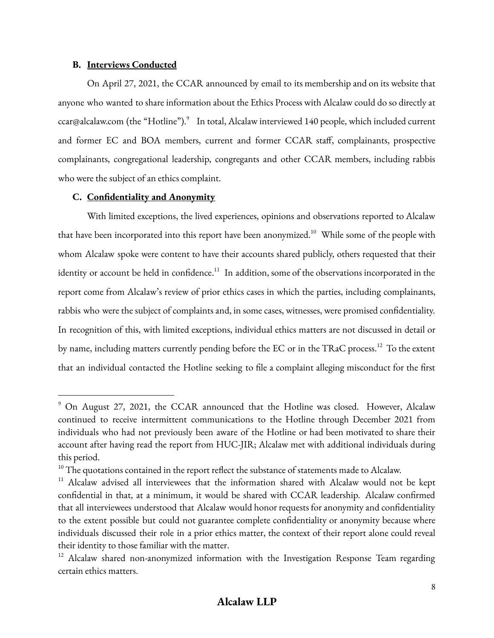#### **B. Interviews Conducted**

On April 27, 2021, the CCAR announced by email to its membership and on its website that anyone who wanted to share information about the Ethics Process with Alcalaw could do so directly at ccar@alcalaw.com (the "Hotline"). 9 In total, Alcalaw interviewed 140 people, which included current and former EC and BOA members, current and former CCAR staff, complainants, prospective complainants, congregational leadership, congregants and other CCAR members, including rabbis who were the subject of an ethics complaint.

## **C. Confidentiality and Anonymity**

With limited exceptions, the lived experiences, opinions and observations reported to Alcalaw that have been incorporated into this report have been anonymized. $^{10}$  While some of the people with whom Alcalaw spoke were content to have their accounts shared publicly, others requested that their identity or account be held in confidence.<sup>11</sup> In addition, some of the observations incorporated in the report come from Alcalaw's review of prior ethics cases in which the parties, including complainants, rabbis who were the subject of complaints and, in some cases, witnesses, were promised confidentiality. In recognition of this, with limited exceptions, individual ethics matters are not discussed in detail or by name, including matters currently pending before the EC or in the TRaC process. $^{12}\,$  To the extent that an individual contacted the Hotline seeking to file a complaint alleging misconduct for the first

<sup>9</sup> On August 27, 2021, the CCAR announced that the Hotline was closed. However, Alcalaw continued to receive intermittent communications to the Hotline through December 2021 from individuals who had not previously been aware of the Hotline or had been motivated to share their account after having read the report from HUC-JIR; Alcalaw met with additional individuals during this period.

 $10$  The quotations contained in the report reflect the substance of statements made to Alcalaw.

<sup>&</sup>lt;sup>11</sup> Alcalaw advised all interviewees that the information shared with Alcalaw would not be kept confidential in that, at a minimum, it would be shared with CCAR leadership. Alcalaw confirmed that all interviewees understood that Alcalaw would honor requests for anonymity and confidentiality to the extent possible but could not guarantee complete confidentiality or anonymity because where individuals discussed their role in a prior ethics matter, the context of their report alone could reveal their identity to those familiar with the matter.

<sup>&</sup>lt;sup>12</sup> Alcalaw shared non-anonymized information with the Investigation Response Team regarding certain ethics matters.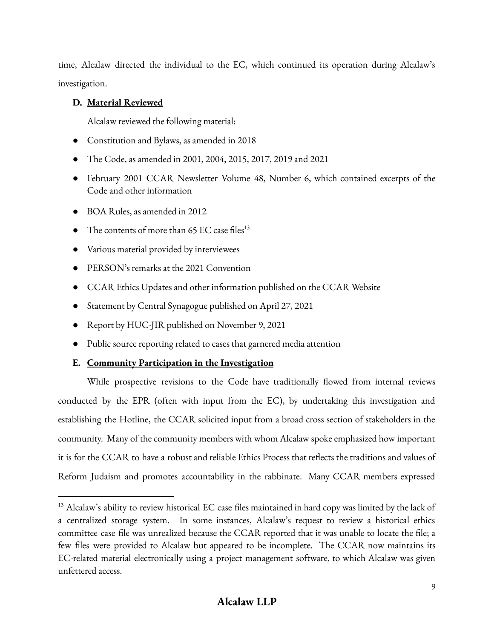time, Alcalaw directed the individual to the EC, which continued its operation during Alcalaw's investigation.

# **D. Material Reviewed**

Alcalaw reviewed the following material:

- Constitution and Bylaws, as amended in 2018
- The Code, as amended in 2001, 2004, 2015, 2017, 2019 and 2021
- February 2001 CCAR Newsletter Volume 48, Number 6, which contained excerpts of the Code and other information
- BOA Rules, as amended in 2012
- $\bullet$  The contents of more than 65 EC case files<sup>13</sup>
- Various material provided by interviewees
- PERSON's remarks at the 2021 Convention
- CCAR Ethics Updates and other information published on the CCAR Website
- Statement by Central Synagogue published on April 27, 2021
- Report by HUC-JIR published on November 9, 2021
- Public source reporting related to cases that garnered media attention

# **E. Community Participation in the Investigation**

While prospective revisions to the Code have traditionally flowed from internal reviews conducted by the EPR (often with input from the EC), by undertaking this investigation and establishing the Hotline, the CCAR solicited input from a broad cross section of stakeholders in the community. Many of the community members with whom Alcalaw spoke emphasized how important it is for the CCAR to have a robust and reliable Ethics Process that reflects the traditions and values of Reform Judaism and promotes accountability in the rabbinate. Many CCAR members expressed

 $^{13}$  Alcalaw's ability to review historical EC case files maintained in hard copy was limited by the lack of a centralized storage system. In some instances, Alcalaw's request to review a historical ethics committee case file was unrealized because the CCAR reported that it was unable to locate the file; a few files were provided to Alcalaw but appeared to be incomplete. The CCAR now maintains its EC-related material electronically using a project management software, to which Alcalaw was given unfettered access.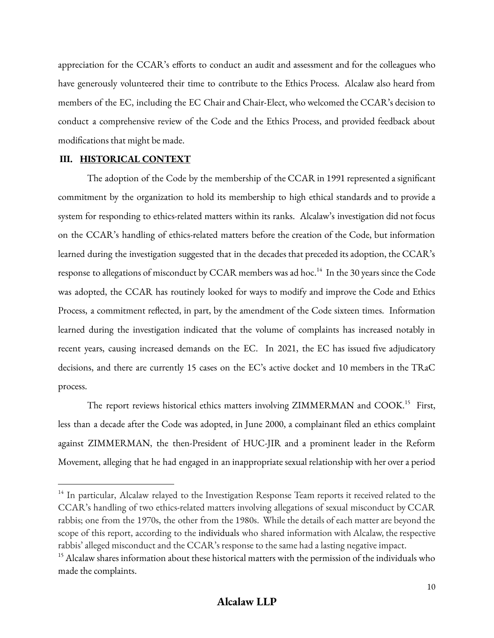appreciation for the CCAR's efforts to conduct an audit and assessment and for the colleagues who have generously volunteered their time to contribute to the Ethics Process. Alcalaw also heard from members of the EC, including the EC Chair and Chair-Elect, who welcomed the CCAR's decision to conduct a comprehensive review of the Code and the Ethics Process, and provided feedback about modifications that might be made.

#### **III. HISTORICAL CONTEXT**

The adoption of the Code by the membership of the CCAR in 1991 represented a significant commitment by the organization to hold its membership to high ethical standards and to provide a system for responding to ethics-related matters within its ranks. Alcalaw's investigation did not focus on the CCAR's handling of ethics-related matters before the creation of the Code, but information learned during the investigation suggested that in the decades that preceded its adoption, the CCAR's response to allegations of misconduct by CCAR members was ad hoc. $^{14}$  In the 30 years since the Code was adopted, the CCAR has routinely looked for ways to modify and improve the Code and Ethics Process, a commitment reflected, in part, by the amendment of the Code sixteen times. Information learned during the investigation indicated that the volume of complaints has increased notably in recent years, causing increased demands on the EC. In 2021, the EC has issued five adjudicatory decisions, and there are currently 15 cases on the EC's active docket and 10 members in the TRaC process.

The report reviews historical ethics matters involving ZIMMERMAN and COOK.<sup>15</sup> First, less than a decade after the Code was adopted, in June 2000, a complainant filed an ethics complaint against ZIMMERMAN, the then-President of HUC-JIR and a prominent leader in the Reform Movement, alleging that he had engaged in an inappropriate sexual relationship with her over a period

<sup>&</sup>lt;sup>14</sup> In particular, Alcalaw relayed to the Investigation Response Team reports it received related to the CCAR's handling of two ethics-related matters involving allegations of sexual misconduct by CCAR rabbis; one from the 1970s, the other from the 1980s. While the details of each matter are beyond the scope of this report, according to the individuals who shared information with Alcalaw, the respective rabbis' alleged misconduct and the CCAR's response to the same had a lasting negative impact.

<sup>&</sup>lt;sup>15</sup> Alcalaw shares information about these historical matters with the permission of the individuals who made the complaints.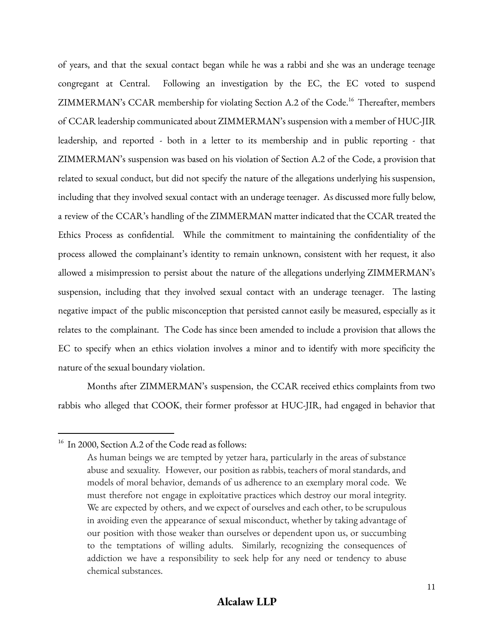of years, and that the sexual contact began while he was a rabbi and she was an underage teenage congregant at Central. Following an investigation by the EC, the EC voted to suspend ZIMMERMAN's CCAR membership for violating Section A.2 of the Code. <sup>16</sup> Thereafter, members of CCAR leadership communicated about ZIMMERMAN's suspension with a member of HUC-JIR leadership, and reported - both in a letter to its membership and in public reporting - that ZIMMERMAN's suspension was based on his violation of Section A.2 of the Code, a provision that related to sexual conduct, but did not specify the nature of the allegations underlying his suspension, including that they involved sexual contact with an underage teenager. As discussed more fully below, a review of the CCAR's handling of the ZIMMERMAN matter indicated that the CCAR treated the Ethics Process as confidential. While the commitment to maintaining the confidentiality of the process allowed the complainant's identity to remain unknown, consistent with her request, it also allowed a misimpression to persist about the nature of the allegations underlying ZIMMERMAN's suspension, including that they involved sexual contact with an underage teenager. The lasting negative impact of the public misconception that persisted cannot easily be measured, especially as it relates to the complainant. The Code has since been amended to include a provision that allows the EC to specify when an ethics violation involves a minor and to identify with more specificity the nature of the sexual boundary violation.

Months after ZIMMERMAN's suspension, the CCAR received ethics complaints from two rabbis who alleged that COOK, their former professor at HUC-JIR, had engaged in behavior that

<sup>&</sup>lt;sup>16</sup> In 2000, Section A.2 of the Code read as follows:

As human beings we are tempted by yetzer hara, particularly in the areas of substance abuse and sexuality. However, our position as rabbis, teachers of moral standards, and models of moral behavior, demands of us adherence to an exemplary moral code. We must therefore not engage in exploitative practices which destroy our moral integrity. We are expected by others, and we expect of ourselves and each other, to be scrupulous in avoiding even the appearance of sexual misconduct, whether by taking advantage of our position with those weaker than ourselves or dependent upon us, or succumbing to the temptations of willing adults. Similarly, recognizing the consequences of addiction we have a responsibility to seek help for any need or tendency to abuse chemical substances.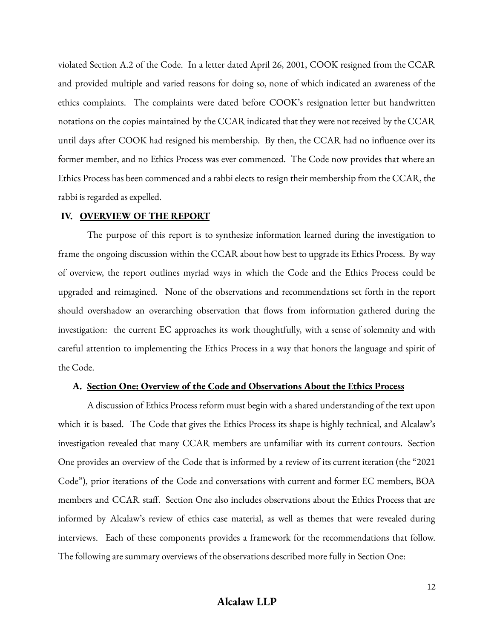violated Section A.2 of the Code. In a letter dated April 26, 2001, COOK resigned from the CCAR and provided multiple and varied reasons for doing so, none of which indicated an awareness of the ethics complaints. The complaints were dated before COOK's resignation letter but handwritten notations on the copies maintained by the CCAR indicated that they were not received by the CCAR until days after COOK had resigned his membership. By then, the CCAR had no influence over its former member, and no Ethics Process was ever commenced. The Code now provides that where an Ethics Process has been commenced and a rabbi elects to resign their membership from the CCAR, the rabbi is regarded as expelled.

#### **IV. OVERVIEW OF THE REPORT**

The purpose of this report is to synthesize information learned during the investigation to frame the ongoing discussion within the CCAR about how best to upgrade its Ethics Process. By way of overview, the report outlines myriad ways in which the Code and the Ethics Process could be upgraded and reimagined. None of the observations and recommendations set forth in the report should overshadow an overarching observation that flows from information gathered during the investigation: the current EC approaches its work thoughtfully, with a sense of solemnity and with careful attention to implementing the Ethics Process in a way that honors the language and spirit of the Code.

#### **A. Section One: Overview of the Code and Observations About the Ethics Process**

A discussion of Ethics Process reform must begin with a shared understanding of the text upon which it is based. The Code that gives the Ethics Process its shape is highly technical, and Alcalaw's investigation revealed that many CCAR members are unfamiliar with its current contours. Section One provides an overview of the Code that is informed by a review of its current iteration (the "2021 Code"), prior iterations of the Code and conversations with current and former EC members, BOA members and CCAR staff. Section One also includes observations about the Ethics Process that are informed by Alcalaw's review of ethics case material, as well as themes that were revealed during interviews. Each of these components provides a framework for the recommendations that follow. The following are summary overviews of the observations described more fully in Section One: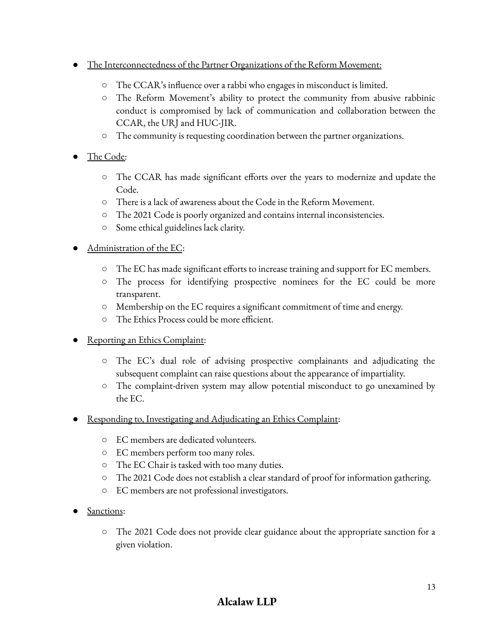- The Interconnectedness of the Partner Organizations of the Reform Movement:
	- **○** The CCAR's influence over a rabbi who engages in misconduct is limited.
	- **○** The Reform Movement's ability to protect the community from abusive rabbinic conduct is compromised by lack of communication and collaboration between the CCAR, the URJ and HUC-JIR.
	- The community is requesting coordination between the partner organizations.
- The Code:
	- The CCAR has made significant efforts over the years to modernize and update the Code.
	- There is a lack of awareness about the Code in the Reform Movement.
	- The 2021 Code is poorly organized and contains internal inconsistencies.
	- Some ethical guidelines lack clarity.

# Administration of the EC:

- The EC has made significant efforts to increase training and support for EC members.
- The process for identifying prospective nominees for the EC could be more transparent.
- Membership on the EC requires a significant commitment of time and energy.
- The Ethics Process could be more efficient.
- Reporting an Ethics Complaint:
	- The EC's dual role of advising prospective complainants and adjudicating the subsequent complaint can raise questions about the appearance of impartiality.
	- The complaint-driven system may allow potential misconduct to go unexamined by the EC.
- Responding to, Investigating and Adjudicating an Ethics Complaint:
	- EC members are dedicated volunteers.
	- EC members perform too many roles.
	- The EC Chair is tasked with too many duties.
	- The 2021 Code does not establish a clear standard of proof for information gathering.
	- EC members are not professional investigators.
- Sanctions:
	- The 2021 Code does not provide clear guidance about the appropriate sanction for a given violation.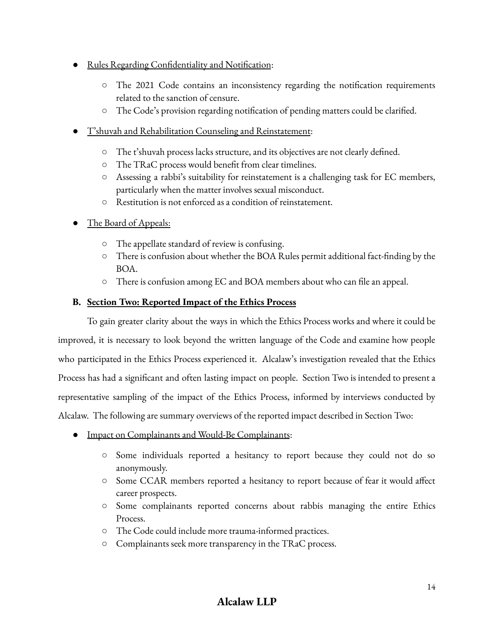- Rules Regarding Confidentiality and Notification:
	- The 2021 Code contains an inconsistency regarding the notification requirements related to the sanction of censure.
	- The Code's provision regarding notification of pending matters could be clarified.
- T'shuvah and Rehabilitation Counseling and Reinstatement:
	- The t'shuvah process lacks structure, and its objectives are not clearly defined.
	- The TRaC process would benefit from clear timelines.
	- **○** Assessing a rabbi's suitability for reinstatement is a challenging task for EC members, particularly when the matter involves sexual misconduct.
	- Restitution is not enforced as a condition of reinstatement.
- The Board of Appeals:
	- The appellate standard of review is confusing.
	- There is confusion about whether the BOA Rules permit additional fact-finding by the BOA.
	- There is confusion among EC and BOA members about who can file an appeal.

# **B. Section Two: Reported Impact of the Ethics Process**

To gain greater clarity about the ways in which the Ethics Process works and where it could be improved, it is necessary to look beyond the written language of the Code and examine how people who participated in the Ethics Process experienced it. Alcalaw's investigation revealed that the Ethics Process has had a significant and often lasting impact on people. Section Two is intended to present a representative sampling of the impact of the Ethics Process, informed by interviews conducted by Alcalaw. The following are summary overviews of the reported impact described in Section Two:

- Impact on Complainants and Would-Be Complainants:
	- Some individuals reported a hesitancy to report because they could not do so anonymously.
	- Some CCAR members reported a hesitancy to report because of fear it would affect career prospects.
	- Some complainants reported concerns about rabbis managing the entire Ethics Process.
	- The Code could include more trauma-informed practices.
	- Complainants seek more transparency in the TRaC process.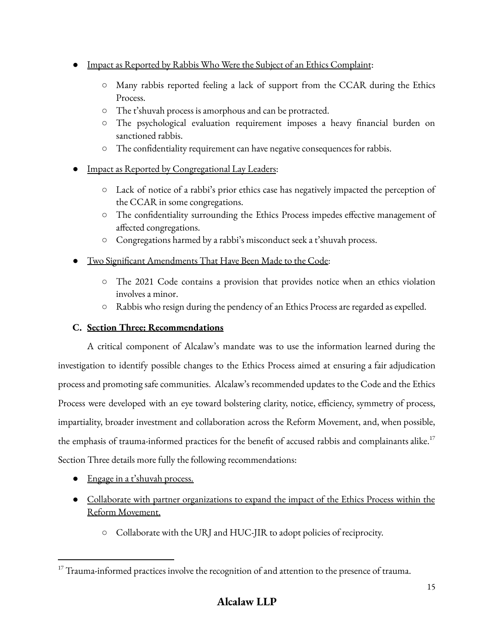- Impact as Reported by Rabbis Who Were the Subject of an Ethics Complaint:
	- Many rabbis reported feeling a lack of support from the CCAR during the Ethics Process.
	- The t'shuvah process is amorphous and can be protracted.
	- The psychological evaluation requirement imposes a heavy financial burden on sanctioned rabbis.
	- The confidentiality requirement can have negative consequences for rabbis.
- Impact as Reported by Congregational Lay Leaders:
	- Lack of notice of a rabbi's prior ethics case has negatively impacted the perception of the CCAR in some congregations.
	- The confidentiality surrounding the Ethics Process impedes effective management of affected congregations.
	- Congregations harmed by a rabbi's misconduct seek a t'shuvah process.
- Two Significant Amendments That Have Been Made to the Code:
	- The 2021 Code contains a provision that provides notice when an ethics violation involves a minor.
	- Rabbis who resign during the pendency of an Ethics Process are regarded as expelled.

# **C. Section Three: Recommendations**

A critical component of Alcalaw's mandate was to use the information learned during the investigation to identify possible changes to the Ethics Process aimed at ensuring a fair adjudication process and promoting safe communities. Alcalaw's recommended updates to the Code and the Ethics Process were developed with an eye toward bolstering clarity, notice, efficiency, symmetry of process, impartiality, broader investment and collaboration across the Reform Movement, and, when possible, the emphasis of trauma-informed practices for the benefit of accused rabbis and complainants alike.<sup>17</sup> Section Three details more fully the following recommendations:

- Engage in a t'shuvah process.
- Collaborate with partner organizations to expand the impact of the Ethics Process within the Reform Movement.
	- Collaborate with the URJ and HUC-JIR to adopt policies of reciprocity.

 $17$  Trauma-informed practices involve the recognition of and attention to the presence of trauma.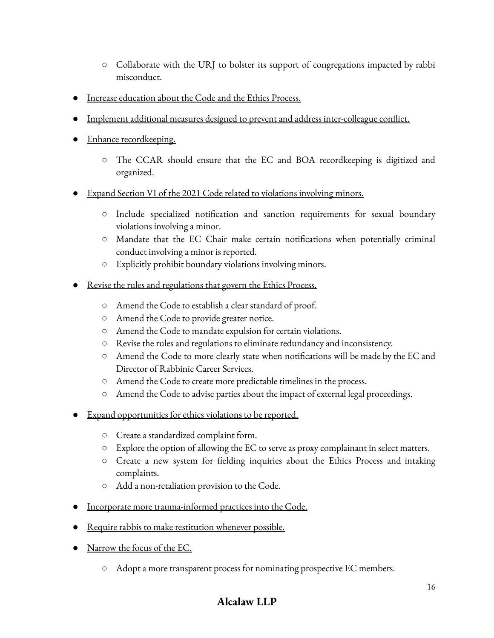- Collaborate with the URJ to bolster its support of congregations impacted by rabbi misconduct.
- Increase education about the Code and the Ethics Process.
- Implement additional measures designed to prevent and address inter-colleague conflict.
- Enhance recordkeeping.
	- The CCAR should ensure that the EC and BOA recordkeeping is digitized and organized.
- Expand Section VI of the 2021 Code related to violations involving minors.
	- Include specialized notification and sanction requirements for sexual boundary violations involving a minor.
	- Mandate that the EC Chair make certain notifications when potentially criminal conduct involving a minor is reported.
	- Explicitly prohibit boundary violations involving minors.
- Revise the rules and regulations that govern the Ethics Process.
	- Amend the Code to establish a clear standard of proof.
	- Amend the Code to provide greater notice.
	- Amend the Code to mandate expulsion for certain violations.
	- Revise the rules and regulations to eliminate redundancy and inconsistency.
	- Amend the Code to more clearly state when notifications will be made by the EC and Director of Rabbinic Career Services.
	- Amend the Code to create more predictable timelines in the process.
	- Amend the Code to advise parties about the impact of external legal proceedings.
- Expand opportunities for ethics violations to be reported.
	- Create a standardized complaint form.
	- Explore the option of allowing the EC to serve as proxy complainant in select matters.
	- Create a new system for fielding inquiries about the Ethics Process and intaking complaints.
	- Add a non-retaliation provision to the Code.
- Incorporate more trauma-informed practices into the Code.
- Require rabbis to make restitution whenever possible.
- Narrow the focus of the EC.
	- Adopt a more transparent process for nominating prospective EC members.

# **Alcalaw LLP**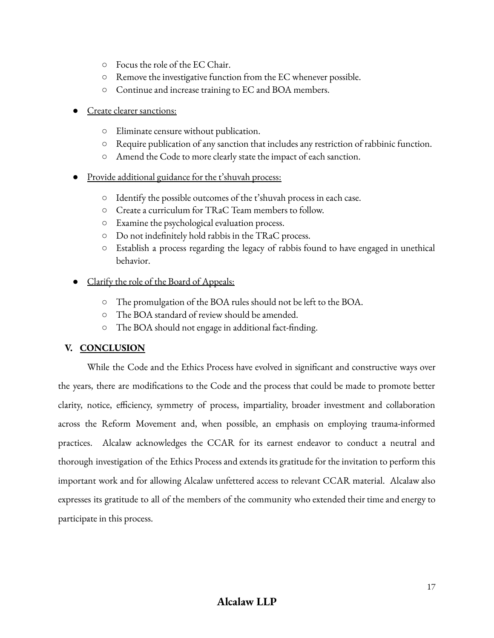- Focus the role of the EC Chair.
- Remove the investigative function from the EC whenever possible.
- Continue and increase training to EC and BOA members.
- Create clearer sanctions:
	- Eliminate censure without publication.
	- Require publication of any sanction that includes any restriction of rabbinic function.
	- Amend the Code to more clearly state the impact of each sanction.
- Provide additional guidance for the t'shuvah process:
	- Identify the possible outcomes of the t'shuvah process in each case.
	- Create a curriculum for TRaC Team members to follow.
	- Examine the psychological evaluation process.
	- Do not indefinitely hold rabbis in the TRaC process.
	- Establish a process regarding the legacy of rabbis found to have engaged in unethical behavior.
- Clarify the role of the Board of Appeals:
	- The promulgation of the BOA rules should not be left to the BOA.
	- The BOA standard of review should be amended.
	- The BOA should not engage in additional fact-finding.

# **V. CONCLUSION**

While the Code and the Ethics Process have evolved in significant and constructive ways over the years, there are modifications to the Code and the process that could be made to promote better clarity, notice, efficiency, symmetry of process, impartiality, broader investment and collaboration across the Reform Movement and, when possible, an emphasis on employing trauma-informed practices. Alcalaw acknowledges the CCAR for its earnest endeavor to conduct a neutral and thorough investigation of the Ethics Process and extends its gratitude for the invitation to perform this important work and for allowing Alcalaw unfettered access to relevant CCAR material. Alcalaw also expresses its gratitude to all of the members of the community who extended their time and energy to participate in this process.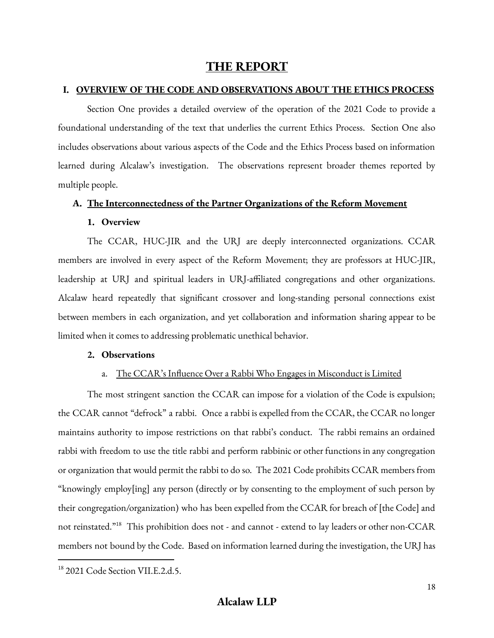# **THE REPORT**

#### **I. OVERVIEW OF THE CODE AND OBSERVATIONS ABOUT THE ETHICS PROCESS**

Section One provides a detailed overview of the operation of the 2021 Code to provide a foundational understanding of the text that underlies the current Ethics Process. Section One also includes observations about various aspects of the Code and the Ethics Process based on information learned during Alcalaw's investigation. The observations represent broader themes reported by multiple people.

#### **A. The Interconnectedness of the Partner Organizations of the Reform Movement**

#### **1. Overview**

The CCAR, HUC-JIR and the URJ are deeply interconnected organizations. CCAR members are involved in every aspect of the Reform Movement; they are professors at HUC-JIR, leadership at URJ and spiritual leaders in URJ-affiliated congregations and other organizations. Alcalaw heard repeatedly that significant crossover and long-standing personal connections exist between members in each organization, and yet collaboration and information sharing appear to be limited when it comes to addressing problematic unethical behavior.

#### **2. Observations**

#### a. The CCAR's Influence Over a Rabbi Who Engages in Misconduct is Limited

The most stringent sanction the CCAR can impose for a violation of the Code is expulsion; the CCAR cannot "defrock" a rabbi. Once a rabbi is expelled from the CCAR, the CCAR no longer maintains authority to impose restrictions on that rabbi's conduct. The rabbi remains an ordained rabbi with freedom to use the title rabbi and perform rabbinic or other functions in any congregation or organization that would permit the rabbi to do so. The 2021 Code prohibits CCAR members from "knowingly employ[ing] any person (directly or by consenting to the employment of such person by their congregation/organization) who has been expelled from the CCAR for breach of [the Code] and not reinstated."<sup>18</sup> This prohibition does not - and cannot - extend to lay leaders or other non-CCAR members not bound by the Code. Based on information learned during the investigation, the URJ has

<sup>&</sup>lt;sup>18</sup> 2021 Code Section VII.E.2.d.5.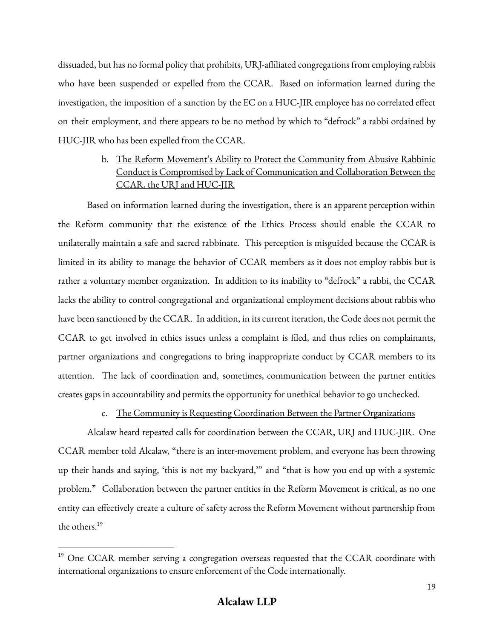dissuaded, but has no formal policy that prohibits, URJ-affiliated congregations from employing rabbis who have been suspended or expelled from the CCAR. Based on information learned during the investigation, the imposition of a sanction by the EC on a HUC-JIR employee has no correlated effect on their employment, and there appears to be no method by which to "defrock" a rabbi ordained by HUC-JIR who has been expelled from the CCAR.

# b. The Reform Movement's Ability to Protect the Community from Abusive Rabbinic Conduct is Compromised by Lack of Communication and Collaboration Between the CCAR, the URJ and HUC-JIR

Based on information learned during the investigation, there is an apparent perception within the Reform community that the existence of the Ethics Process should enable the CCAR to unilaterally maintain a safe and sacred rabbinate. This perception is misguided because the CCAR is limited in its ability to manage the behavior of CCAR members as it does not employ rabbis but is rather a voluntary member organization. In addition to its inability to "defrock" a rabbi, the CCAR lacks the ability to control congregational and organizational employment decisions about rabbis who have been sanctioned by the CCAR. In addition, in its current iteration, the Code does not permit the CCAR to get involved in ethics issues unless a complaint is filed, and thus relies on complainants, partner organizations and congregations to bring inappropriate conduct by CCAR members to its attention. The lack of coordination and, sometimes, communication between the partner entities creates gaps in accountability and permits the opportunity for unethical behavior to go unchecked.

## c. The Community is Requesting Coordination Between the Partner Organizations

Alcalaw heard repeated calls for coordination between the CCAR, URJ and HUC-JIR. One CCAR member told Alcalaw, "there is an inter-movement problem, and everyone has been throwing up their hands and saying, 'this is not my backyard,'" and "that is how you end up with a systemic problem." Collaboration between the partner entities in the Reform Movement is critical, as no one entity can effectively create a culture of safety across the Reform Movement without partnership from the others. 19

<sup>&</sup>lt;sup>19</sup> One CCAR member serving a congregation overseas requested that the CCAR coordinate with international organizations to ensure enforcement of the Code internationally.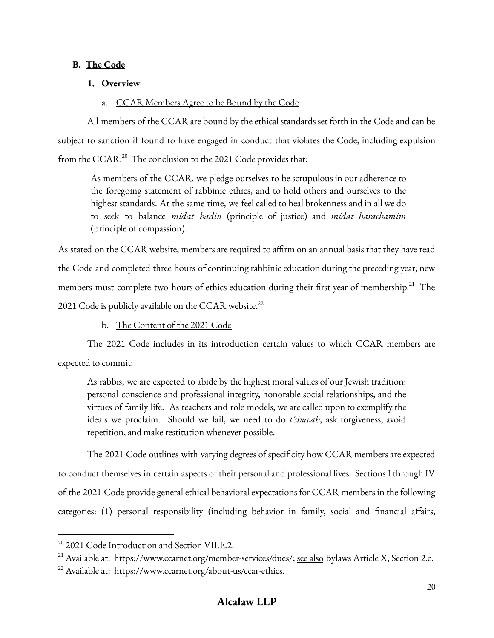# **B. The Code**

# **1. Overview**

# a. CCAR Members Agree to be Bound by the Code

All members of the CCAR are bound by the ethical standards set forth in the Code and can be subject to sanction if found to have engaged in conduct that violates the Code, including expulsion from the CCAR.<sup>20</sup> The conclusion to the 2021 Code provides that:

As members of the CCAR, we pledge ourselves to be scrupulous in our adherence to the foregoing statement of rabbinic ethics, and to hold others and ourselves to the highest standards. At the same time, we feel called to heal brokenness and in all we do to seek to balance *midat hadin* (principle of justice) and *midat harachamim* (principle of compassion).

As stated on the CCAR website, members are required to affirm on an annual basis that they have read the Code and completed three hours of continuing rabbinic education during the preceding year; new members must complete two hours of ethics education during their first year of membership.<sup>21</sup> The 2021 Code is publicly available on the CCAR website.<sup>22</sup>

b. The Content of the 2021 Code

The 2021 Code includes in its introduction certain values to which CCAR members are expected to commit:

As rabbis, we are expected to abide by the highest moral values of our Jewish tradition: personal conscience and professional integrity, honorable social relationships, and the virtues of family life. As teachers and role models, we are called upon to exemplify the ideals we proclaim. Should we fail, we need to do *t'shuvah*, ask forgiveness, avoid repetition, and make restitution whenever possible.

The 2021 Code outlines with varying degrees of specificity how CCAR members are expected to conduct themselves in certain aspects of their personal and professional lives. Sections I through IV of the 2021 Code provide general ethical behavioral expectations for CCAR members in the following categories: (1) personal responsibility (including behavior in family, social and financial affairs,

<sup>&</sup>lt;sup>20</sup> 2021 Code Introduction and Section VII.E.2.

<sup>&</sup>lt;sup>21</sup> Available at: https://www.ccarnet.org/member-services/dues/; see also Bylaws Article X, Section 2.c.

<sup>&</sup>lt;sup>22</sup> Available at: https://www.ccarnet.org/about-us/ccar-ethics.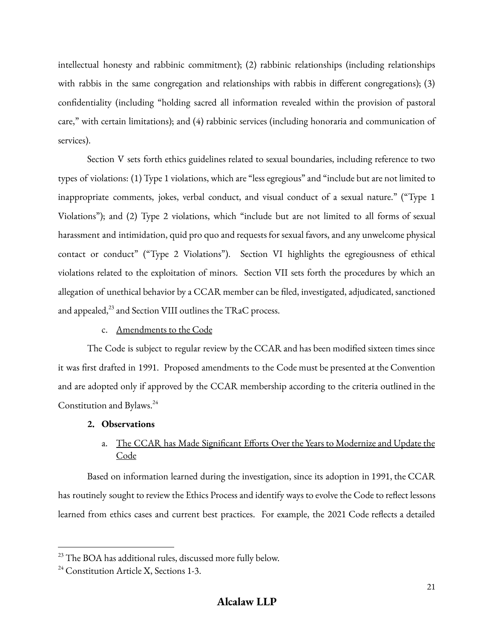intellectual honesty and rabbinic commitment); (2) rabbinic relationships (including relationships with rabbis in the same congregation and relationships with rabbis in different congregations); (3) confidentiality (including "holding sacred all information revealed within the provision of pastoral care," with certain limitations); and (4) rabbinic services (including honoraria and communication of services).

Section V sets forth ethics guidelines related to sexual boundaries, including reference to two types of violations: (1) Type 1 violations, which are "less egregious" and "include but are not limited to inappropriate comments, jokes, verbal conduct, and visual conduct of a sexual nature." ("Type 1 Violations"); and (2) Type 2 violations, which "include but are not limited to all forms of sexual harassment and intimidation, quid pro quo and requests for sexual favors, and any unwelcome physical contact or conduct" ("Type 2 Violations"). Section VI highlights the egregiousness of ethical violations related to the exploitation of minors. Section VII sets forth the procedures by which an allegation of unethical behavior by a CCAR member can be filed, investigated, adjudicated, sanctioned and appealed, $^{23}$  and Section VIII outlines the TRaC process.

## c. Amendments to the Code

The Code is subject to regular review by the CCAR and has been modified sixteen times since it was first drafted in 1991. Proposed amendments to the Code must be presented at the Convention and are adopted only if approved by the CCAR membership according to the criteria outlined in the Constitution and Bylaws. 24

# **2. Observations**

# a. The CCAR has Made Significant Efforts Over the Years to Modernize and Update the **Code**

Based on information learned during the investigation, since its adoption in 1991, the CCAR has routinely sought to review the Ethics Process and identify ways to evolve the Code to reflect lessons learned from ethics cases and current best practices. For example, the 2021 Code reflects a detailed

<sup>&</sup>lt;sup>23</sup> The BOA has additional rules, discussed more fully below.

 $24$  Constitution Article X, Sections 1-3.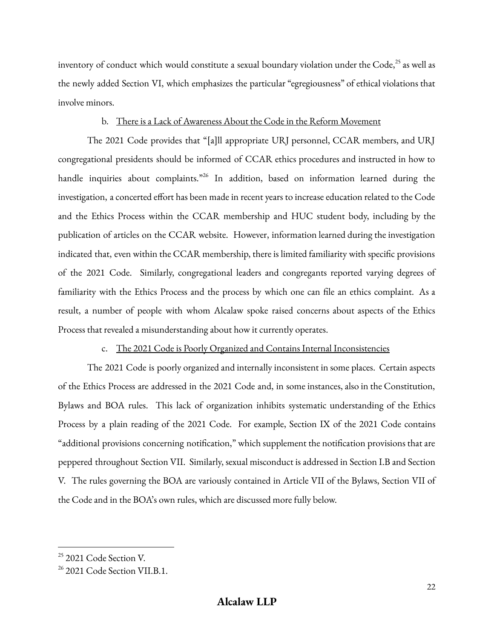inventory of conduct which would constitute a sexual boundary violation under the Code, 25 as well as the newly added Section VI, which emphasizes the particular "egregiousness" of ethical violations that involve minors.

# b. There is a Lack of Awareness About the Code in the Reform Movement

The 2021 Code provides that "[a]ll appropriate URJ personnel, CCAR members, and URJ congregational presidents should be informed of CCAR ethics procedures and instructed in how to handle inquiries about complaints."<sup>26</sup> In addition, based on information learned during the investigation, a concerted effort has been made in recent years to increase education related to the Code and the Ethics Process within the CCAR membership and HUC student body, including by the publication of articles on the CCAR website. However, information learned during the investigation indicated that, even within the CCAR membership, there is limited familiarity with specific provisions of the 2021 Code. Similarly, congregational leaders and congregants reported varying degrees of familiarity with the Ethics Process and the process by which one can file an ethics complaint. As a result, a number of people with whom Alcalaw spoke raised concerns about aspects of the Ethics Process that revealed a misunderstanding about how it currently operates.

## c. The 2021 Code is Poorly Organized and Contains Internal Inconsistencies

The 2021 Code is poorly organized and internally inconsistent in some places. Certain aspects of the Ethics Process are addressed in the 2021 Code and, in some instances, also in the Constitution, Bylaws and BOA rules. This lack of organization inhibits systematic understanding of the Ethics Process by a plain reading of the 2021 Code. For example, Section IX of the 2021 Code contains "additional provisions concerning notification," which supplement the notification provisions that are peppered throughout Section VII. Similarly, sexual misconduct is addressed in Section I.B and Section V. The rules governing the BOA are variously contained in Article VII of the Bylaws, Section VII of the Code and in the BOA's own rules, which are discussed more fully below.

<sup>&</sup>lt;sup>25</sup> 2021 Code Section V.

<sup>&</sup>lt;sup>26</sup> 2021 Code Section VII.B.1.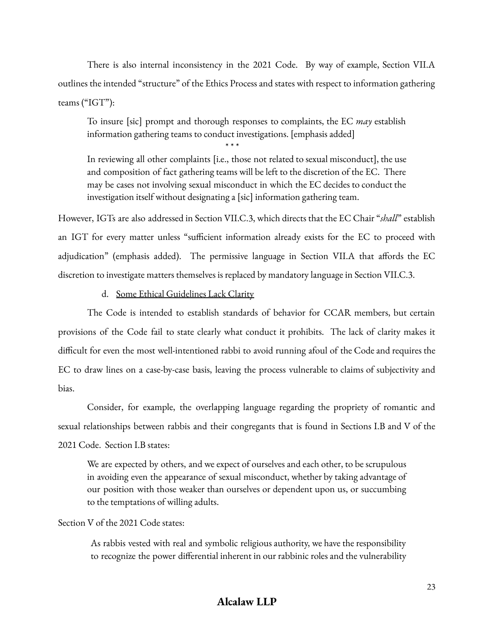There is also internal inconsistency in the 2021 Code. By way of example, Section VII.A outlines the intended "structure" of the Ethics Process and states with respect to information gathering teams ("IGT"):

To insure [sic] prompt and thorough responses to complaints, the EC *may* establish information gathering teams to conduct investigations. [emphasis added]

\* \* \*

In reviewing all other complaints [i.e., those not related to sexual misconduct], the use and composition of fact gathering teams will be left to the discretion of the EC. There may be cases not involving sexual misconduct in which the EC decides to conduct the investigation itself without designating a [sic] information gathering team.

However, IGTs are also addressed in Section VII.C.3, which directs that the EC Chair "*shall*" establish an IGT for every matter unless "sufficient information already exists for the EC to proceed with adjudication" (emphasis added). The permissive language in Section VII.A that affords the EC discretion to investigate matters themselves is replaced by mandatory language in Section VII.C.3.

## d. Some Ethical Guidelines Lack Clarity

The Code is intended to establish standards of behavior for CCAR members, but certain provisions of the Code fail to state clearly what conduct it prohibits. The lack of clarity makes it difficult for even the most well-intentioned rabbi to avoid running afoul of the Code and requires the EC to draw lines on a case-by-case basis, leaving the process vulnerable to claims of subjectivity and bias.

Consider, for example, the overlapping language regarding the propriety of romantic and sexual relationships between rabbis and their congregants that is found in Sections I.B and V of the 2021 Code. Section I.B states:

We are expected by others, and we expect of ourselves and each other, to be scrupulous in avoiding even the appearance of sexual misconduct, whether by taking advantage of our position with those weaker than ourselves or dependent upon us, or succumbing to the temptations of willing adults.

## Section V of the 2021 Code states:

As rabbis vested with real and symbolic religious authority, we have the responsibility to recognize the power differential inherent in our rabbinic roles and the vulnerability

# **Alcalaw LLP**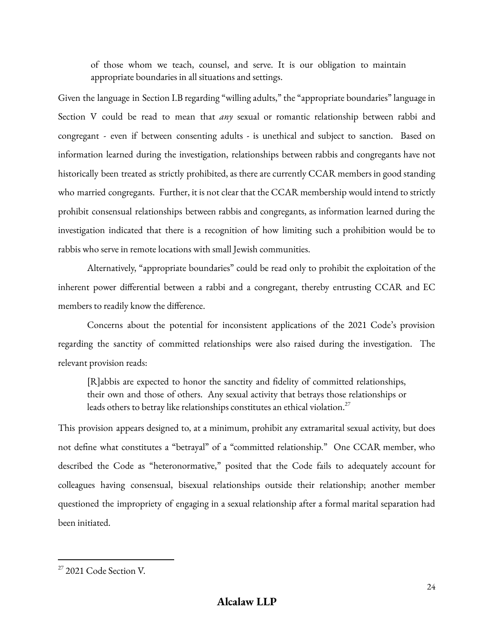of those whom we teach, counsel, and serve. It is our obligation to maintain appropriate boundaries in all situations and settings.

Given the language in Section I.B regarding "willing adults," the "appropriate boundaries" language in Section V could be read to mean that *any* sexual or romantic relationship between rabbi and congregant - even if between consenting adults - is unethical and subject to sanction. Based on information learned during the investigation, relationships between rabbis and congregants have not historically been treated as strictly prohibited, as there are currently CCAR members in good standing who married congregants. Further, it is not clear that the CCAR membership would intend to strictly prohibit consensual relationships between rabbis and congregants, as information learned during the investigation indicated that there is a recognition of how limiting such a prohibition would be to rabbis who serve in remote locations with small Jewish communities.

Alternatively, "appropriate boundaries" could be read only to prohibit the exploitation of the inherent power differential between a rabbi and a congregant, thereby entrusting CCAR and EC members to readily know the difference.

Concerns about the potential for inconsistent applications of the 2021 Code's provision regarding the sanctity of committed relationships were also raised during the investigation. The relevant provision reads:

[R]abbis are expected to honor the sanctity and fidelity of committed relationships, their own and those of others. Any sexual activity that betrays those relationships or leads others to betray like relationships constitutes an ethical violation. $^{27}$ 

This provision appears designed to, at a minimum, prohibit any extramarital sexual activity, but does not define what constitutes a "betrayal" of a "committed relationship." One CCAR member, who described the Code as "heteronormative," posited that the Code fails to adequately account for colleagues having consensual, bisexual relationships outside their relationship; another member questioned the impropriety of engaging in a sexual relationship after a formal marital separation had been initiated.

<sup>&</sup>lt;sup>27</sup> 2021 Code Section V.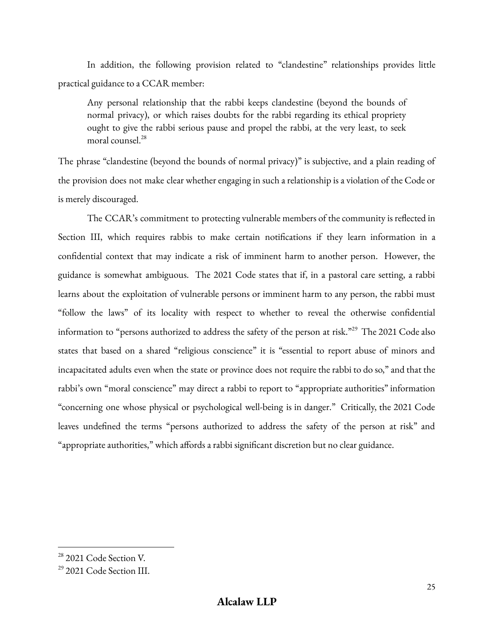In addition, the following provision related to "clandestine" relationships provides little practical guidance to a CCAR member:

Any personal relationship that the rabbi keeps clandestine (beyond the bounds of normal privacy), or which raises doubts for the rabbi regarding its ethical propriety ought to give the rabbi serious pause and propel the rabbi, at the very least, to seek moral counsel. 28

The phrase "clandestine (beyond the bounds of normal privacy)" is subjective, and a plain reading of the provision does not make clear whether engaging in such a relationship is a violation of the Code or is merely discouraged.

The CCAR's commitment to protecting vulnerable members of the community is reflected in Section III, which requires rabbis to make certain notifications if they learn information in a confidential context that may indicate a risk of imminent harm to another person. However, the guidance is somewhat ambiguous. The 2021 Code states that if, in a pastoral care setting, a rabbi learns about the exploitation of vulnerable persons or imminent harm to any person, the rabbi must "follow the laws" of its locality with respect to whether to reveal the otherwise confidential information to "persons authorized to address the safety of the person at risk."<sup>29</sup> The 2021 Code also states that based on a shared "religious conscience" it is "essential to report abuse of minors and incapacitated adults even when the state or province does not require the rabbi to do so," and that the rabbi's own "moral conscience" may direct a rabbi to report to "appropriate authorities" information "concerning one whose physical or psychological well-being is in danger." Critically, the 2021 Code leaves undefined the terms "persons authorized to address the safety of the person at risk" and "appropriate authorities," which affords a rabbi significant discretion but no clear guidance.

<sup>&</sup>lt;sup>28</sup> 2021 Code Section V.

<sup>29</sup> 2021 Code Section III.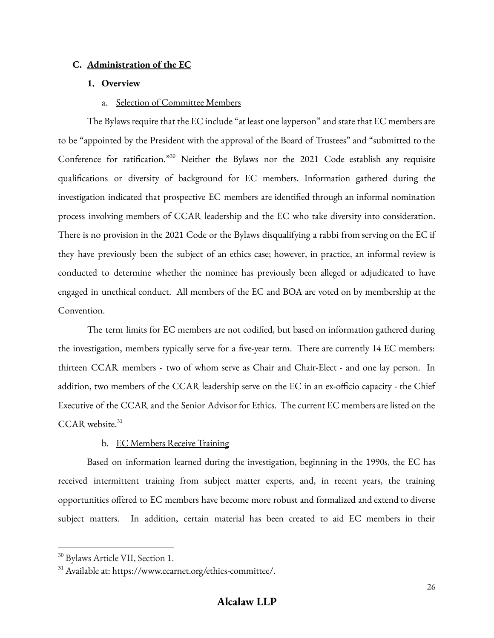## **C. Administration of the EC**

#### **1. Overview**

#### a. Selection of Committee Members

The Bylaws require that the EC include "at least one layperson" and state that EC members are to be "appointed by the President with the approval of the Board of Trustees" and "submitted to the Conference for ratification."<sup>30</sup> Neither the Bylaws nor the 2021 Code establish any requisite qualifications or diversity of background for EC members. Information gathered during the investigation indicated that prospective EC members are identified through an informal nomination process involving members of CCAR leadership and the EC who take diversity into consideration. There is no provision in the 2021 Code or the Bylaws disqualifying a rabbi from serving on the EC if they have previously been the subject of an ethics case; however, in practice, an informal review is conducted to determine whether the nominee has previously been alleged or adjudicated to have engaged in unethical conduct. All members of the EC and BOA are voted on by membership at the Convention.

The term limits for EC members are not codified, but based on information gathered during the investigation, members typically serve for a five-year term. There are currently 14 EC members: thirteen CCAR members - two of whom serve as Chair and Chair-Elect - and one lay person. In addition, two members of the CCAR leadership serve on the EC in an ex-officio capacity - the Chief Executive of the CCAR and the Senior Advisor for Ethics. The current EC members are listed on the CCAR website.<sup>31</sup>

#### b. EC Members Receive Training

Based on information learned during the investigation, beginning in the 1990s, the EC has received intermittent training from subject matter experts, and, in recent years, the training opportunities offered to EC members have become more robust and formalized and extend to diverse subject matters. In addition, certain material has been created to aid EC members in their

<sup>30</sup> Bylaws Article VII, Section 1.

<sup>&</sup>lt;sup>31</sup> Available at: https://www.ccarnet.org/ethics-committee/.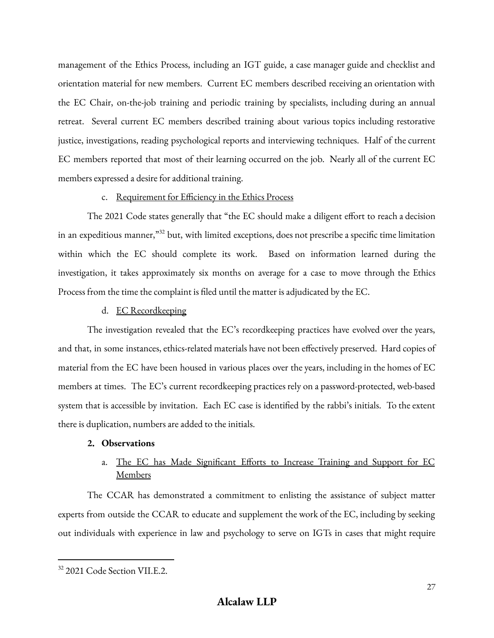management of the Ethics Process, including an IGT guide, a case manager guide and checklist and orientation material for new members. Current EC members described receiving an orientation with the EC Chair, on-the-job training and periodic training by specialists, including during an annual retreat. Several current EC members described training about various topics including restorative justice, investigations, reading psychological reports and interviewing techniques. Half of the current EC members reported that most of their learning occurred on the job. Nearly all of the current EC members expressed a desire for additional training.

## c. Requirement for Efficiency in the Ethics Process

The 2021 Code states generally that "the EC should make a diligent effort to reach a decision in an expeditious manner," <sup>32</sup> but, with limited exceptions, does not prescribe a specific time limitation within which the EC should complete its work. Based on information learned during the investigation, it takes approximately six months on average for a case to move through the Ethics Process from the time the complaint is filed until the matter is adjudicated by the EC.

## d. EC Recordkeeping

The investigation revealed that the EC's recordkeeping practices have evolved over the years, and that, in some instances, ethics-related materials have not been effectively preserved. Hard copies of material from the EC have been housed in various places over the years, including in the homes of EC members at times. The EC's current recordkeeping practices rely on a password-protected, web-based system that is accessible by invitation. Each EC case is identified by the rabbi's initials. To the extent there is duplication, numbers are added to the initials.

#### **2. Observations**

# a. The EC has Made Significant Efforts to Increase Training and Support for EC Members

The CCAR has demonstrated a commitment to enlisting the assistance of subject matter experts from outside the CCAR to educate and supplement the work of the EC, including by seeking out individuals with experience in law and psychology to serve on IGTs in cases that might require

<sup>&</sup>lt;sup>32</sup> 2021 Code Section VII.E.2.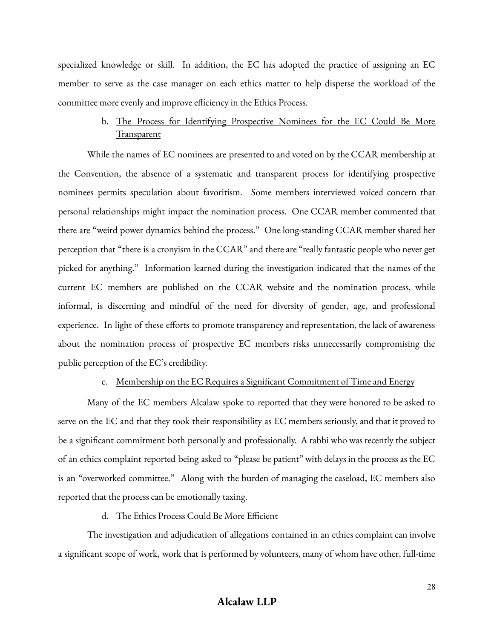specialized knowledge or skill. In addition, the EC has adopted the practice of assigning an EC member to serve as the case manager on each ethics matter to help disperse the workload of the committee more evenly and improve efficiency in the Ethics Process.

# b. The Process for Identifying Prospective Nominees for the EC Could Be More **Transparent**

While the names of EC nominees are presented to and voted on by the CCAR membership at the Convention, the absence of a systematic and transparent process for identifying prospective nominees permits speculation about favoritism. Some members interviewed voiced concern that personal relationships might impact the nomination process. One CCAR member commented that there are "weird power dynamics behind the process." One long-standing CCAR member shared her perception that "there is a cronyism in the CCAR" and there are "really fantastic people who never get picked for anything." Information learned during the investigation indicated that the names of the current EC members are published on the CCAR website and the nomination process, while informal, is discerning and mindful of the need for diversity of gender, age, and professional experience. In light of these efforts to promote transparency and representation, the lack of awareness about the nomination process of prospective EC members risks unnecessarily compromising the public perception of the EC's credibility.

## c. Membership on the EC Requires a Significant Commitment of Time and Energy

Many of the EC members Alcalaw spoke to reported that they were honored to be asked to serve on the EC and that they took their responsibility as EC members seriously, and that it proved to be a significant commitment both personally and professionally. A rabbi who was recently the subject of an ethics complaint reported being asked to "please be patient" with delays in the process as the EC is an "overworked committee." Along with the burden of managing the caseload, EC members also reported that the process can be emotionally taxing.

## d. The Ethics Process Could Be More Efficient

The investigation and adjudication of allegations contained in an ethics complaint can involve a significant scope of work, work that is performed by volunteers, many of whom have other, full-time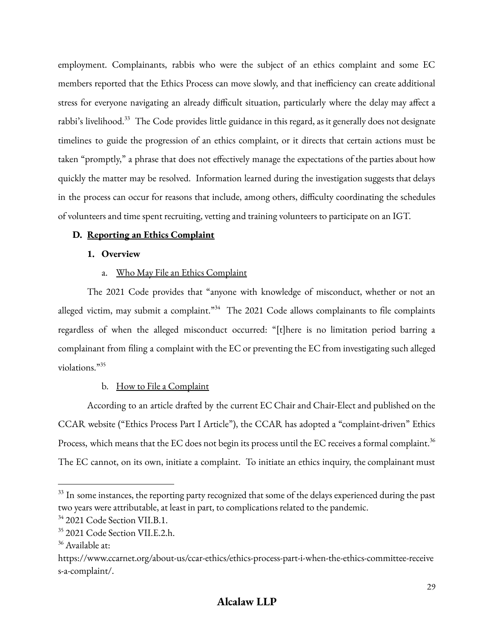employment. Complainants, rabbis who were the subject of an ethics complaint and some EC members reported that the Ethics Process can move slowly, and that inefficiency can create additional stress for everyone navigating an already difficult situation, particularly where the delay may affect a rabbi's livelihood.<sup>33</sup> The Code provides little guidance in this regard, as it generally does not designate timelines to guide the progression of an ethics complaint, or it directs that certain actions must be taken "promptly," a phrase that does not effectively manage the expectations of the parties about how quickly the matter may be resolved. Information learned during the investigation suggests that delays in the process can occur for reasons that include, among others, difficulty coordinating the schedules of volunteers and time spent recruiting, vetting and training volunteers to participate on an IGT.

# **D. Reporting an Ethics Complaint**

## **1. Overview**

# a. Who May File an Ethics Complaint

The 2021 Code provides that "anyone with knowledge of misconduct, whether or not an alleged victim, may submit a complaint."<sup>34</sup> The 2021 Code allows complainants to file complaints regardless of when the alleged misconduct occurred: "[t]here is no limitation period barring a complainant from filing a complaint with the EC or preventing the EC from investigating such alleged violations." 35

# b. How to File a Complaint

According to an article drafted by the current EC Chair and Chair-Elect and published on the CCAR website ("Ethics Process Part I Article"), the CCAR has adopted a "complaint-driven" Ethics Process, which means that the EC does not begin its process until the EC receives a formal complaint. $^{36}$ The EC cannot, on its own, initiate a complaint. To initiate an ethics inquiry, the complainant must

 $^{33}$  In some instances, the reporting party recognized that some of the delays experienced during the past two years were attributable, at least in part, to complications related to the pandemic.

 $34$  2021 Code Section VII.B.1.

<sup>&</sup>lt;sup>35</sup> 2021 Code Section VII.E.2.h.

<sup>&</sup>lt;sup>36</sup> Available at:

https://www.ccarnet.org/about-us/ccar-ethics/ethics-process-part-i-when-the-ethics-committee-receive s-a-complaint/.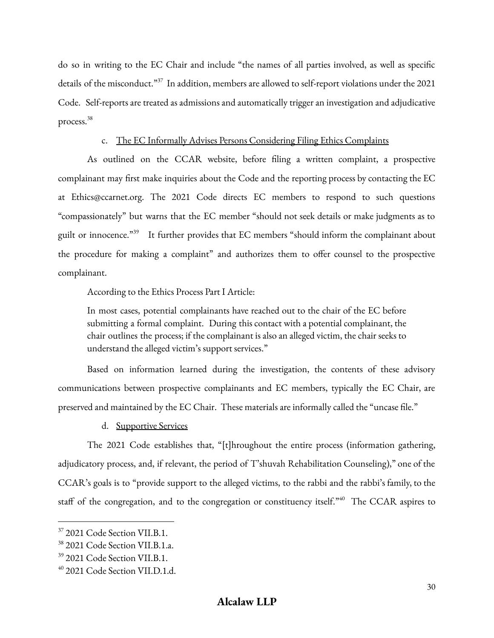do so in writing to the EC Chair and include "the names of all parties involved, as well as specific details of the misconduct."<sup>37</sup> In addition, members are allowed to self-report violations under the 2021 Code. Self-reports are treated as admissions and automatically trigger an investigation and adjudicative process. 38

#### c. The EC Informally Advises Persons Considering Filing Ethics Complaints

As outlined on the CCAR website, before filing a written complaint, a prospective complainant may first make inquiries about the Code and the reporting process by contacting the EC at Ethics@ccarnet.org. The 2021 Code directs EC members to respond to such questions "compassionately" but warns that the EC member "should not seek details or make judgments as to guilt or innocence."<sup>39</sup> It further provides that EC members "should inform the complainant about the procedure for making a complaint" and authorizes them to offer counsel to the prospective complainant.

According to the Ethics Process Part I Article:

In most cases, potential complainants have reached out to the chair of the EC before submitting a formal complaint. During this contact with a potential complainant, the chair outlines the process; if the complainant is also an alleged victim, the chair seeks to understand the alleged victim's support services."

Based on information learned during the investigation, the contents of these advisory communications between prospective complainants and EC members, typically the EC Chair, are preserved and maintained by the EC Chair. These materials are informally called the "uncase file."

d. Supportive Services

The 2021 Code establishes that, "[t]hroughout the entire process (information gathering, adjudicatory process, and, if relevant, the period of T'shuvah Rehabilitation Counseling)," one of the CCAR's goals is to "provide support to the alleged victims, to the rabbi and the rabbi's family, to the staff of the congregation, and to the congregation or constituency itself.<sup>340</sup> The CCAR aspires to

<sup>&</sup>lt;sup>37</sup> 2021 Code Section VII.B.1.

<sup>38</sup> 2021 Code Section VII.B.1.a.

<sup>39</sup> 2021 Code Section VII.B.1.

<sup>40</sup> 2021 Code Section VII.D.1.d.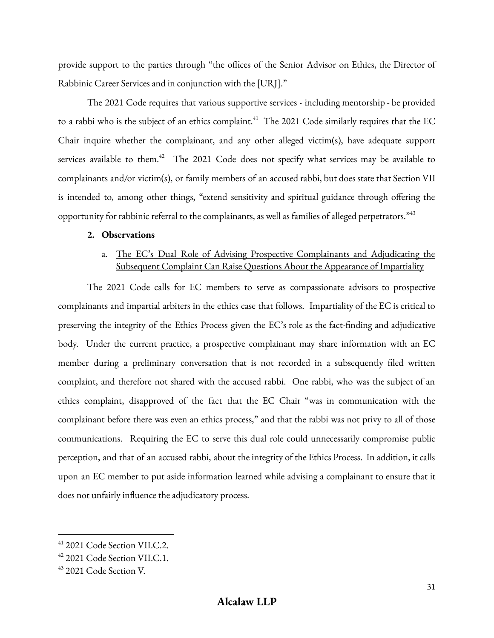provide support to the parties through "the offices of the Senior Advisor on Ethics, the Director of Rabbinic Career Services and in conjunction with the [URJ]."

The 2021 Code requires that various supportive services - including mentorship - be provided to a rabbi who is the subject of an ethics complaint. $\rm ^{41}$  The 2021 Code similarly requires that the EC Chair inquire whether the complainant, and any other alleged victim(s), have adequate support services available to them.<sup>42</sup> The 2021 Code does not specify what services may be available to complainants and/or victim(s), or family members of an accused rabbi, but does state that Section VII is intended to, among other things, "extend sensitivity and spiritual guidance through offering the opportunity for rabbinic referral to the complainants, as well as families of alleged perpetrators." $^{43}$ 

## **2. Observations**

# a. The EC's Dual Role of Advising Prospective Complainants and Adjudicating the Subsequent Complaint Can Raise Questions About the Appearance of Impartiality

The 2021 Code calls for EC members to serve as compassionate advisors to prospective complainants and impartial arbiters in the ethics case that follows. Impartiality of the EC is critical to preserving the integrity of the Ethics Process given the EC's role as the fact-finding and adjudicative body. Under the current practice, a prospective complainant may share information with an EC member during a preliminary conversation that is not recorded in a subsequently filed written complaint, and therefore not shared with the accused rabbi. One rabbi, who was the subject of an ethics complaint, disapproved of the fact that the EC Chair "was in communication with the complainant before there was even an ethics process," and that the rabbi was not privy to all of those communications. Requiring the EC to serve this dual role could unnecessarily compromise public perception, and that of an accused rabbi, about the integrity of the Ethics Process. In addition, it calls upon an EC member to put aside information learned while advising a complainant to ensure that it does not unfairly influence the adjudicatory process.

<sup>41</sup> 2021 Code Section VII.C.2.

<sup>&</sup>lt;sup>42</sup> 2021 Code Section VII.C.1.

<sup>43</sup> 2021 Code Section V.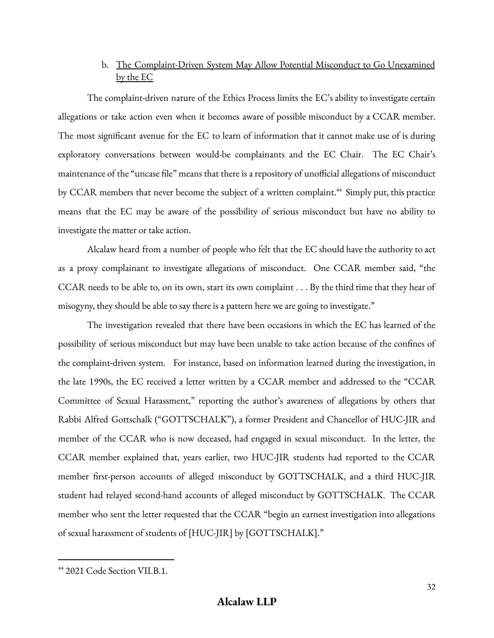# b. The Complaint-Driven System May Allow Potential Misconduct to Go Unexamined by the EC

The complaint-driven nature of the Ethics Process limits the EC's ability to investigate certain allegations or take action even when it becomes aware of possible misconduct by a CCAR member. The most significant avenue for the EC to learn of information that it cannot make use of is during exploratory conversations between would-be complainants and the EC Chair. The EC Chair's maintenance of the "uncase file" means that there is a repository of unofficial allegations of misconduct by CCAR members that never become the subject of a written complaint.<sup>44</sup> Simply put, this practice means that the EC may be aware of the possibility of serious misconduct but have no ability to investigate the matter or take action.

Alcalaw heard from a number of people who felt that the EC should have the authority to act as a proxy complainant to investigate allegations of misconduct. One CCAR member said, "the CCAR needs to be able to, on its own, start its own complaint . . . By the third time that they hear of misogyny, they should be able to say there is a pattern here we are going to investigate."

The investigation revealed that there have been occasions in which the EC has learned of the possibility of serious misconduct but may have been unable to take action because of the confines of the complaint-driven system. For instance, based on information learned during the investigation, in the late 1990s, the EC received a letter written by a CCAR member and addressed to the "CCAR Committee of Sexual Harassment," reporting the author's awareness of allegations by others that Rabbi Alfred Gottschalk ("GOTTSCHALK"), a former President and Chancellor of HUC-JIR and member of the CCAR who is now deceased, had engaged in sexual misconduct. In the letter, the CCAR member explained that, years earlier, two HUC-JIR students had reported to the CCAR member first-person accounts of alleged misconduct by GOTTSCHALK, and a third HUC-JIR student had relayed second-hand accounts of alleged misconduct by GOTTSCHALK. The CCAR member who sent the letter requested that the CCAR "begin an earnest investigation into allegations of sexual harassment of students of [HUC-JIR] by [GOTTSCHALK]."

 $44$  2021 Code Section VII.B.1.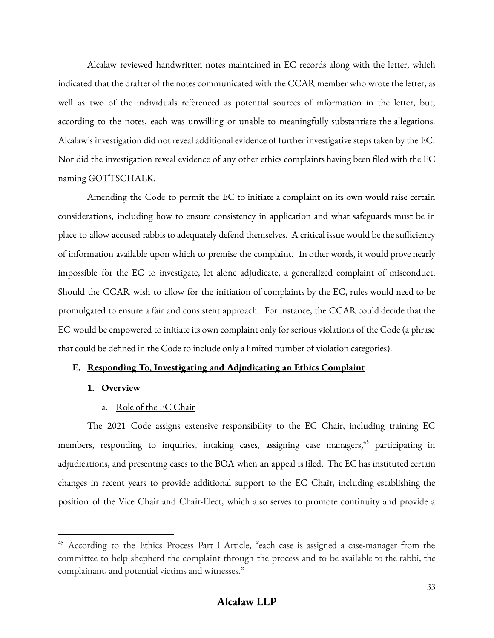Alcalaw reviewed handwritten notes maintained in EC records along with the letter, which indicated that the drafter of the notes communicated with the CCAR member who wrote the letter, as well as two of the individuals referenced as potential sources of information in the letter, but, according to the notes, each was unwilling or unable to meaningfully substantiate the allegations. Alcalaw's investigation did not reveal additional evidence of further investigative steps taken by the EC. Nor did the investigation reveal evidence of any other ethics complaints having been filed with the EC naming GOTTSCHALK.

Amending the Code to permit the EC to initiate a complaint on its own would raise certain considerations, including how to ensure consistency in application and what safeguards must be in place to allow accused rabbis to adequately defend themselves. A critical issue would be the sufficiency of information available upon which to premise the complaint. In other words, it would prove nearly impossible for the EC to investigate, let alone adjudicate, a generalized complaint of misconduct. Should the CCAR wish to allow for the initiation of complaints by the EC, rules would need to be promulgated to ensure a fair and consistent approach. For instance, the CCAR could decide that the EC would be empowered to initiate its own complaint only for serious violations of the Code (a phrase that could be defined in the Code to include only a limited number of violation categories).

## **E. Responding To, Investigating and Adjudicating an Ethics Complaint**

#### **1. Overview**

## a. Role of the EC Chair

The 2021 Code assigns extensive responsibility to the EC Chair, including training EC members, responding to inquiries, intaking cases, assigning case managers, <sup>45</sup> participating in adjudications, and presenting cases to the BOA when an appeal is filed. The EC has instituted certain changes in recent years to provide additional support to the EC Chair, including establishing the position of the Vice Chair and Chair-Elect, which also serves to promote continuity and provide a

<sup>&</sup>lt;sup>45</sup> According to the Ethics Process Part I Article, "each case is assigned a case-manager from the committee to help shepherd the complaint through the process and to be available to the rabbi, the complainant, and potential victims and witnesses."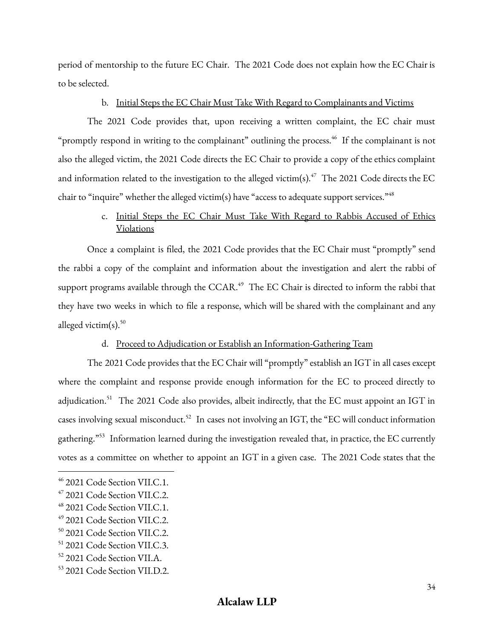period of mentorship to the future EC Chair. The 2021 Code does not explain how the EC Chair is to be selected.

## b. Initial Steps the EC Chair Must Take With Regard to Complainants and Victims

The 2021 Code provides that, upon receiving a written complaint, the EC chair must "promptly respond in writing to the complainant" outlining the process. 46 If the complainant is not also the alleged victim, the 2021 Code directs the EC Chair to provide a copy of the ethics complaint and information related to the investigation to the alleged victim(s). $^{47}$  The 2021 Code directs the EC chair to "inquire" whether the alleged victim(s) have "access to adequate support services."  $^{48}$ 

# c. Initial Steps the EC Chair Must Take With Regard to Rabbis Accused of Ethics Violations

Once a complaint is filed, the 2021 Code provides that the EC Chair must "promptly" send the rabbi a copy of the complaint and information about the investigation and alert the rabbi of support programs available through the  ${\rm CCAR.}^{\rm 49}$  The EC Chair is directed to inform the rabbi that they have two weeks in which to file a response, which will be shared with the complainant and any alleged victim(s). $50$ 

## d. Proceed to Adjudication or Establish an Information-Gathering Team

The 2021 Code provides that the EC Chair will "promptly" establish an IGT in all cases except where the complaint and response provide enough information for the EC to proceed directly to adjudication.<sup>51</sup> The 2021 Code also provides, albeit indirectly, that the EC must appoint an IGT in cases involving sexual misconduct.<sup>52</sup> In cases not involving an IGT, the "EC will conduct information gathering." Information learned during the investigation revealed that, in practice, the EC currently votes as a committee on whether to appoint an IGT in a given case. The 2021 Code states that the

<sup>46</sup> 2021 Code Section VII.C.1.

 $47$  2021 Code Section VII.C.2.

 $48$  2021 Code Section VII.C.1.

<sup>49</sup> 2021 Code Section VII.C.2.

<sup>50</sup> 2021 Code Section VII.C.2.

<sup>51</sup> 2021 Code Section VII.C.3.

<sup>52</sup> 2021 Code Section VII.A.

<sup>53</sup> 2021 Code Section VII.D.2.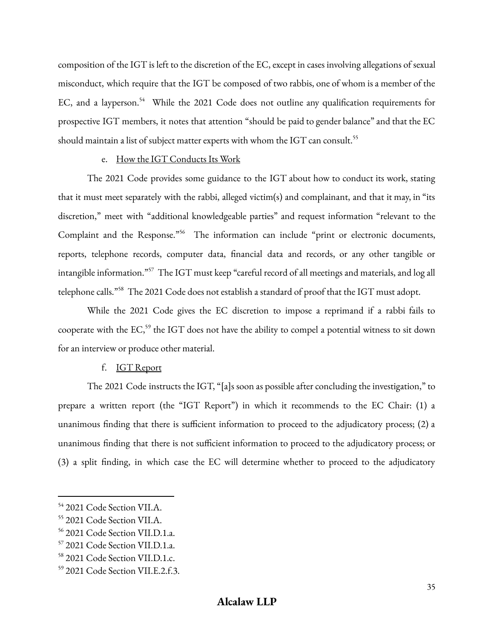composition of the IGT is left to the discretion of the EC, except in cases involving allegations of sexual misconduct, which require that the IGT be composed of two rabbis, one of whom is a member of the EC, and a layperson.<sup>54</sup> While the 2021 Code does not outline any qualification requirements for prospective IGT members, it notes that attention "should be paid to gender balance" and that the EC should maintain a list of subject matter experts with whom the IGT can consult.  $^{55}$ 

#### e. How the IGT Conducts Its Work

The 2021 Code provides some guidance to the IGT about how to conduct its work, stating that it must meet separately with the rabbi, alleged victim(s) and complainant, and that it may, in "its discretion," meet with "additional knowledgeable parties" and request information "relevant to the Complaint and the Response."<sup>56</sup> The information can include "print or electronic documents, reports, telephone records, computer data, financial data and records, or any other tangible or intangible information." <sup>57</sup> The IGT must keep "careful record of all meetings and materials, and log all telephone calls."<sup>58</sup> The 2021 Code does not establish a standard of proof that the IGT must adopt.

While the 2021 Code gives the EC discretion to impose a reprimand if a rabbi fails to cooperate with the EC, $^{59}$  the IGT does not have the ability to compel a potential witness to sit down for an interview or produce other material.

#### f. IGT Report

The 2021 Code instructs the IGT, "[a]s soon as possible after concluding the investigation," to prepare a written report (the "IGT Report") in which it recommends to the EC Chair: (1) a unanimous finding that there is sufficient information to proceed to the adjudicatory process; (2) a unanimous finding that there is not sufficient information to proceed to the adjudicatory process; or (3) a split finding, in which case the EC will determine whether to proceed to the adjudicatory

<sup>54</sup> 2021 Code Section VII.A.

<sup>55</sup> 2021 Code Section VII.A.

<sup>56</sup> 2021 Code Section VII.D.1.a.

<sup>57</sup> 2021 Code Section VII.D.1.a.

<sup>58</sup> 2021 Code Section VII.D.1.c.

<sup>59</sup> 2021 Code Section VII.E.2.f.3.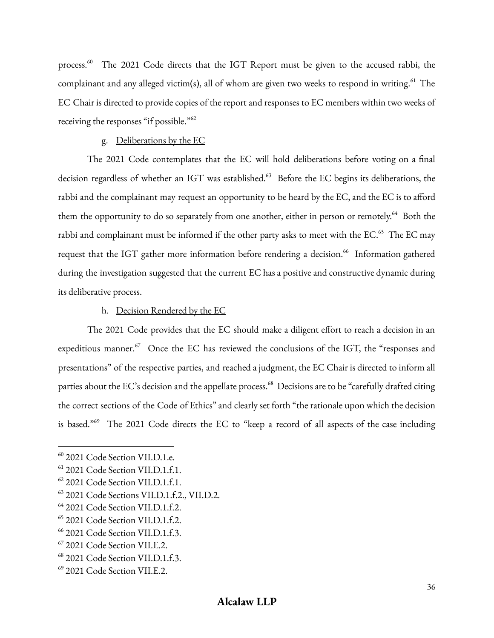process.<sup>60</sup> The 2021 Code directs that the IGT Report must be given to the accused rabbi, the complainant and any alleged victim(s), all of whom are given two weeks to respond in writing. $^{61}$  The EC Chair is directed to provide copies of the report and responses to EC members within two weeks of receiving the responses "if possible."<sup>62</sup>

#### g. Deliberations by the EC

The 2021 Code contemplates that the EC will hold deliberations before voting on a final decision regardless of whether an IGT was established. <sup>63</sup> Before the EC begins its deliberations, the rabbi and the complainant may request an opportunity to be heard by the EC, and the EC is to afford them the opportunity to do so separately from one another, either in person or remotely.<sup>64</sup> Both the rabbi and complainant must be informed if the other party asks to meet with the EC.<sup>65</sup> The EC may request that the IGT gather more information before rendering a decision. 66 Information gathered during the investigation suggested that the current EC has a positive and constructive dynamic during its deliberative process.

#### h. Decision Rendered by the EC

The 2021 Code provides that the EC should make a diligent effort to reach a decision in an expeditious manner.<sup>67</sup> Once the EC has reviewed the conclusions of the IGT, the "responses and presentations" of the respective parties, and reached a judgment, the EC Chair is directed to inform all parties about the EC's decision and the appellate process.<sup>68</sup> Decisions are to be "carefully drafted citing the correct sections of the Code of Ethics" and clearly set forth "the rationale upon which the decision is based."<sup>69</sup> The 2021 Code directs the EC to "keep a record of all aspects of the case including

<sup>60</sup> 2021 Code Section VII.D.1.e.

<sup>&</sup>lt;sup>61</sup> 2021 Code Section VII.D.1.f.1.

<sup>&</sup>lt;sup>62</sup> 2021 Code Section VII.D.1.f.1.

<sup>&</sup>lt;sup>63</sup> 2021 Code Sections VII.D.1.f.2., VII.D.2.

<sup>&</sup>lt;sup>64</sup> 2021 Code Section VII.D.1.f.2.

<sup>65</sup> 2021 Code Section VII.D.1.f.2.

<sup>&</sup>lt;sup>66</sup> 2021 Code Section VII.D.1.f.3.

<sup>67</sup> 2021 Code Section VII.E.2.

<sup>&</sup>lt;sup>68</sup> 2021 Code Section VII.D.1.f.3.

<sup>69</sup> 2021 Code Section VII.E.2.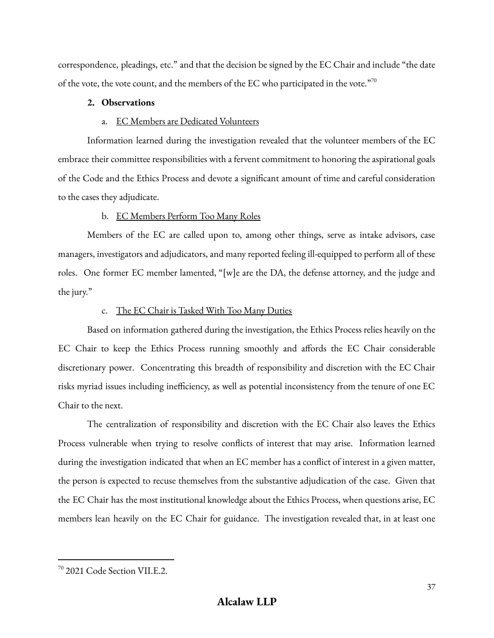correspondence, pleadings, etc." and that the decision be signed by the EC Chair and include "the date of the vote, the vote count, and the members of the EC who participated in the vote." $70$ 

### **2. Observations**

### a. EC Members are Dedicated Volunteers

Information learned during the investigation revealed that the volunteer members of the EC embrace their committee responsibilities with a fervent commitment to honoring the aspirational goals of the Code and the Ethics Process and devote a significant amount of time and careful consideration to the cases they adjudicate.

## b. EC Members Perform Too Many Roles

Members of the EC are called upon to, among other things, serve as intake advisors, case managers, investigators and adjudicators, and many reported feeling ill-equipped to perform all of these roles. One former EC member lamented, "[w]e are the DA, the defense attorney, and the judge and the jury."

## c. The EC Chair is Tasked With Too Many Duties

Based on information gathered during the investigation, the Ethics Process relies heavily on the EC Chair to keep the Ethics Process running smoothly and affords the EC Chair considerable discretionary power. Concentrating this breadth of responsibility and discretion with the EC Chair risks myriad issues including inefficiency, as well as potential inconsistency from the tenure of one EC Chair to the next.

The centralization of responsibility and discretion with the EC Chair also leaves the Ethics Process vulnerable when trying to resolve conflicts of interest that may arise. Information learned during the investigation indicated that when an EC member has a conflict of interest in a given matter, the person is expected to recuse themselves from the substantive adjudication of the case. Given that the EC Chair has the most institutional knowledge about the Ethics Process, when questions arise, EC members lean heavily on the EC Chair for guidance. The investigation revealed that, in at least one

<sup>70</sup> 2021 Code Section VII.E.2.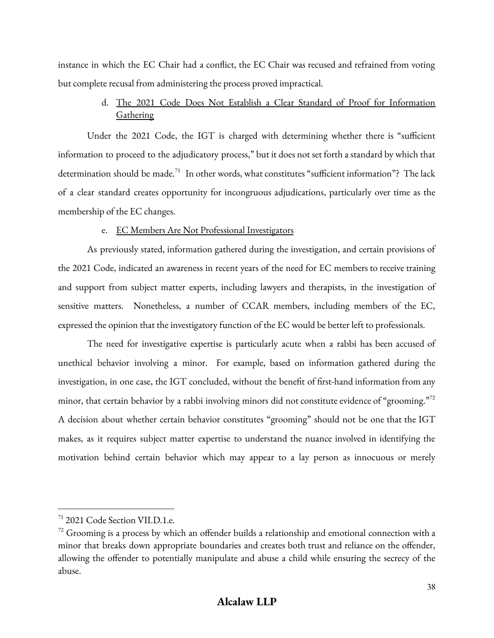instance in which the EC Chair had a conflict, the EC Chair was recused and refrained from voting but complete recusal from administering the process proved impractical.

# d. The 2021 Code Does Not Establish a Clear Standard of Proof for Information **Gathering**

Under the 2021 Code, the IGT is charged with determining whether there is "sufficient information to proceed to the adjudicatory process," but it does not set forth a standard by which that determination should be made.<sup>71</sup> In other words, what constitutes "sufficient information"? The lack of a clear standard creates opportunity for incongruous adjudications, particularly over time as the membership of the EC changes.

### e. EC Members Are Not Professional Investigators

As previously stated, information gathered during the investigation, and certain provisions of the 2021 Code, indicated an awareness in recent years of the need for EC members to receive training and support from subject matter experts, including lawyers and therapists, in the investigation of sensitive matters. Nonetheless, a number of CCAR members, including members of the EC, expressed the opinion that the investigatory function of the EC would be better left to professionals.

The need for investigative expertise is particularly acute when a rabbi has been accused of unethical behavior involving a minor. For example, based on information gathered during the investigation, in one case, the IGT concluded, without the benefit of first-hand information from any minor, that certain behavior by a rabbi involving minors did not constitute evidence of "grooming." $^{72}$ A decision about whether certain behavior constitutes "grooming" should not be one that the IGT makes, as it requires subject matter expertise to understand the nuance involved in identifying the motivation behind certain behavior which may appear to a lay person as innocuous or merely

 $71$  2021 Code Section VII.D.1.e.

 $72$  Grooming is a process by which an offender builds a relationship and emotional connection with a minor that breaks down appropriate boundaries and creates both trust and reliance on the offender, allowing the offender to potentially manipulate and abuse a child while ensuring the secrecy of the abuse.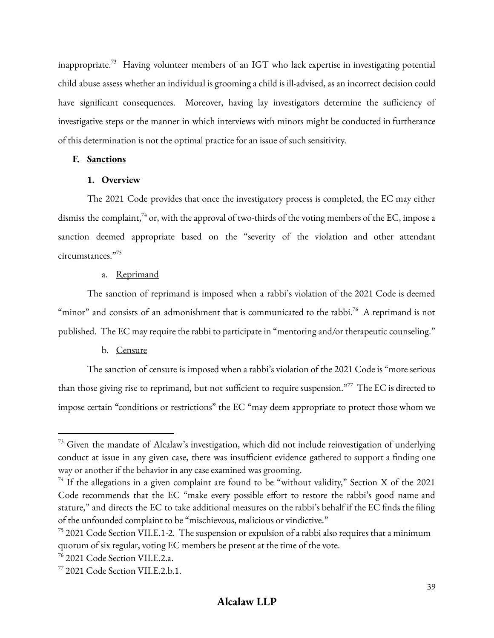inappropriate.<sup>73</sup> Having volunteer members of an IGT who lack expertise in investigating potential child abuse assess whether an individual is grooming a child is ill-advised, as an incorrect decision could have significant consequences. Moreover, having lay investigators determine the sufficiency of investigative steps or the manner in which interviews with minors might be conducted in furtherance of this determination is not the optimal practice for an issue of such sensitivity.

#### **F. Sanctions**

#### **1. Overview**

The 2021 Code provides that once the investigatory process is completed, the EC may either dismiss the complaint, $^{74}$  or, with the approval of two-thirds of the voting members of the EC, impose a sanction deemed appropriate based on the "severity of the violation and other attendant circumstances." 75

#### a. Reprimand

The sanction of reprimand is imposed when a rabbi's violation of the 2021 Code is deemed "minor" and consists of an admonishment that is communicated to the rabbi.<sup>76</sup> A reprimand is not published. The EC may require the rabbi to participate in "mentoring and/or therapeutic counseling."

### b. Censure

The sanction of censure is imposed when a rabbi's violation of the 2021 Code is "more serious than those giving rise to reprimand, but not sufficient to require suspension."<sup>77</sup> The EC is directed to impose certain "conditions or restrictions" the EC "may deem appropriate to protect those whom we

 $73$  Given the mandate of Alcalaw's investigation, which did not include reinvestigation of underlying conduct at issue in any given case, there was insufficient evidence gathered to support a finding one way or another if the behavior in any case examined was grooming.

 $^{74}$  If the allegations in a given complaint are found to be "without validity," Section X of the 2021 Code recommends that the EC "make every possible effort to restore the rabbi's good name and stature," and directs the EC to take additional measures on the rabbi's behalf if the EC finds the filing of the unfounded complaint to be "mischievous, malicious or vindictive."

<sup>&</sup>lt;sup>75</sup> 2021 Code Section VII.E.1-2. The suspension or expulsion of a rabbi also requires that a minimum quorum of six regular, voting EC members be present at the time of the vote.

 $76$  2021 Code Section VII.E.2.a.

<sup>77</sup> 2021 Code Section VII.E.2.b.1.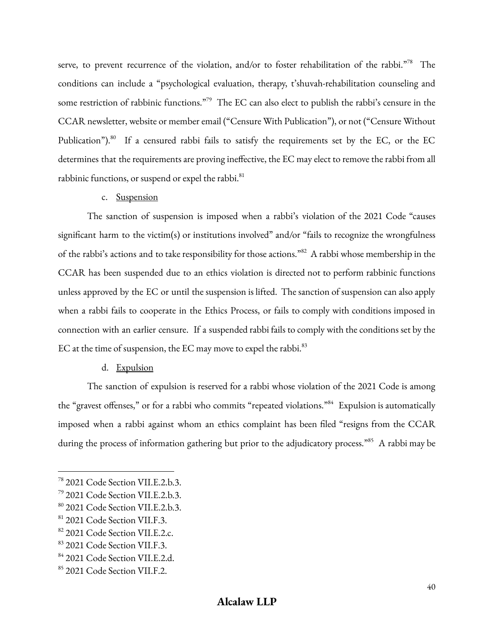serve, to prevent recurrence of the violation, and/or to foster rehabilitation of the rabbi."<sup>78</sup> The conditions can include a "psychological evaluation, therapy, t'shuvah-rehabilitation counseling and some restriction of rabbinic functions."<sup>79</sup> The EC can also elect to publish the rabbi's censure in the CCAR newsletter, website or member email ("Censure With Publication"), or not ("Censure Without Publication").<sup>80</sup> If a censured rabbi fails to satisfy the requirements set by the EC, or the EC determines that the requirements are proving ineffective, the EC may elect to remove the rabbi from all rabbinic functions, or suspend or expel the rabbi.<sup>81</sup>

#### c. Suspension

The sanction of suspension is imposed when a rabbi's violation of the 2021 Code "causes significant harm to the victim(s) or institutions involved" and/or "fails to recognize the wrongfulness of the rabbi's actions and to take responsibility for those actions."<sup>82</sup> A rabbi whose membership in the CCAR has been suspended due to an ethics violation is directed not to perform rabbinic functions unless approved by the EC or until the suspension is lifted. The sanction of suspension can also apply when a rabbi fails to cooperate in the Ethics Process, or fails to comply with conditions imposed in connection with an earlier censure. If a suspended rabbi fails to comply with the conditions set by the EC at the time of suspension, the EC may move to expel the rabbi. $^{83}$ 

#### d. Expulsion

The sanction of expulsion is reserved for a rabbi whose violation of the 2021 Code is among the "gravest offenses," or for a rabbi who commits "repeated violations."<sup>84</sup> Expulsion is automatically imposed when a rabbi against whom an ethics complaint has been filed "resigns from the CCAR during the process of information gathering but prior to the adjudicatory process."<sup>85</sup> A rabbi may be

<sup>78</sup> 2021 Code Section VII.E.2.b.3.

<sup>79</sup> 2021 Code Section VII.E.2.b.3.

<sup>80</sup> 2021 Code Section VII.E.2.b.3.

<sup>81</sup> 2021 Code Section VII.F.3.

<sup>82 2021</sup> Code Section VII.E.2.c.

<sup>83</sup> 2021 Code Section VII.F.3.

<sup>&</sup>lt;sup>84</sup> 2021 Code Section VII.E.2.d.

<sup>85</sup> 2021 Code Section VII.F.2.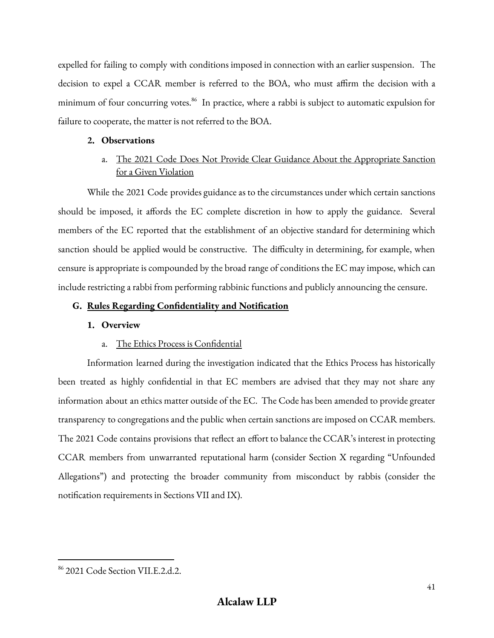expelled for failing to comply with conditions imposed in connection with an earlier suspension. The decision to expel a CCAR member is referred to the BOA, who must affirm the decision with a minimum of four concurring votes. 86 In practice, where a rabbi is subject to automatic expulsion for failure to cooperate, the matter is not referred to the BOA.

### **2. Observations**

# a. The 2021 Code Does Not Provide Clear Guidance About the Appropriate Sanction for a Given Violation

While the 2021 Code provides guidance as to the circumstances under which certain sanctions should be imposed, it affords the EC complete discretion in how to apply the guidance. Several members of the EC reported that the establishment of an objective standard for determining which sanction should be applied would be constructive. The difficulty in determining, for example, when censure is appropriate is compounded by the broad range of conditions the EC may impose, which can include restricting a rabbi from performing rabbinic functions and publicly announcing the censure.

### **G. Rules Regarding Confidentiality and Notification**

### **1. Overview**

### a. The Ethics Process is Confidential

Information learned during the investigation indicated that the Ethics Process has historically been treated as highly confidential in that EC members are advised that they may not share any information about an ethics matter outside of the EC. The Code has been amended to provide greater transparency to congregations and the public when certain sanctions are imposed on CCAR members. The 2021 Code contains provisions that reflect an effort to balance the CCAR's interest in protecting CCAR members from unwarranted reputational harm (consider Section X regarding "Unfounded Allegations") and protecting the broader community from misconduct by rabbis (consider the notification requirements in Sections VII and IX).

<sup>86</sup> 2021 Code Section VII.E.2.d.2.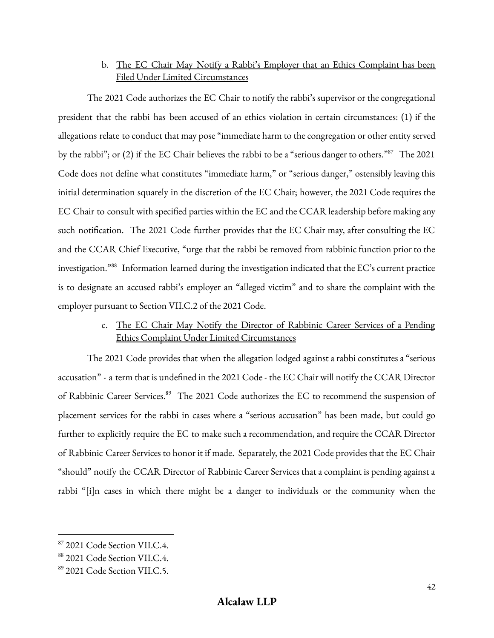# b. The EC Chair May Notify a Rabbi's Employer that an Ethics Complaint has been Filed Under Limited Circumstances

The 2021 Code authorizes the EC Chair to notify the rabbi's supervisor or the congregational president that the rabbi has been accused of an ethics violation in certain circumstances: (1) if the allegations relate to conduct that may pose "immediate harm to the congregation or other entity served by the rabbi"; or (2) if the EC Chair believes the rabbi to be a "serious danger to others."<sup>87</sup> The 2021 Code does not define what constitutes "immediate harm," or "serious danger," ostensibly leaving this initial determination squarely in the discretion of the EC Chair; however, the 2021 Code requires the EC Chair to consult with specified parties within the EC and the CCAR leadership before making any such notification. The 2021 Code further provides that the EC Chair may, after consulting the EC and the CCAR Chief Executive, "urge that the rabbi be removed from rabbinic function prior to the investigation." $^{388}$  Information learned during the investigation indicated that the EC's current practice is to designate an accused rabbi's employer an "alleged victim" and to share the complaint with the employer pursuant to Section VII.C.2 of the 2021 Code.

# c. The EC Chair May Notify the Director of Rabbinic Career Services of a Pending Ethics Complaint Under Limited Circumstances

The 2021 Code provides that when the allegation lodged against a rabbi constitutes a "serious accusation" - a term that is undefined in the 2021 Code - the EC Chair will notify the CCAR Director of Rabbinic Career Services.<sup>89</sup> The 2021 Code authorizes the EC to recommend the suspension of placement services for the rabbi in cases where a "serious accusation" has been made, but could go further to explicitly require the EC to make such a recommendation, and require the CCAR Director of Rabbinic Career Services to honor it if made. Separately, the 2021 Code provides that the EC Chair "should" notify the CCAR Director of Rabbinic Career Services that a complaint is pending against a rabbi "[i]n cases in which there might be a danger to individuals or the community when the

<sup>87</sup> 2021 Code Section VII.C.4.

<sup>88</sup> 2021 Code Section VII.C.4.

<sup>89</sup> 2021 Code Section VII.C.5.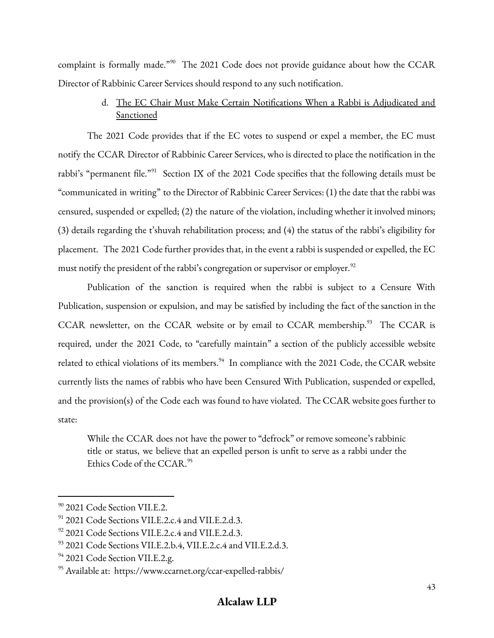complaint is formally made."<sup>90</sup> The 2021 Code does not provide guidance about how the CCAR Director of Rabbinic Career Services should respond to any such notification.

# d. The EC Chair Must Make Certain Notifications When a Rabbi is Adjudicated and **Sanctioned**

The 2021 Code provides that if the EC votes to suspend or expel a member, the EC must notify the CCAR Director of Rabbinic Career Services, who is directed to place the notification in the rabbi's "permanent file."<sup>91</sup> Section IX of the 2021 Code specifies that the following details must be "communicated in writing" to the Director of Rabbinic Career Services: (1) the date that the rabbi was censured, suspended or expelled; (2) the nature of the violation, including whether it involved minors; (3) details regarding the t'shuvah rehabilitation process; and (4) the status of the rabbi's eligibility for placement. The 2021 Code further provides that, in the event a rabbi is suspended or expelled, the EC must notify the president of the rabbi's congregation or supervisor or employer. $^{92}$ 

Publication of the sanction is required when the rabbi is subject to a Censure With Publication, suspension or expulsion, and may be satisfied by including the fact of the sanction in the CCAR newsletter, on the CCAR website or by email to CCAR membership.<sup>93</sup> The CCAR is required, under the 2021 Code, to "carefully maintain" a section of the publicly accessible website related to ethical violations of its members.<sup>94</sup> In compliance with the 2021 Code, the CCAR website currently lists the names of rabbis who have been Censured With Publication, suspended or expelled, and the provision(s) of the Code each was found to have violated. The CCAR website goes further to state:

While the CCAR does not have the power to "defrock" or remove someone's rabbinic title or status, we believe that an expelled person is unfit to serve as a rabbi under the Ethics Code of the CCAR. 95

<sup>&</sup>lt;sup>90</sup> 2021 Code Section VII.E.2.

 $91$  2021 Code Sections VII.E.2.c.4 and VII.E.2.d.3.

 $92$  2021 Code Sections VII.E.2.c.4 and VII.E.2.d.3.

<sup>93</sup> 2021 Code Sections VII.E.2.b.4, VII.E.2.c.4 and VII.E.2.d.3.

<sup>&</sup>lt;sup>94</sup> 2021 Code Section VII.E.2.g.

<sup>95</sup> Available at: https://www.ccarnet.org/ccar-expelled-rabbis/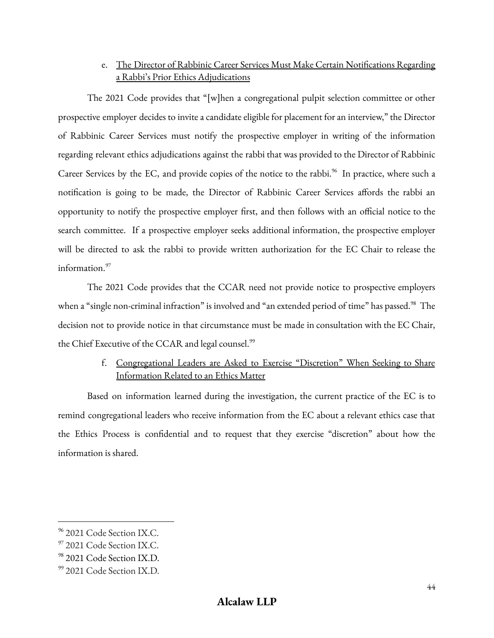# e. The Director of Rabbinic Career Services Must Make Certain Notifications Regarding a Rabbi's Prior Ethics Adjudications

The 2021 Code provides that "[w]hen a congregational pulpit selection committee or other prospective employer decides to invite a candidate eligible for placement for an interview," the Director of Rabbinic Career Services must notify the prospective employer in writing of the information regarding relevant ethics adjudications against the rabbi that was provided to the Director of Rabbinic Career Services by the EC, and provide copies of the notice to the rabbi.<sup>96</sup> In practice, where such a notification is going to be made, the Director of Rabbinic Career Services affords the rabbi an opportunity to notify the prospective employer first, and then follows with an official notice to the search committee. If a prospective employer seeks additional information, the prospective employer will be directed to ask the rabbi to provide written authorization for the EC Chair to release the information. 97

The 2021 Code provides that the CCAR need not provide notice to prospective employers when a "single non-criminal infraction" is involved and "an extended period of time" has passed.<sup>98</sup> The decision not to provide notice in that circumstance must be made in consultation with the EC Chair, the Chief Executive of the CCAR and legal counsel.<sup>99</sup>

# f. Congregational Leaders are Asked to Exercise "Discretion" When Seeking to Share Information Related to an Ethics Matter

Based on information learned during the investigation, the current practice of the EC is to remind congregational leaders who receive information from the EC about a relevant ethics case that the Ethics Process is confidential and to request that they exercise "discretion" about how the information is shared.

<sup>% 2021</sup> Code Section IX.C.

<sup>97</sup> 2021 Code Section IX.C.

<sup>98</sup> 2021 Code Section IX.D.

<sup>99</sup> 2021 Code Section IX.D.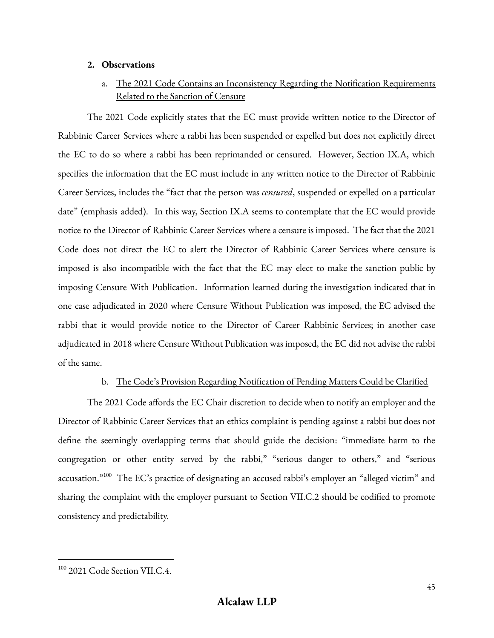### **2. Observations**

# a. The 2021 Code Contains an Inconsistency Regarding the Notification Requirements Related to the Sanction of Censure

The 2021 Code explicitly states that the EC must provide written notice to the Director of Rabbinic Career Services where a rabbi has been suspended or expelled but does not explicitly direct the EC to do so where a rabbi has been reprimanded or censured. However, Section IX.A, which specifies the information that the EC must include in any written notice to the Director of Rabbinic Career Services, includes the "fact that the person was *censured*, suspended or expelled on a particular date" (emphasis added). In this way, Section IX.A seems to contemplate that the EC would provide notice to the Director of Rabbinic Career Services where a censure is imposed. The fact that the 2021 Code does not direct the EC to alert the Director of Rabbinic Career Services where censure is imposed is also incompatible with the fact that the EC may elect to make the sanction public by imposing Censure With Publication. Information learned during the investigation indicated that in one case adjudicated in 2020 where Censure Without Publication was imposed, the EC advised the rabbi that it would provide notice to the Director of Career Rabbinic Services; in another case adjudicated in 2018 where Censure Without Publication was imposed, the EC did not advise the rabbi of the same.

### b. The Code's Provision Regarding Notification of Pending Matters Could be Clarified

The 2021 Code affords the EC Chair discretion to decide when to notify an employer and the Director of Rabbinic Career Services that an ethics complaint is pending against a rabbi but does not define the seemingly overlapping terms that should guide the decision: "immediate harm to the congregation or other entity served by the rabbi," "serious danger to others," and "serious accusation."<sup>100</sup> The EC's practice of designating an accused rabbi's employer an "alleged victim" and sharing the complaint with the employer pursuant to Section VII.C.2 should be codified to promote consistency and predictability.

<sup>&</sup>lt;sup>100</sup> 2021 Code Section VII.C.4.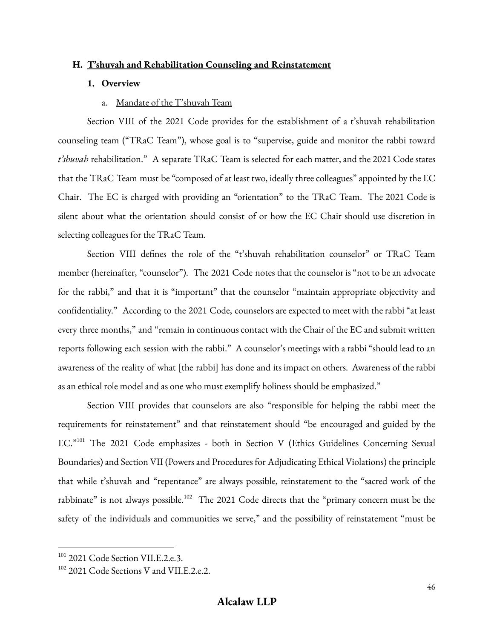#### **H. T'shuvah and Rehabilitation Counseling and Reinstatement**

#### **1. Overview**

#### a. Mandate of the T'shuvah Team

Section VIII of the 2021 Code provides for the establishment of a t'shuvah rehabilitation counseling team ("TRaC Team"), whose goal is to "supervise, guide and monitor the rabbi toward *t'shuvah* rehabilitation." A separate TRaC Team is selected for each matter, and the 2021 Code states that the TRaC Team must be "composed of at least two, ideally three colleagues" appointed by the EC Chair. The EC is charged with providing an "orientation" to the TRaC Team. The 2021 Code is silent about what the orientation should consist of or how the EC Chair should use discretion in selecting colleagues for the TRaC Team.

Section VIII defines the role of the "t'shuvah rehabilitation counselor" or TRaC Team member (hereinafter, "counselor"). The 2021 Code notes that the counselor is "not to be an advocate for the rabbi," and that it is "important" that the counselor "maintain appropriate objectivity and confidentiality." According to the 2021 Code, counselors are expected to meet with the rabbi "at least every three months," and "remain in continuous contact with the Chair of the EC and submit written reports following each session with the rabbi." A counselor's meetings with a rabbi "should lead to an awareness of the reality of what [the rabbi] has done and its impact on others. Awareness of the rabbi as an ethical role model and as one who must exemplify holiness should be emphasized."

Section VIII provides that counselors are also "responsible for helping the rabbi meet the requirements for reinstatement" and that reinstatement should "be encouraged and guided by the EC."<sup>101</sup> The 2021 Code emphasizes - both in Section V (Ethics Guidelines Concerning Sexual Boundaries) and Section VII (Powers and Procedures for Adjudicating Ethical Violations) the principle that while t'shuvah and "repentance" are always possible, reinstatement to the "sacred work of the rabbinate" is not always possible.<sup>102</sup> The 2021 Code directs that the "primary concern must be the safety of the individuals and communities we serve," and the possibility of reinstatement "must be

<sup>&</sup>lt;sup>101</sup> 2021 Code Section VII.E.2.e.3.

<sup>&</sup>lt;sup>102</sup> 2021 Code Sections V and VII.E.2.e.2.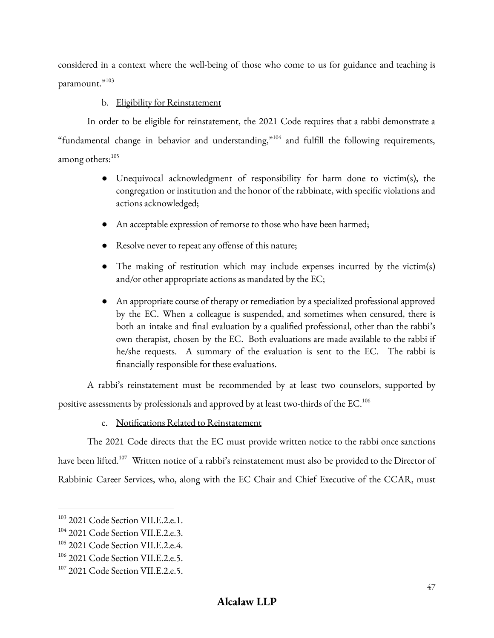considered in a context where the well-being of those who come to us for guidance and teaching is paramount."<sup>103</sup>

### b. Eligibility for Reinstatement

In order to be eligible for reinstatement, the 2021 Code requires that a rabbi demonstrate a "fundamental change in behavior and understanding," $104$  and fulfill the following requirements, among others: 105

- Unequivocal acknowledgment of responsibility for harm done to victim(s), the congregation or institution and the honor of the rabbinate, with specific violations and actions acknowledged;
- An acceptable expression of remorse to those who have been harmed;
- Resolve never to repeat any offense of this nature;
- The making of restitution which may include expenses incurred by the victim(s) and/or other appropriate actions as mandated by the EC;
- An appropriate course of therapy or remediation by a specialized professional approved by the EC. When a colleague is suspended, and sometimes when censured, there is both an intake and final evaluation by a qualified professional, other than the rabbi's own therapist, chosen by the EC. Both evaluations are made available to the rabbi if he/she requests. A summary of the evaluation is sent to the EC. The rabbi is financially responsible for these evaluations.

A rabbi's reinstatement must be recommended by at least two counselors, supported by positive assessments by professionals and approved by at least two-thirds of the EC. $^{106}$ 

c. Notifications Related to Reinstatement

The 2021 Code directs that the EC must provide written notice to the rabbi once sanctions have been lifted. $^{107}$  Written notice of a rabbi's reinstatement must also be provided to the Director of Rabbinic Career Services, who, along with the EC Chair and Chief Executive of the CCAR, must

<sup>&</sup>lt;sup>103</sup> 2021 Code Section VII.E.2.e.1.

<sup>&</sup>lt;sup>104</sup> 2021 Code Section VII.E.2.e.3.

<sup>&</sup>lt;sup>105</sup> 2021 Code Section VII.E.2.e.4.

<sup>&</sup>lt;sup>106</sup> 2021 Code Section VII.E.2.e.5.

<sup>&</sup>lt;sup>107</sup> 2021 Code Section VII.E.2.e.5.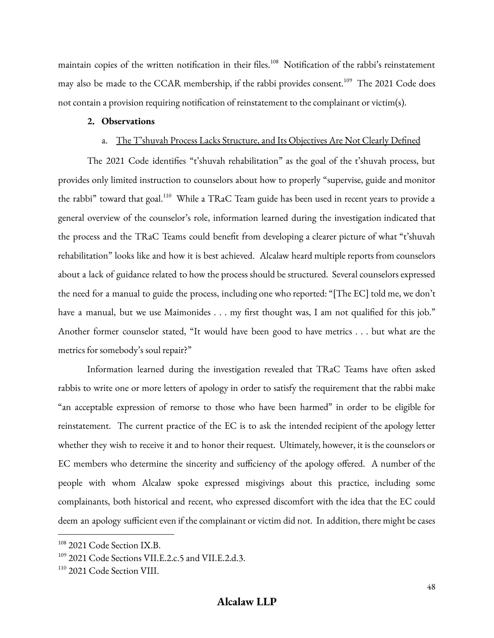maintain copies of the written notification in their files.<sup>108</sup> Notification of the rabbi's reinstatement may also be made to the CCAR membership, if the rabbi provides consent.<sup>109</sup> The 2021 Code does not contain a provision requiring notification of reinstatement to the complainant or victim(s).

#### **2. Observations**

#### a. The T'shuvah Process Lacks Structure, and Its Objectives Are Not Clearly Defined

The 2021 Code identifies "t'shuvah rehabilitation" as the goal of the t'shuvah process, but provides only limited instruction to counselors about how to properly "supervise, guide and monitor the rabbi" toward that goal.<sup>110</sup> While a TRaC Team guide has been used in recent years to provide a general overview of the counselor's role, information learned during the investigation indicated that the process and the TRaC Teams could benefit from developing a clearer picture of what "t'shuvah rehabilitation" looks like and how it is best achieved. Alcalaw heard multiple reports from counselors about a lack of guidance related to how the process should be structured. Several counselors expressed the need for a manual to guide the process, including one who reported: "[The EC] told me, we don't have a manual, but we use Maimonides . . . my first thought was, I am not qualified for this job." Another former counselor stated, "It would have been good to have metrics . . . but what are the metrics for somebody's soul repair?"

Information learned during the investigation revealed that TRaC Teams have often asked rabbis to write one or more letters of apology in order to satisfy the requirement that the rabbi make "an acceptable expression of remorse to those who have been harmed" in order to be eligible for reinstatement. The current practice of the EC is to ask the intended recipient of the apology letter whether they wish to receive it and to honor their request. Ultimately, however, it is the counselors or EC members who determine the sincerity and sufficiency of the apology offered. A number of the people with whom Alcalaw spoke expressed misgivings about this practice, including some complainants, both historical and recent, who expressed discomfort with the idea that the EC could deem an apology sufficient even if the complainant or victim did not. In addition, there might be cases

<sup>&</sup>lt;sup>108</sup> 2021 Code Section IX.B.

<sup>&</sup>lt;sup>109</sup> 2021 Code Sections VII.E.2.c.5 and VII.E.2.d.3.

<sup>110</sup> 2021 Code Section VIII.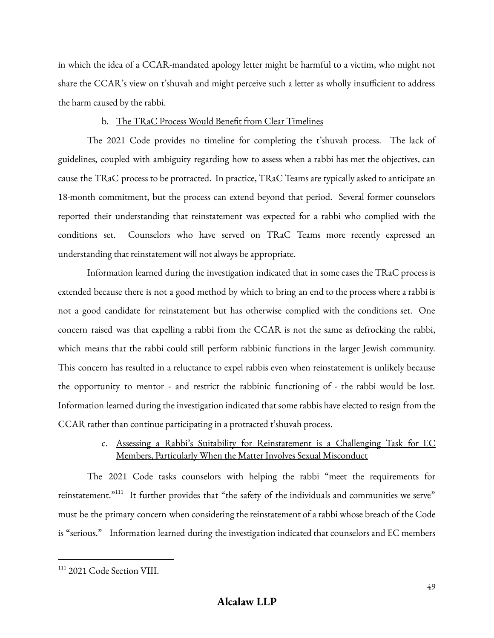in which the idea of a CCAR-mandated apology letter might be harmful to a victim, who might not share the CCAR's view on t'shuvah and might perceive such a letter as wholly insufficient to address the harm caused by the rabbi.

### b. The TRaC Process Would Benefit from Clear Timelines

The 2021 Code provides no timeline for completing the t'shuvah process. The lack of guidelines, coupled with ambiguity regarding how to assess when a rabbi has met the objectives, can cause the TRaC process to be protracted. In practice, TRaC Teams are typically asked to anticipate an 18-month commitment, but the process can extend beyond that period. Several former counselors reported their understanding that reinstatement was expected for a rabbi who complied with the conditions set. Counselors who have served on TRaC Teams more recently expressed an understanding that reinstatement will not always be appropriate.

Information learned during the investigation indicated that in some cases the TRaC process is extended because there is not a good method by which to bring an end to the process where a rabbi is not a good candidate for reinstatement but has otherwise complied with the conditions set. One concern raised was that expelling a rabbi from the CCAR is not the same as defrocking the rabbi, which means that the rabbi could still perform rabbinic functions in the larger Jewish community. This concern has resulted in a reluctance to expel rabbis even when reinstatement is unlikely because the opportunity to mentor - and restrict the rabbinic functioning of - the rabbi would be lost. Information learned during the investigation indicated that some rabbis have elected to resign from the CCAR rather than continue participating in a protracted t'shuvah process.

## c. Assessing a Rabbi's Suitability for Reinstatement is a Challenging Task for EC Members, Particularly When the Matter Involves Sexual Misconduct

The 2021 Code tasks counselors with helping the rabbi "meet the requirements for reinstatement." $^{111}$  It further provides that "the safety of the individuals and communities we serve" must be the primary concern when considering the reinstatement of a rabbi whose breach of the Code is "serious." Information learned during the investigation indicated that counselors and EC members

<sup>111</sup> 2021 Code Section VIII.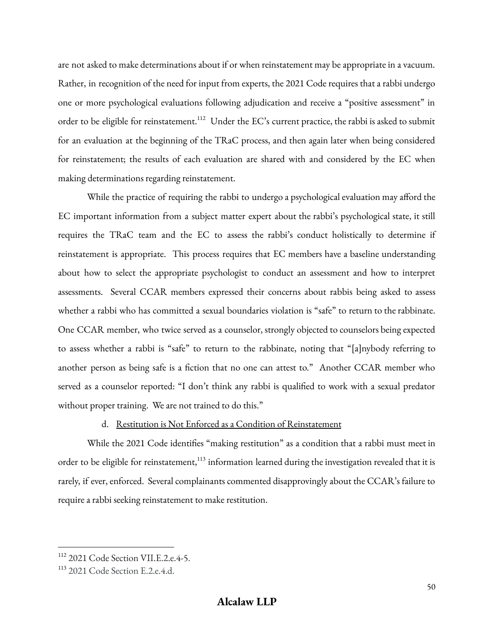are not asked to make determinations about if or when reinstatement may be appropriate in a vacuum. Rather, in recognition of the need for input from experts, the 2021 Code requires that a rabbi undergo one or more psychological evaluations following adjudication and receive a "positive assessment" in order to be eligible for reinstatement.<sup>112</sup> Under the EC's current practice, the rabbi is asked to submit for an evaluation at the beginning of the TRaC process, and then again later when being considered for reinstatement; the results of each evaluation are shared with and considered by the EC when making determinations regarding reinstatement.

While the practice of requiring the rabbi to undergo a psychological evaluation may afford the EC important information from a subject matter expert about the rabbi's psychological state, it still requires the TRaC team and the EC to assess the rabbi's conduct holistically to determine if reinstatement is appropriate. This process requires that EC members have a baseline understanding about how to select the appropriate psychologist to conduct an assessment and how to interpret assessments. Several CCAR members expressed their concerns about rabbis being asked to assess whether a rabbi who has committed a sexual boundaries violation is "safe" to return to the rabbinate. One CCAR member, who twice served as a counselor, strongly objected to counselors being expected to assess whether a rabbi is "safe" to return to the rabbinate, noting that "[a]nybody referring to another person as being safe is a fiction that no one can attest to." Another CCAR member who served as a counselor reported: "I don't think any rabbi is qualified to work with a sexual predator without proper training. We are not trained to do this."

### d. Restitution is Not Enforced as a Condition of Reinstatement

While the 2021 Code identifies "making restitution" as a condition that a rabbi must meet in order to be eligible for reinstatement,<sup>113</sup> information learned during the investigation revealed that it is rarely, if ever, enforced. Several complainants commented disapprovingly about the CCAR's failure to require a rabbi seeking reinstatement to make restitution.

<sup>&</sup>lt;sup>112</sup> 2021 Code Section VII.E.2.e.4-5.

<sup>113</sup> 2021 Code Section E.2.e.4.d.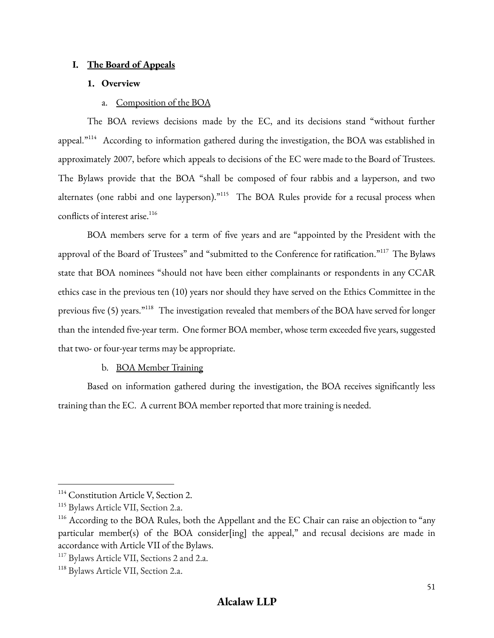### **I. The Board of Appeals**

#### **1. Overview**

#### a. Composition of the BOA

The BOA reviews decisions made by the EC, and its decisions stand "without further appeal." $^{114}$  According to information gathered during the investigation, the BOA was established in approximately 2007, before which appeals to decisions of the EC were made to the Board of Trustees. The Bylaws provide that the BOA "shall be composed of four rabbis and a layperson, and two alternates (one rabbi and one layperson)."<sup>115</sup> The BOA Rules provide for a recusal process when conflicts of interest arise. 116

BOA members serve for a term of five years and are "appointed by the President with the approval of the Board of Trustees" and "submitted to the Conference for ratification."<sup>117</sup> The Bylaws state that BOA nominees "should not have been either complainants or respondents in any CCAR ethics case in the previous ten (10) years nor should they have served on the Ethics Committee in the previous five (5) years."<sup>118</sup> The investigation revealed that members of the BOA have served for longer than the intended five-year term. One former BOA member, whose term exceeded five years, suggested that two- or four-year terms may be appropriate.

#### b. BOA Member Training

Based on information gathered during the investigation, the BOA receives significantly less training than the EC. A current BOA member reported that more training is needed.

<sup>&</sup>lt;sup>114</sup> Constitution Article V, Section 2.

<sup>&</sup>lt;sup>115</sup> Bylaws Article VII, Section 2.a.

<sup>&</sup>lt;sup>116</sup> According to the BOA Rules, both the Appellant and the EC Chair can raise an objection to "any particular member(s) of the BOA consider[ing] the appeal," and recusal decisions are made in accordance with Article VII of the Bylaws.

<sup>&</sup>lt;sup>117</sup> Bylaws Article VII, Sections 2 and 2.a.

<sup>&</sup>lt;sup>118</sup> Bylaws Article VII, Section 2.a.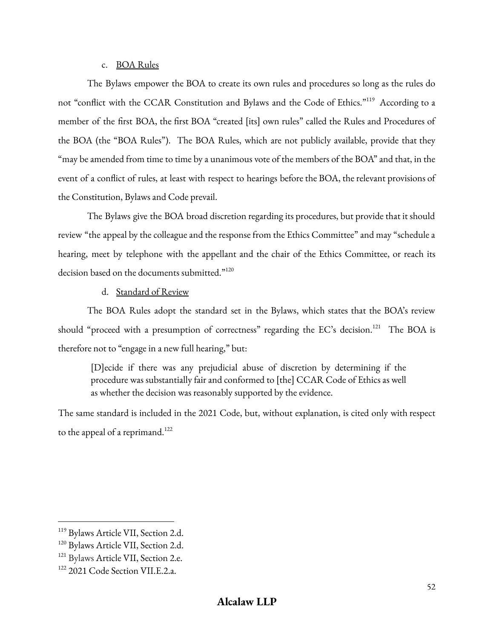### c. BOA Rules

The Bylaws empower the BOA to create its own rules and procedures so long as the rules do not "conflict with the CCAR Constitution and Bylaws and the Code of Ethics."<sup>119</sup> According to a member of the first BOA, the first BOA "created [its] own rules" called the Rules and Procedures of the BOA (the "BOA Rules"). The BOA Rules, which are not publicly available, provide that they "may be amended from time to time by a unanimous vote of the members of the BOA" and that, in the event of a conflict of rules, at least with respect to hearings before the BOA, the relevant provisions of the Constitution, Bylaws and Code prevail.

The Bylaws give the BOA broad discretion regarding its procedures, but provide that it should review "the appeal by the colleague and the response from the Ethics Committee" and may "schedule a hearing, meet by telephone with the appellant and the chair of the Ethics Committee, or reach its decision based on the documents submitted."<sup>120</sup>

d. Standard of Review

The BOA Rules adopt the standard set in the Bylaws, which states that the BOA's review should "proceed with a presumption of correctness" regarding the EC's decision.<sup>121</sup> The BOA is therefore not to "engage in a new full hearing," but:

[D]ecide if there was any prejudicial abuse of discretion by determining if the procedure was substantially fair and conformed to [the] CCAR Code of Ethics as well as whether the decision was reasonably supported by the evidence.

The same standard is included in the 2021 Code, but, without explanation, is cited only with respect to the appeal of a reprimand. $^{122}$ 

<sup>&</sup>lt;sup>119</sup> Bylaws Article VII, Section 2.d.

<sup>&</sup>lt;sup>120</sup> Bylaws Article VII, Section 2.d.

<sup>&</sup>lt;sup>121</sup> Bylaws Article VII, Section 2.e.

<sup>&</sup>lt;sup>122</sup> 2021 Code Section VII.E.2.a.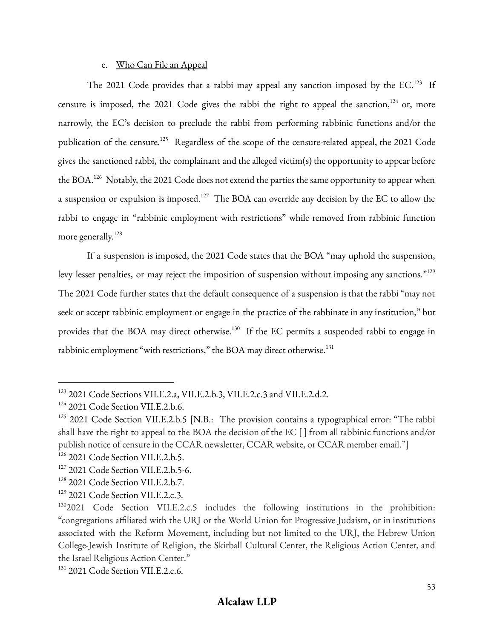#### e. Who Can File an Appeal

The 2021 Code provides that a rabbi may appeal any sanction imposed by the  $EC$ .<sup>123</sup> If censure is imposed, the 2021 Code gives the rabbi the right to appeal the sanction,<sup>124</sup> or, more narrowly, the EC's decision to preclude the rabbi from performing rabbinic functions and/or the publication of the censure.<sup>125</sup> Regardless of the scope of the censure-related appeal, the 2021 Code gives the sanctioned rabbi, the complainant and the alleged victim(s) the opportunity to appear before the BOA. $^{126}$  Notably, the 2021 Code does not extend the parties the same opportunity to appear when a suspension or expulsion is imposed.<sup>127</sup> The BOA can override any decision by the EC to allow the rabbi to engage in "rabbinic employment with restrictions" while removed from rabbinic function more generally. 128

If a suspension is imposed, the 2021 Code states that the BOA "may uphold the suspension, levy lesser penalties, or may reject the imposition of suspension without imposing any sanctions."<sup>129</sup> The 2021 Code further states that the default consequence of a suspension is that the rabbi "may not seek or accept rabbinic employment or engage in the practice of the rabbinate in any institution," but provides that the BOA may direct otherwise.<sup>130</sup> If the EC permits a suspended rabbi to engage in rabbinic employment "with restrictions," the BOA may direct otherwise.<sup>131</sup>

<sup>&</sup>lt;sup>123</sup> 2021 Code Sections VII.E.2.a, VII.E.2.b.3, VII.E.2.c.3 and VII.E.2.d.2.

<sup>&</sup>lt;sup>124</sup> 2021 Code Section VII.E.2.b.6.

<sup>&</sup>lt;sup>125</sup> 2021 Code Section VII.E.2.b.5 [N.B.: The provision contains a typographical error: "The rabbi shall have the right to appeal to the BOA the decision of the EC [ ] from all rabbinic functions and/or publish notice of censure in the CCAR newsletter, CCAR website, or CCAR member email."]

<sup>&</sup>lt;sup>126</sup> 2021 Code Section VII.E.2.b.5.

<sup>&</sup>lt;sup>127</sup> 2021 Code Section VII.E.2.b.5-6.

<sup>&</sup>lt;sup>128</sup> 2021 Code Section VII.E.2.b.7.

<sup>&</sup>lt;sup>129</sup> 2021 Code Section VII.E.2.c.3.

<sup>&</sup>lt;sup>130</sup>2021 Code Section VII.E.2.c.5 includes the following institutions in the prohibition: "congregations affiliated with the URJ or the World Union for Progressive Judaism, or in institutions associated with the Reform Movement, including but not limited to the URJ, the Hebrew Union College‑Jewish Institute of Religion, the Skirball Cultural Center, the Religious Action Center, and the Israel Religious Action Center."

<sup>&</sup>lt;sup>131</sup> 2021 Code Section VII.E.2.c.6.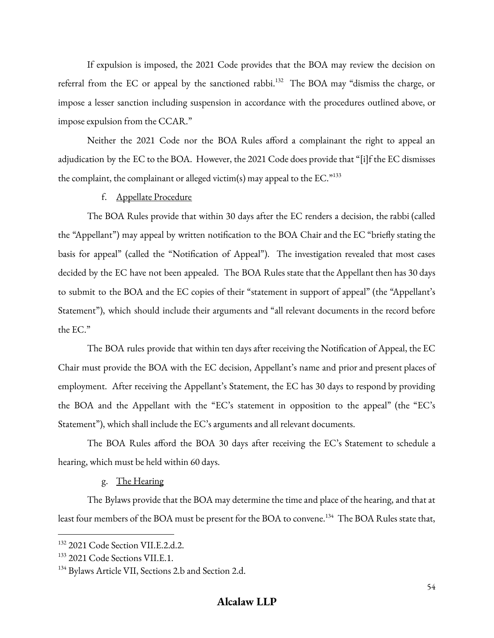If expulsion is imposed, the 2021 Code provides that the BOA may review the decision on referral from the EC or appeal by the sanctioned rabbi.<sup>132</sup> The BOA may "dismiss the charge, or impose a lesser sanction including suspension in accordance with the procedures outlined above, or impose expulsion from the CCAR."

Neither the 2021 Code nor the BOA Rules afford a complainant the right to appeal an adjudication by the EC to the BOA. However, the 2021 Code does provide that "[i]f the EC dismisses the complaint, the complainant or alleged victim(s) may appeal to the EC. $^{n133}$ 

#### f. Appellate Procedure

The BOA Rules provide that within 30 days after the EC renders a decision, the rabbi (called the "Appellant") may appeal by written notification to the BOA Chair and the EC "briefly stating the basis for appeal" (called the "Notification of Appeal"). The investigation revealed that most cases decided by the EC have not been appealed. The BOA Rules state that the Appellant then has 30 days to submit to the BOA and the EC copies of their "statement in support of appeal" (the "Appellant's Statement"), which should include their arguments and "all relevant documents in the record before the EC."

The BOA rules provide that within ten days after receiving the Notification of Appeal, the EC Chair must provide the BOA with the EC decision, Appellant's name and prior and present places of employment. After receiving the Appellant's Statement, the EC has 30 days to respond by providing the BOA and the Appellant with the "EC's statement in opposition to the appeal" (the "EC's Statement"), which shall include the EC's arguments and all relevant documents.

The BOA Rules afford the BOA 30 days after receiving the EC's Statement to schedule a hearing, which must be held within 60 days.

### g. The Hearing

The Bylaws provide that the BOA may determine the time and place of the hearing, and that at least four members of the BOA must be present for the BOA to convene.<sup>134</sup> The BOA Rules state that,

<sup>&</sup>lt;sup>132</sup> 2021 Code Section VII.E.2.d.2.

<sup>&</sup>lt;sup>133</sup> 2021 Code Sections VII.E.1.

<sup>&</sup>lt;sup>134</sup> Bylaws Article VII, Sections 2.b and Section 2.d.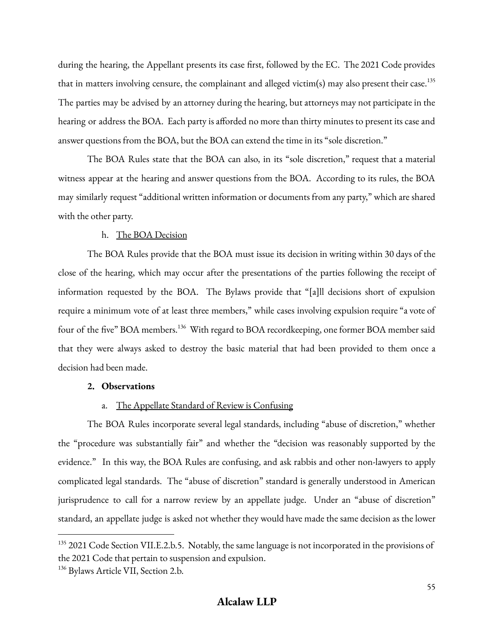during the hearing, the Appellant presents its case first, followed by the EC. The 2021 Code provides that in matters involving censure, the complainant and alleged victim(s) may also present their case.<sup>135</sup> The parties may be advised by an attorney during the hearing, but attorneys may not participate in the hearing or address the BOA. Each party is afforded no more than thirty minutes to present its case and answer questions from the BOA, but the BOA can extend the time in its "sole discretion."

The BOA Rules state that the BOA can also, in its "sole discretion," request that a material witness appear at the hearing and answer questions from the BOA. According to its rules, the BOA may similarly request "additional written information or documents from any party," which are shared with the other party.

#### h. The BOA Decision

The BOA Rules provide that the BOA must issue its decision in writing within 30 days of the close of the hearing, which may occur after the presentations of the parties following the receipt of information requested by the BOA. The Bylaws provide that "[a]ll decisions short of expulsion require a minimum vote of at least three members," while cases involving expulsion require "a vote of four of the five" BOA members.<sup>136</sup> With regard to BOA recordkeeping, one former BOA member said that they were always asked to destroy the basic material that had been provided to them once a decision had been made.

#### **2. Observations**

#### a. The Appellate Standard of Review is Confusing

The BOA Rules incorporate several legal standards, including "abuse of discretion," whether the "procedure was substantially fair" and whether the "decision was reasonably supported by the evidence." In this way, the BOA Rules are confusing, and ask rabbis and other non-lawyers to apply complicated legal standards. The "abuse of discretion" standard is generally understood in American jurisprudence to call for a narrow review by an appellate judge. Under an "abuse of discretion" standard, an appellate judge is asked not whether they would have made the same decision as the lower

<sup>&</sup>lt;sup>135</sup> 2021 Code Section VII.E.2.b.5. Notably, the same language is not incorporated in the provisions of the 2021 Code that pertain to suspension and expulsion.

<sup>&</sup>lt;sup>136</sup> Bylaws Article VII, Section 2.b.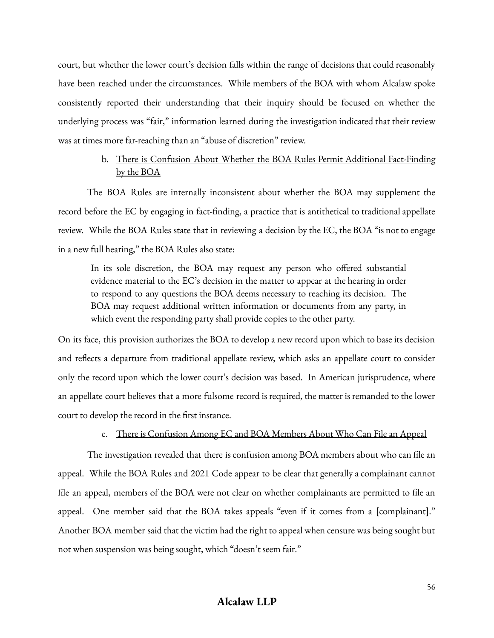court, but whether the lower court's decision falls within the range of decisions that could reasonably have been reached under the circumstances. While members of the BOA with whom Alcalaw spoke consistently reported their understanding that their inquiry should be focused on whether the underlying process was "fair," information learned during the investigation indicated that their review was at times more far-reaching than an "abuse of discretion" review.

### b. There is Confusion About Whether the BOA Rules Permit Additional Fact-Finding by the BOA

The BOA Rules are internally inconsistent about whether the BOA may supplement the record before the EC by engaging in fact-finding, a practice that is antithetical to traditional appellate review. While the BOA Rules state that in reviewing a decision by the EC, the BOA "is not to engage in a new full hearing," the BOA Rules also state:

In its sole discretion, the BOA may request any person who offered substantial evidence material to the EC's decision in the matter to appear at the hearing in order to respond to any questions the BOA deems necessary to reaching its decision. The BOA may request additional written information or documents from any party, in which event the responding party shall provide copies to the other party.

On its face, this provision authorizes the BOA to develop a new record upon which to base its decision and reflects a departure from traditional appellate review, which asks an appellate court to consider only the record upon which the lower court's decision was based. In American jurisprudence, where an appellate court believes that a more fulsome record is required, the matter is remanded to the lower court to develop the record in the first instance.

#### c. There is Confusion Among EC and BOA Members About Who Can File an Appeal

The investigation revealed that there is confusion among BOA members about who can file an appeal. While the BOA Rules and 2021 Code appear to be clear that generally a complainant cannot file an appeal, members of the BOA were not clear on whether complainants are permitted to file an appeal. One member said that the BOA takes appeals "even if it comes from a [complainant]." Another BOA member said that the victim had the right to appeal when censure was being sought but not when suspension was being sought, which "doesn't seem fair."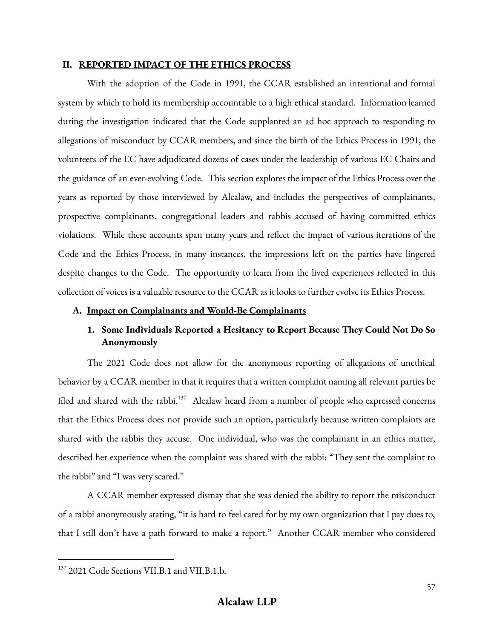#### **II. REPORTED IMPACT OF THE ETHICS PROCESS**

With the adoption of the Code in 1991, the CCAR established an intentional and formal system by which to hold its membership accountable to a high ethical standard. Information learned during the investigation indicated that the Code supplanted an ad hoc approach to responding to allegations of misconduct by CCAR members, and since the birth of the Ethics Process in 1991, the volunteers of the EC have adjudicated dozens of cases under the leadership of various EC Chairs and the guidance of an ever-evolving Code. This section explores the impact of the Ethics Process over the years as reported by those interviewed by Alcalaw, and includes the perspectives of complainants, prospective complainants, congregational leaders and rabbis accused of having committed ethics violations. While these accounts span many years and reflect the impact of various iterations of the Code and the Ethics Process, in many instances, the impressions left on the parties have lingered despite changes to the Code. The opportunity to learn from the lived experiences reflected in this collection of voices is a valuable resource to the CCAR as it looks to further evolve its Ethics Process.

#### **A. Impact on Complainants and Would-Be Complainants**

## **1. Some Individuals Reported a Hesitancy to Report Because They Could Not Do So Anonymously**

The 2021 Code does not allow for the anonymous reporting of allegations of unethical behavior by a CCAR member in that it requires that a written complaint naming all relevant parties be filed and shared with the rabbi.<sup>137</sup> Alcalaw heard from a number of people who expressed concerns that the Ethics Process does not provide such an option, particularly because written complaints are shared with the rabbis they accuse. One individual, who was the complainant in an ethics matter, described her experience when the complaint was shared with the rabbi: "They sent the complaint to the rabbi" and "I was very scared."

A CCAR member expressed dismay that she was denied the ability to report the misconduct of a rabbi anonymously stating, "it is hard to feel cared for by my own organization that I pay dues to, that I still don't have a path forward to make a report." Another CCAR member who considered

<sup>137</sup> 2021 Code Sections VII.B.1 and VII.B.1.b.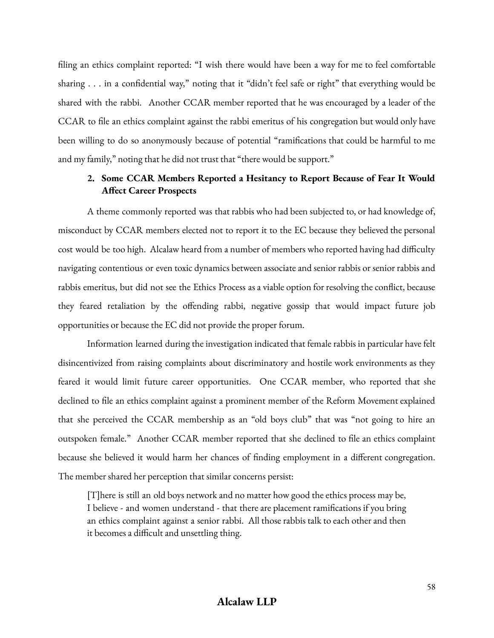filing an ethics complaint reported: "I wish there would have been a way for me to feel comfortable sharing . . . in a confidential way," noting that it "didn't feel safe or right" that everything would be shared with the rabbi. Another CCAR member reported that he was encouraged by a leader of the CCAR to file an ethics complaint against the rabbi emeritus of his congregation but would only have been willing to do so anonymously because of potential "ramifications that could be harmful to me and my family," noting that he did not trust that "there would be support."

### **2. Some CCAR Members Reported a Hesitancy to Report Because of Fear It Would Affect Career Prospects**

A theme commonly reported was that rabbis who had been subjected to, or had knowledge of, misconduct by CCAR members elected not to report it to the EC because they believed the personal cost would be too high. Alcalaw heard from a number of members who reported having had difficulty navigating contentious or even toxic dynamics between associate and senior rabbis or senior rabbis and rabbis emeritus, but did not see the Ethics Process as a viable option for resolving the conflict, because they feared retaliation by the offending rabbi, negative gossip that would impact future job opportunities or because the EC did not provide the proper forum.

Information learned during the investigation indicated that female rabbis in particular have felt disincentivized from raising complaints about discriminatory and hostile work environments as they feared it would limit future career opportunities. One CCAR member, who reported that she declined to file an ethics complaint against a prominent member of the Reform Movement explained that she perceived the CCAR membership as an "old boys club" that was "not going to hire an outspoken female." Another CCAR member reported that she declined to file an ethics complaint because she believed it would harm her chances of finding employment in a different congregation. The member shared her perception that similar concerns persist:

[T]here is still an old boys network and no matter how good the ethics process may be, I believe - and women understand - that there are placement ramifications if you bring an ethics complaint against a senior rabbi. All those rabbis talk to each other and then it becomes a difficult and unsettling thing.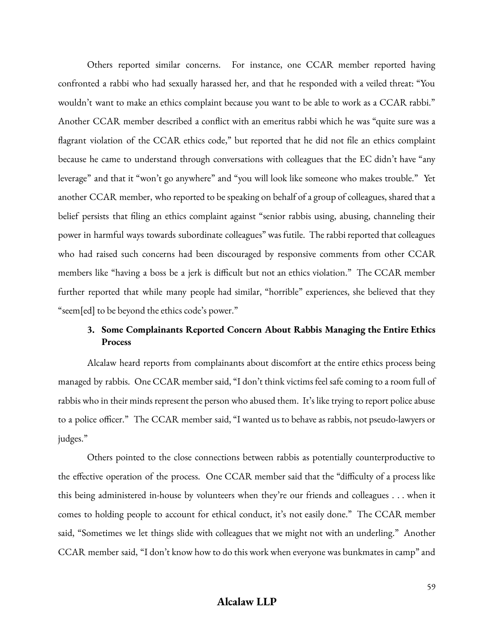Others reported similar concerns. For instance, one CCAR member reported having confronted a rabbi who had sexually harassed her, and that he responded with a veiled threat: "You wouldn't want to make an ethics complaint because you want to be able to work as a CCAR rabbi." Another CCAR member described a conflict with an emeritus rabbi which he was "quite sure was a flagrant violation of the CCAR ethics code," but reported that he did not file an ethics complaint because he came to understand through conversations with colleagues that the EC didn't have "any leverage" and that it "won't go anywhere" and "you will look like someone who makes trouble." Yet another CCAR member, who reported to be speaking on behalf of a group of colleagues, shared that a belief persists that filing an ethics complaint against "senior rabbis using, abusing, channeling their power in harmful ways towards subordinate colleagues" was futile. The rabbi reported that colleagues who had raised such concerns had been discouraged by responsive comments from other CCAR members like "having a boss be a jerk is difficult but not an ethics violation." The CCAR member further reported that while many people had similar, "horrible" experiences, she believed that they "seem[ed] to be beyond the ethics code's power."

### **3. Some Complainants Reported Concern About Rabbis Managing the Entire Ethics Process**

Alcalaw heard reports from complainants about discomfort at the entire ethics process being managed by rabbis. One CCAR member said, "I don't think victims feel safe coming to a room full of rabbis who in their minds represent the person who abused them. It's like trying to report police abuse to a police officer." The CCAR member said, "I wanted us to behave as rabbis, not pseudo-lawyers or judges."

Others pointed to the close connections between rabbis as potentially counterproductive to the effective operation of the process. One CCAR member said that the "difficulty of a process like this being administered in-house by volunteers when they're our friends and colleagues . . . when it comes to holding people to account for ethical conduct, it's not easily done." The CCAR member said, "Sometimes we let things slide with colleagues that we might not with an underling." Another CCAR member said, "I don't know how to do this work when everyone was bunkmates in camp" and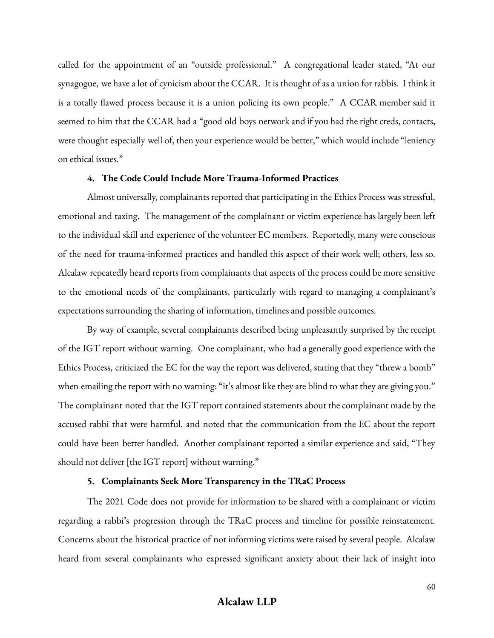called for the appointment of an "outside professional." A congregational leader stated, "At our synagogue, we have a lot of cynicism about the CCAR. It is thought of as a union for rabbis. I think it is a totally flawed process because it is a union policing its own people." A CCAR member said it seemed to him that the CCAR had a "good old boys network and if you had the right creds, contacts, were thought especially well of, then your experience would be better," which would include "leniency on ethical issues."

#### **4. The Code Could Include More Trauma-Informed Practices**

Almost universally, complainants reported that participating in the Ethics Process was stressful, emotional and taxing. The management of the complainant or victim experience has largely been left to the individual skill and experience of the volunteer EC members. Reportedly, many were conscious of the need for trauma-informed practices and handled this aspect of their work well; others, less so. Alcalaw repeatedly heard reports from complainants that aspects of the process could be more sensitive to the emotional needs of the complainants, particularly with regard to managing a complainant's expectations surrounding the sharing of information, timelines and possible outcomes.

By way of example, several complainants described being unpleasantly surprised by the receipt of the IGT report without warning. One complainant, who had a generally good experience with the Ethics Process, criticized the EC for the way the report was delivered, stating that they "threw a bomb" when emailing the report with no warning: "it's almost like they are blind to what they are giving you." The complainant noted that the IGT report contained statements about the complainant made by the accused rabbi that were harmful, and noted that the communication from the EC about the report could have been better handled. Another complainant reported a similar experience and said, "They should not deliver [the IGT report] without warning."

#### **5. Complainants Seek More Transparency in the TRaC Process**

The 2021 Code does not provide for information to be shared with a complainant or victim regarding a rabbi's progression through the TRaC process and timeline for possible reinstatement. Concerns about the historical practice of not informing victims were raised by several people. Alcalaw heard from several complainants who expressed significant anxiety about their lack of insight into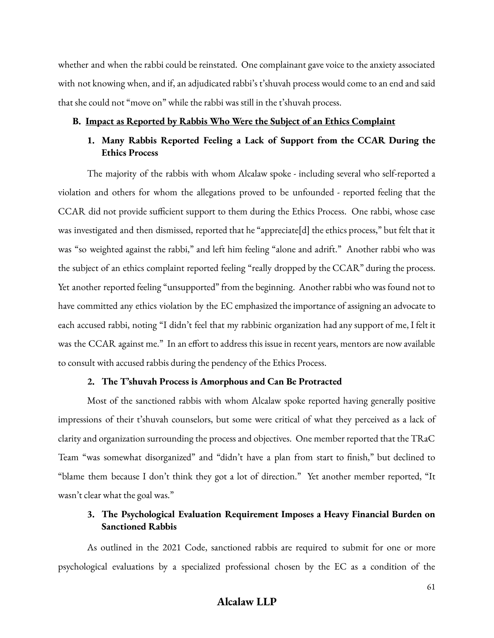whether and when the rabbi could be reinstated. One complainant gave voice to the anxiety associated with not knowing when, and if, an adjudicated rabbi's t'shuvah process would come to an end and said that she could not "move on" while the rabbi was still in the t'shuvah process.

#### **B. Impact as Reported by Rabbis Who Were the Subject of an Ethics Complaint**

## **1. Many Rabbis Reported Feeling a Lack of Support from the CCAR During the Ethics Process**

The majority of the rabbis with whom Alcalaw spoke - including several who self-reported a violation and others for whom the allegations proved to be unfounded - reported feeling that the CCAR did not provide sufficient support to them during the Ethics Process. One rabbi, whose case was investigated and then dismissed, reported that he "appreciate[d] the ethics process," but felt that it was "so weighted against the rabbi," and left him feeling "alone and adrift." Another rabbi who was the subject of an ethics complaint reported feeling "really dropped by the CCAR" during the process. Yet another reported feeling "unsupported" from the beginning. Another rabbi who was found not to have committed any ethics violation by the EC emphasized the importance of assigning an advocate to each accused rabbi, noting "I didn't feel that my rabbinic organization had any support of me, I felt it was the CCAR against me." In an effort to address this issue in recent years, mentors are now available to consult with accused rabbis during the pendency of the Ethics Process.

#### **2. The T'shuvah Process is Amorphous and Can Be Protracted**

Most of the sanctioned rabbis with whom Alcalaw spoke reported having generally positive impressions of their t'shuvah counselors, but some were critical of what they perceived as a lack of clarity and organization surrounding the process and objectives. One member reported that the TRaC Team "was somewhat disorganized" and "didn't have a plan from start to finish," but declined to "blame them because I don't think they got a lot of direction." Yet another member reported, "It wasn't clear what the goal was."

### **3. The Psychological Evaluation Requirement Imposes a Heavy Financial Burden on Sanctioned Rabbis**

As outlined in the 2021 Code, sanctioned rabbis are required to submit for one or more psychological evaluations by a specialized professional chosen by the EC as a condition of the

## **Alcalaw LLP**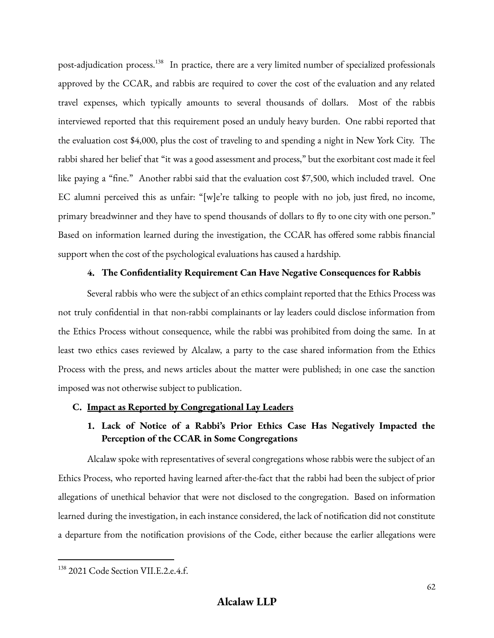post-adjudication process.<sup>138</sup> In practice, there are a very limited number of specialized professionals approved by the CCAR, and rabbis are required to cover the cost of the evaluation and any related travel expenses, which typically amounts to several thousands of dollars. Most of the rabbis interviewed reported that this requirement posed an unduly heavy burden. One rabbi reported that the evaluation cost \$4,000, plus the cost of traveling to and spending a night in New York City. The rabbi shared her belief that "it was a good assessment and process," but the exorbitant cost made it feel like paying a "fine." Another rabbi said that the evaluation cost \$7,500, which included travel. One EC alumni perceived this as unfair: "[w]e're talking to people with no job, just fired, no income, primary breadwinner and they have to spend thousands of dollars to fly to one city with one person." Based on information learned during the investigation, the CCAR has offered some rabbis financial support when the cost of the psychological evaluations has caused a hardship.

### **4. The Confidentiality Requirement Can Have Negative Consequences for Rabbis**

Several rabbis who were the subject of an ethics complaint reported that the Ethics Process was not truly confidential in that non-rabbi complainants or lay leaders could disclose information from the Ethics Process without consequence, while the rabbi was prohibited from doing the same. In at least two ethics cases reviewed by Alcalaw, a party to the case shared information from the Ethics Process with the press, and news articles about the matter were published; in one case the sanction imposed was not otherwise subject to publication.

### **C. Impact as Reported by Congregational Lay Leaders**

# **1. Lack of Notice of a Rabbi's Prior Ethics Case Has Negatively Impacted the Perception of the CCAR in Some Congregations**

Alcalaw spoke with representatives of several congregations whose rabbis were the subject of an Ethics Process, who reported having learned after-the-fact that the rabbi had been the subject of prior allegations of unethical behavior that were not disclosed to the congregation. Based on information learned during the investigation, in each instance considered, the lack of notification did not constitute a departure from the notification provisions of the Code, either because the earlier allegations were

<sup>&</sup>lt;sup>138</sup> 2021 Code Section VII.E.2.e.4.f.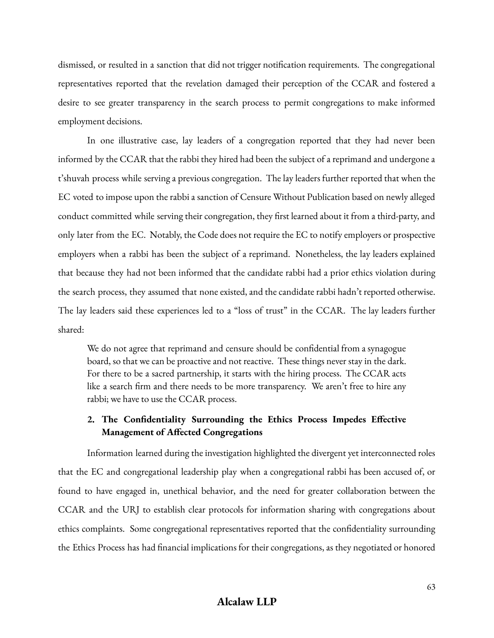dismissed, or resulted in a sanction that did not trigger notification requirements. The congregational representatives reported that the revelation damaged their perception of the CCAR and fostered a desire to see greater transparency in the search process to permit congregations to make informed employment decisions.

In one illustrative case, lay leaders of a congregation reported that they had never been informed by the CCAR that the rabbi they hired had been the subject of a reprimand and undergone a t'shuvah process while serving a previous congregation. The lay leaders further reported that when the EC voted to impose upon the rabbi a sanction of Censure Without Publication based on newly alleged conduct committed while serving their congregation, they first learned about it from a third-party, and only later from the EC. Notably, the Code does not require the EC to notify employers or prospective employers when a rabbi has been the subject of a reprimand. Nonetheless, the lay leaders explained that because they had not been informed that the candidate rabbi had a prior ethics violation during the search process, they assumed that none existed, and the candidate rabbi hadn't reported otherwise. The lay leaders said these experiences led to a "loss of trust" in the CCAR. The lay leaders further shared:

We do not agree that reprimand and censure should be confidential from a synagogue board, so that we can be proactive and not reactive. These things never stay in the dark. For there to be a sacred partnership, it starts with the hiring process. The CCAR acts like a search firm and there needs to be more transparency. We aren't free to hire any rabbi; we have to use the CCAR process.

### **2. The Confidentiality Surrounding the Ethics Process Impedes Effective Management of Affected Congregations**

Information learned during the investigation highlighted the divergent yet interconnected roles that the EC and congregational leadership play when a congregational rabbi has been accused of, or found to have engaged in, unethical behavior, and the need for greater collaboration between the CCAR and the URJ to establish clear protocols for information sharing with congregations about ethics complaints. Some congregational representatives reported that the confidentiality surrounding the Ethics Process has had financial implications for their congregations, as they negotiated or honored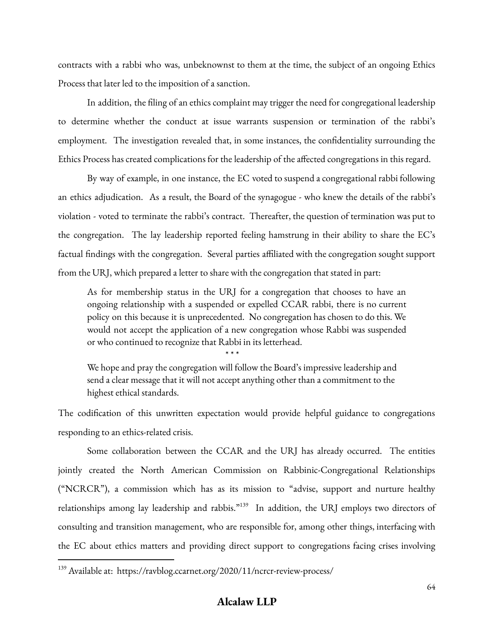contracts with a rabbi who was, unbeknownst to them at the time, the subject of an ongoing Ethics Process that later led to the imposition of a sanction.

In addition, the filing of an ethics complaint may trigger the need for congregational leadership to determine whether the conduct at issue warrants suspension or termination of the rabbi's employment. The investigation revealed that, in some instances, the confidentiality surrounding the Ethics Process has created complications for the leadership of the affected congregations in this regard.

By way of example, in one instance, the EC voted to suspend a congregational rabbi following an ethics adjudication. As a result, the Board of the synagogue - who knew the details of the rabbi's violation - voted to terminate the rabbi's contract. Thereafter, the question of termination was put to the congregation. The lay leadership reported feeling hamstrung in their ability to share the EC's factual findings with the congregation. Several parties affiliated with the congregation sought support from the URJ, which prepared a letter to share with the congregation that stated in part:

As for membership status in the URJ for a congregation that chooses to have an ongoing relationship with a suspended or expelled CCAR rabbi, there is no current policy on this because it is unprecedented. No congregation has chosen to do this. We would not accept the application of a new congregation whose Rabbi was suspended or who continued to recognize that Rabbi in its letterhead.

\* \* \*

We hope and pray the congregation will follow the Board's impressive leadership and send a clear message that it will not accept anything other than a commitment to the highest ethical standards.

The codification of this unwritten expectation would provide helpful guidance to congregations responding to an ethics-related crisis.

Some collaboration between the CCAR and the URJ has already occurred. The entities jointly created the North American Commission on Rabbinic-Congregational Relationships ("NCRCR"), a commission which has as its mission to "advise, support and nurture healthy relationships among lay leadership and rabbis."<sup>139</sup> In addition, the URJ employs two directors of consulting and transition management, who are responsible for, among other things, interfacing with the EC about ethics matters and providing direct support to congregations facing crises involving

<sup>&</sup>lt;sup>139</sup> Available at: https://ravblog.ccarnet.org/2020/11/ncrcr-review-process/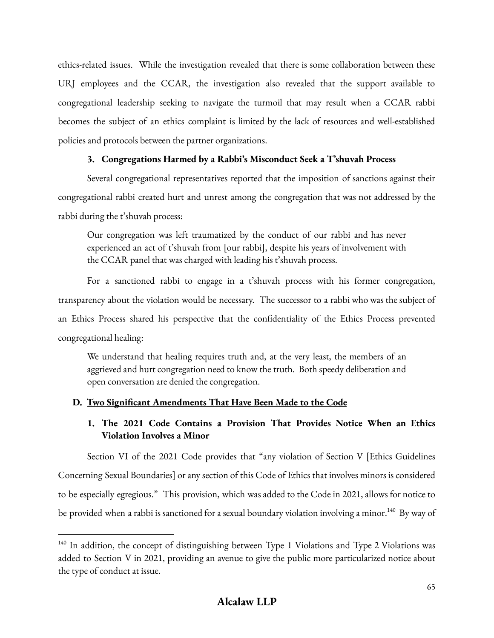ethics-related issues. While the investigation revealed that there is some collaboration between these URJ employees and the CCAR, the investigation also revealed that the support available to congregational leadership seeking to navigate the turmoil that may result when a CCAR rabbi becomes the subject of an ethics complaint is limited by the lack of resources and well-established policies and protocols between the partner organizations.

### **3. Congregations Harmed by a Rabbi's Misconduct Seek a T'shuvah Process**

Several congregational representatives reported that the imposition of sanctions against their congregational rabbi created hurt and unrest among the congregation that was not addressed by the rabbi during the t'shuvah process:

Our congregation was left traumatized by the conduct of our rabbi and has never experienced an act of t'shuvah from [our rabbi], despite his years of involvement with the CCAR panel that was charged with leading his t'shuvah process.

For a sanctioned rabbi to engage in a t'shuvah process with his former congregation, transparency about the violation would be necessary. The successor to a rabbi who was the subject of an Ethics Process shared his perspective that the confidentiality of the Ethics Process prevented congregational healing:

We understand that healing requires truth and, at the very least, the members of an aggrieved and hurt congregation need to know the truth. Both speedy deliberation and open conversation are denied the congregation.

### **D. Two Significant Amendments That Have Been Made to the Code**

# **1. The 2021 Code Contains a Provision That Provides Notice When an Ethics Violation Involves a Minor**

Section VI of the 2021 Code provides that "any violation of Section V [Ethics Guidelines Concerning Sexual Boundaries] or any section of this Code of Ethics that involves minors is considered to be especially egregious." This provision, which was added to the Code in 2021, allows for notice to be provided when a rabbi is sanctioned for a sexual boundary violation involving a minor. $^{140}\,$  By way of

<sup>&</sup>lt;sup>140</sup> In addition, the concept of distinguishing between Type 1 Violations and Type 2 Violations was added to Section V in 2021, providing an avenue to give the public more particularized notice about the type of conduct at issue.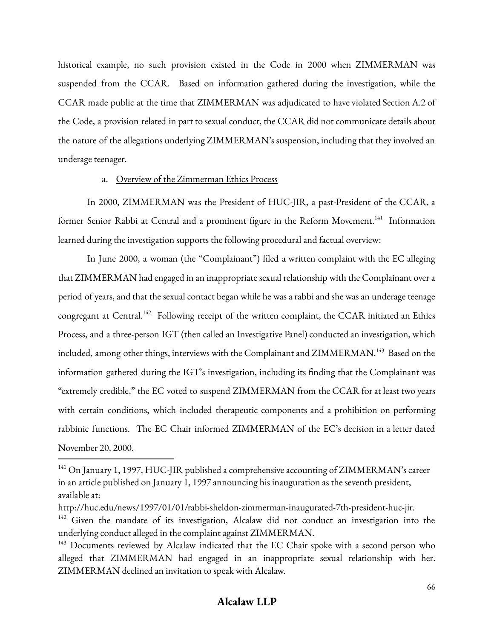historical example, no such provision existed in the Code in 2000 when ZIMMERMAN was suspended from the CCAR. Based on information gathered during the investigation, while the CCAR made public at the time that ZIMMERMAN was adjudicated to have violated Section A.2 of the Code, a provision related in part to sexual conduct, the CCAR did not communicate details about the nature of the allegations underlying ZIMMERMAN's suspension, including that they involved an underage teenager.

### a. Overview of the Zimmerman Ethics Process

In 2000, ZIMMERMAN was the President of HUC-JIR, a past-President of the CCAR, a former Senior Rabbi at Central and a prominent figure in the Reform Movement.<sup>141</sup> Information learned during the investigation supports the following procedural and factual overview:

In June 2000, a woman (the "Complainant") filed a written complaint with the EC alleging that ZIMMERMAN had engaged in an inappropriate sexual relationship with the Complainant over a period of years, and that the sexual contact began while he was a rabbi and she was an underage teenage congregant at Central.<sup>142</sup> Following receipt of the written complaint, the CCAR initiated an Ethics Process, and a three-person IGT (then called an Investigative Panel) conducted an investigation, which included, among other things, interviews with the Complainant and  $ZIMMERMAN.^{143}$  Based on the information gathered during the IGT's investigation, including its finding that the Complainant was "extremely credible," the EC voted to suspend ZIMMERMAN from the CCAR for at least two years with certain conditions, which included therapeutic components and a prohibition on performing rabbinic functions. The EC Chair informed ZIMMERMAN of the EC's decision in a letter dated November 20, 2000.

<sup>&</sup>lt;sup>141</sup> On January 1, 1997, HUC-JIR published a comprehensive accounting of ZIMMERMAN's career in an article published on January 1, 1997 announcing his inauguration as the seventh president, available at:

http://huc.edu/news/1997/01/01/rabbi-sheldon-zimmerman-inaugurated-7th-president-huc-jir.

 $142$  Given the mandate of its investigation, Alcalaw did not conduct an investigation into the underlying conduct alleged in the complaint against ZIMMERMAN.

<sup>&</sup>lt;sup>143</sup> Documents reviewed by Alcalaw indicated that the EC Chair spoke with a second person who alleged that ZIMMERMAN had engaged in an inappropriate sexual relationship with her. ZIMMERMAN declined an invitation to speak with Alcalaw.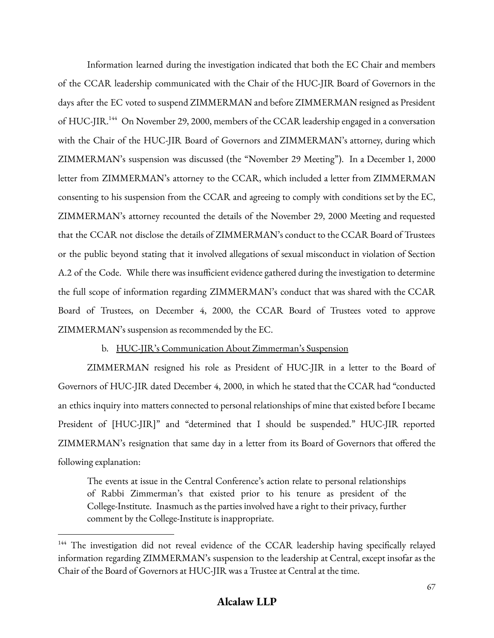Information learned during the investigation indicated that both the EC Chair and members of the CCAR leadership communicated with the Chair of the HUC-JIR Board of Governors in the days after the EC voted to suspend ZIMMERMAN and before ZIMMERMAN resigned as President of HUC-JIR.<sup>144</sup> On November 29, 2000, members of the CCAR leadership engaged in a conversation with the Chair of the HUC-JIR Board of Governors and ZIMMERMAN's attorney, during which ZIMMERMAN's suspension was discussed (the "November 29 Meeting"). In a December 1, 2000 letter from ZIMMERMAN's attorney to the CCAR, which included a letter from ZIMMERMAN consenting to his suspension from the CCAR and agreeing to comply with conditions set by the EC, ZIMMERMAN's attorney recounted the details of the November 29, 2000 Meeting and requested that the CCAR not disclose the details of ZIMMERMAN's conduct to the CCAR Board of Trustees or the public beyond stating that it involved allegations of sexual misconduct in violation of Section A.2 of the Code. While there was insufficient evidence gathered during the investigation to determine the full scope of information regarding ZIMMERMAN's conduct that was shared with the CCAR Board of Trustees, on December 4, 2000, the CCAR Board of Trustees voted to approve ZIMMERMAN's suspension as recommended by the EC.

### b. HUC-JIR's Communication About Zimmerman's Suspension

ZIMMERMAN resigned his role as President of HUC-JIR in a letter to the Board of Governors of HUC-JIR dated December 4, 2000, in which he stated that the CCAR had "conducted an ethics inquiry into matters connected to personal relationships of mine that existed before I became President of [HUC-JIR]" and "determined that I should be suspended." HUC-JIR reported ZIMMERMAN's resignation that same day in a letter from its Board of Governors that offered the following explanation:

The events at issue in the Central Conference's action relate to personal relationships of Rabbi Zimmerman's that existed prior to his tenure as president of the College-Institute. Inasmuch as the parties involved have a right to their privacy, further comment by the College-Institute is inappropriate.

<sup>&</sup>lt;sup>144</sup> The investigation did not reveal evidence of the CCAR leadership having specifically relayed information regarding ZIMMERMAN's suspension to the leadership at Central, except insofar as the Chair of the Board of Governors at HUC-JIR was a Trustee at Central at the time.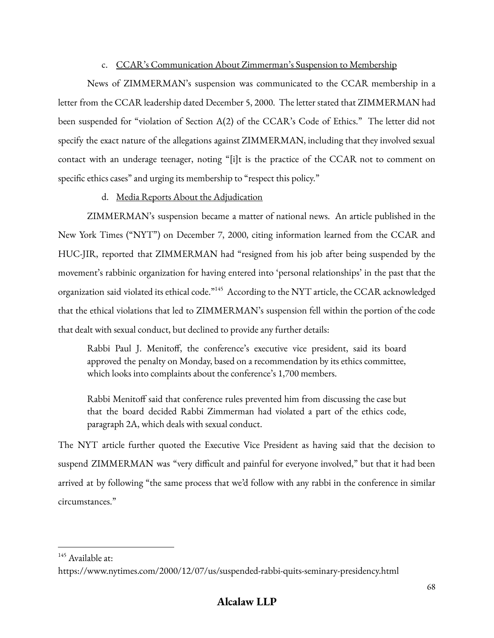### c. CCAR's Communication About Zimmerman's Suspension to Membership

News of ZIMMERMAN's suspension was communicated to the CCAR membership in a letter from the CCAR leadership dated December 5, 2000. The letter stated that ZIMMERMAN had been suspended for "violation of Section A(2) of the CCAR's Code of Ethics." The letter did not specify the exact nature of the allegations against ZIMMERMAN, including that they involved sexual contact with an underage teenager, noting "[i]t is the practice of the CCAR not to comment on specific ethics cases" and urging its membership to "respect this policy."

### d. Media Reports About the Adjudication

ZIMMERMAN's suspension became a matter of national news. An article published in the New York Times ("NYT") on December 7, 2000, citing information learned from the CCAR and HUC-JIR, reported that ZIMMERMAN had "resigned from his job after being suspended by the movement's rabbinic organization for having entered into 'personal relationships' in the past that the organization said violated its ethical code.<sup>"145</sup> According to the NYT article, the CCAR acknowledged that the ethical violations that led to ZIMMERMAN's suspension fell within the portion of the code that dealt with sexual conduct, but declined to provide any further details:

Rabbi Paul J. Menitoff, the conference's executive vice president, said its board approved the penalty on Monday, based on a recommendation by its ethics committee, which looks into complaints about the conference's 1,700 members.

Rabbi Menitoff said that conference rules prevented him from discussing the case but that the board decided Rabbi Zimmerman had violated a part of the ethics code, paragraph 2A, which deals with sexual conduct.

The NYT article further quoted the Executive Vice President as having said that the decision to suspend ZIMMERMAN was "very difficult and painful for everyone involved," but that it had been arrived at by following "the same process that we'd follow with any rabbi in the conference in similar circumstances."

<sup>&</sup>lt;sup>145</sup> Available at:

https://www.nytimes.com/2000/12/07/us/suspended-rabbi-quits-seminary-presidency.html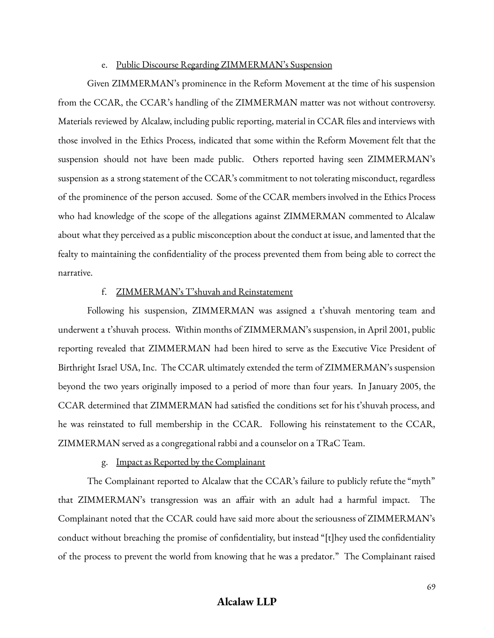#### e. Public Discourse Regarding ZIMMERMAN's Suspension

Given ZIMMERMAN's prominence in the Reform Movement at the time of his suspension from the CCAR, the CCAR's handling of the ZIMMERMAN matter was not without controversy. Materials reviewed by Alcalaw, including public reporting, material in CCAR files and interviews with those involved in the Ethics Process, indicated that some within the Reform Movement felt that the suspension should not have been made public. Others reported having seen ZIMMERMAN's suspension as a strong statement of the CCAR's commitment to not tolerating misconduct, regardless of the prominence of the person accused. Some of the CCAR members involved in the Ethics Process who had knowledge of the scope of the allegations against ZIMMERMAN commented to Alcalaw about what they perceived as a public misconception about the conduct at issue, and lamented that the fealty to maintaining the confidentiality of the process prevented them from being able to correct the narrative.

#### f. ZIMMERMAN's T'shuvah and Reinstatement

Following his suspension, ZIMMERMAN was assigned a t'shuvah mentoring team and underwent a t'shuvah process. Within months of ZIMMERMAN's suspension, in April 2001, public reporting revealed that ZIMMERMAN had been hired to serve as the Executive Vice President of Birthright Israel USA, Inc. The CCAR ultimately extended the term of ZIMMERMAN's suspension beyond the two years originally imposed to a period of more than four years. In January 2005, the CCAR determined that ZIMMERMAN had satisfied the conditions set for his t'shuvah process, and he was reinstated to full membership in the CCAR. Following his reinstatement to the CCAR, ZIMMERMAN served as a congregational rabbi and a counselor on a TRaC Team.

#### g. Impact as Reported by the Complainant

The Complainant reported to Alcalaw that the CCAR's failure to publicly refute the "myth" that ZIMMERMAN's transgression was an affair with an adult had a harmful impact. The Complainant noted that the CCAR could have said more about the seriousness of ZIMMERMAN's conduct without breaching the promise of confidentiality, but instead "[t]hey used the confidentiality of the process to prevent the world from knowing that he was a predator." The Complainant raised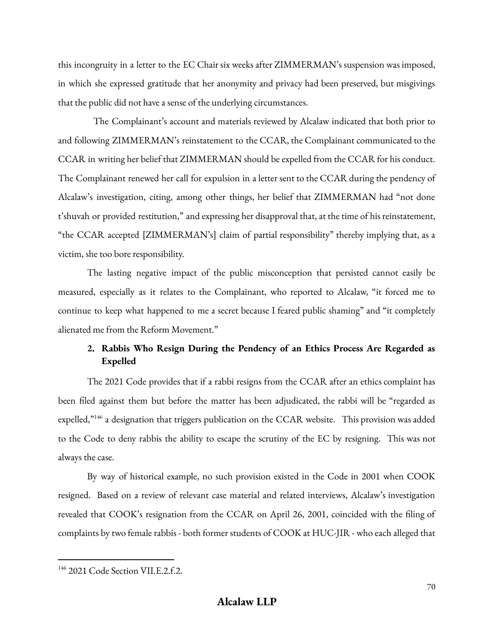this incongruity in a letter to the EC Chair six weeks after ZIMMERMAN's suspension was imposed, in which she expressed gratitude that her anonymity and privacy had been preserved, but misgivings that the public did not have a sense of the underlying circumstances.

The Complainant's account and materials reviewed by Alcalaw indicated that both prior to and following ZIMMERMAN's reinstatement to the CCAR, the Complainant communicated to the CCAR in writing her belief that ZIMMERMAN should be expelled from the CCAR for his conduct. The Complainant renewed her call for expulsion in a letter sent to the CCAR during the pendency of Alcalaw's investigation, citing, among other things, her belief that ZIMMERMAN had "not done t'shuvah or provided restitution," and expressing her disapproval that, at the time of his reinstatement, "the CCAR accepted [ZIMMERMAN's] claim of partial responsibility" thereby implying that, as a victim, she too bore responsibility.

The lasting negative impact of the public misconception that persisted cannot easily be measured, especially as it relates to the Complainant, who reported to Alcalaw, "it forced me to continue to keep what happened to me a secret because I feared public shaming" and "it completely alienated me from the Reform Movement."

## **2. Rabbis Who Resign During the Pendency of an Ethics Process Are Regarded as Expelled**

The 2021 Code provides that if a rabbi resigns from the CCAR after an ethics complaint has been filed against them but before the matter has been adjudicated, the rabbi will be "regarded as expelled,"<sup>146</sup> a designation that triggers publication on the CCAR website. This provision was added to the Code to deny rabbis the ability to escape the scrutiny of the EC by resigning. This was not always the case.

By way of historical example, no such provision existed in the Code in 2001 when COOK resigned. Based on a review of relevant case material and related interviews, Alcalaw's investigation revealed that COOK's resignation from the CCAR on April 26, 2001, coincided with the filing of complaints by two female rabbis - both former students of COOK at HUC-JIR - who each alleged that

<sup>146</sup> 2021 Code Section VII.E.2.f.2.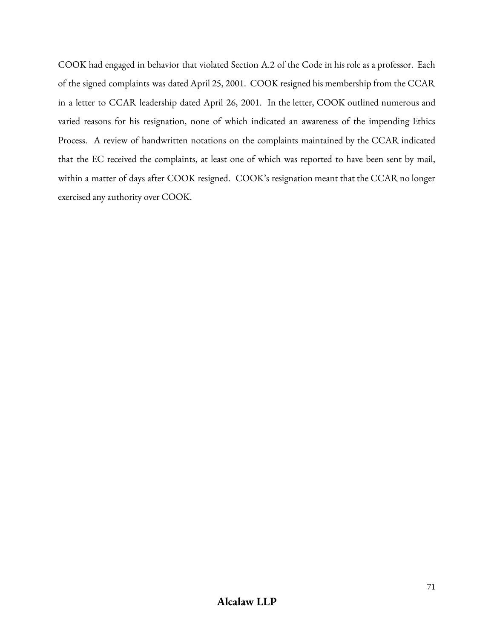COOK had engaged in behavior that violated Section A.2 of the Code in his role as a professor. Each of the signed complaints was dated April 25, 2001. COOK resigned his membership from the CCAR in a letter to CCAR leadership dated April 26, 2001. In the letter, COOK outlined numerous and varied reasons for his resignation, none of which indicated an awareness of the impending Ethics Process. A review of handwritten notations on the complaints maintained by the CCAR indicated that the EC received the complaints, at least one of which was reported to have been sent by mail, within a matter of days after COOK resigned. COOK's resignation meant that the CCAR no longer exercised any authority over COOK.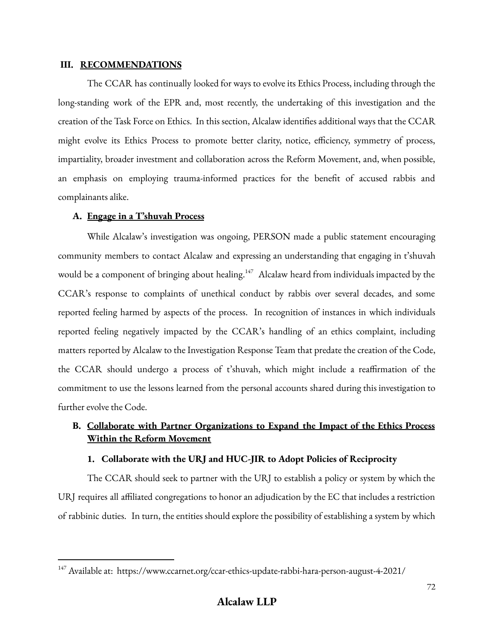#### **III. RECOMMENDATIONS**

The CCAR has continually looked for ways to evolve its Ethics Process, including through the long-standing work of the EPR and, most recently, the undertaking of this investigation and the creation of the Task Force on Ethics. In this section, Alcalaw identifies additional ways that the CCAR might evolve its Ethics Process to promote better clarity, notice, efficiency, symmetry of process, impartiality, broader investment and collaboration across the Reform Movement, and, when possible, an emphasis on employing trauma-informed practices for the benefit of accused rabbis and complainants alike.

### **A. Engage in a T'shuvah Process**

While Alcalaw's investigation was ongoing, PERSON made a public statement encouraging community members to contact Alcalaw and expressing an understanding that engaging in t'shuvah would be a component of bringing about healing. $147$  Alcalaw heard from individuals impacted by the CCAR's response to complaints of unethical conduct by rabbis over several decades, and some reported feeling harmed by aspects of the process. In recognition of instances in which individuals reported feeling negatively impacted by the CCAR's handling of an ethics complaint, including matters reported by Alcalaw to the Investigation Response Team that predate the creation of the Code, the CCAR should undergo a process of t'shuvah, which might include a reaffirmation of the commitment to use the lessons learned from the personal accounts shared during this investigation to further evolve the Code.

# **B. Collaborate with Partner Organizations to Expand the Impact of the Ethics Process Within the Reform Movement**

## **1. Collaborate with the URJ and HUC-JIR to Adopt Policies of Reciprocity**

The CCAR should seek to partner with the URJ to establish a policy or system by which the URJ requires all affiliated congregations to honor an adjudication by the EC that includes a restriction of rabbinic duties. In turn, the entities should explore the possibility of establishing a system by which

<sup>147</sup> Available at: https://www.ccarnet.org/ccar-ethics-update-rabbi-hara-person-august-4-2021/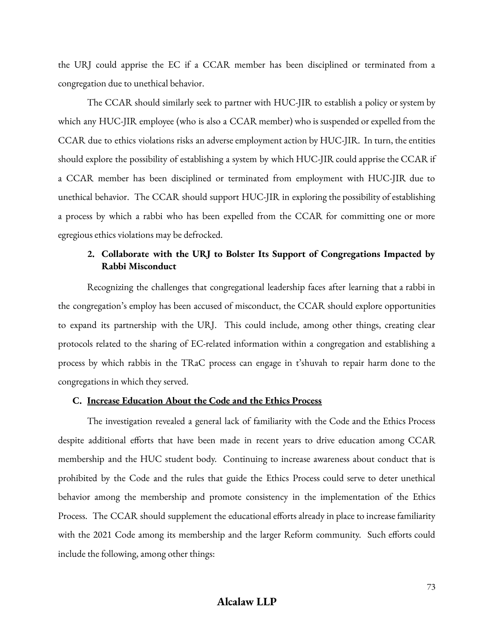the URJ could apprise the EC if a CCAR member has been disciplined or terminated from a congregation due to unethical behavior.

The CCAR should similarly seek to partner with HUC-JIR to establish a policy or system by which any HUC-JIR employee (who is also a CCAR member) who is suspended or expelled from the CCAR due to ethics violations risks an adverse employment action by HUC-JIR. In turn, the entities should explore the possibility of establishing a system by which HUC-JIR could apprise the CCAR if a CCAR member has been disciplined or terminated from employment with HUC-JIR due to unethical behavior. The CCAR should support HUC-JIR in exploring the possibility of establishing a process by which a rabbi who has been expelled from the CCAR for committing one or more egregious ethics violations may be defrocked.

## **2. Collaborate with the URJ to Bolster Its Support of Congregations Impacted by Rabbi Misconduct**

Recognizing the challenges that congregational leadership faces after learning that a rabbi in the congregation's employ has been accused of misconduct, the CCAR should explore opportunities to expand its partnership with the URJ. This could include, among other things, creating clear protocols related to the sharing of EC-related information within a congregation and establishing a process by which rabbis in the TRaC process can engage in t'shuvah to repair harm done to the congregations in which they served.

#### **C. Increase Education About the Code and the Ethics Process**

The investigation revealed a general lack of familiarity with the Code and the Ethics Process despite additional efforts that have been made in recent years to drive education among CCAR membership and the HUC student body. Continuing to increase awareness about conduct that is prohibited by the Code and the rules that guide the Ethics Process could serve to deter unethical behavior among the membership and promote consistency in the implementation of the Ethics Process. The CCAR should supplement the educational efforts already in place to increase familiarity with the 2021 Code among its membership and the larger Reform community. Such efforts could include the following, among other things: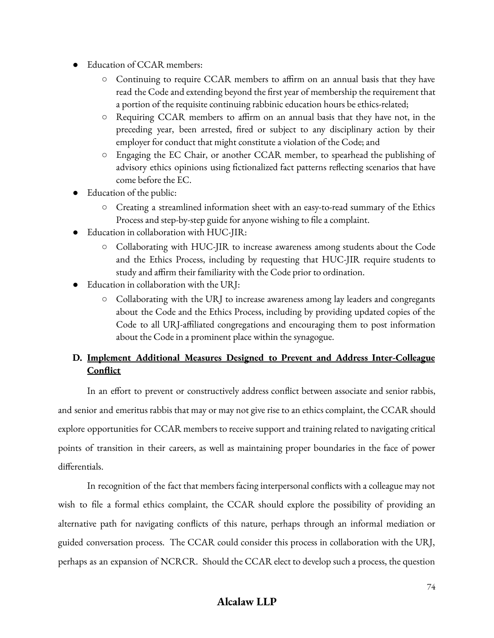- Education of CCAR members:
	- Continuing to require CCAR members to affirm on an annual basis that they have read the Code and extending beyond the first year of membership the requirement that a portion of the requisite continuing rabbinic education hours be ethics-related;
	- Requiring CCAR members to affirm on an annual basis that they have not, in the preceding year, been arrested, fired or subject to any disciplinary action by their employer for conduct that might constitute a violation of the Code; and
	- Engaging the EC Chair, or another CCAR member, to spearhead the publishing of advisory ethics opinions using fictionalized fact patterns reflecting scenarios that have come before the EC.
- Education of the public:
	- Creating a streamlined information sheet with an easy-to-read summary of the Ethics Process and step-by-step guide for anyone wishing to file a complaint.
- Education in collaboration with  $HUC$ -JIR:
	- Collaborating with HUC-JIR to increase awareness among students about the Code and the Ethics Process, including by requesting that HUC-JIR require students to study and affirm their familiarity with the Code prior to ordination.
- Education in collaboration with the URI:
	- Collaborating with the URJ to increase awareness among lay leaders and congregants about the Code and the Ethics Process, including by providing updated copies of the Code to all URJ-affiliated congregations and encouraging them to post information about the Code in a prominent place within the synagogue.

# **D. Implement Additional Measures Designed to Prevent and Address Inter-Colleague Conflict**

In an effort to prevent or constructively address conflict between associate and senior rabbis, and senior and emeritus rabbis that may or may not give rise to an ethics complaint, the CCAR should explore opportunities for CCAR members to receive support and training related to navigating critical points of transition in their careers, as well as maintaining proper boundaries in the face of power differentials.

In recognition of the fact that members facing interpersonal conflicts with a colleague may not wish to file a formal ethics complaint, the CCAR should explore the possibility of providing an alternative path for navigating conflicts of this nature, perhaps through an informal mediation or guided conversation process. The CCAR could consider this process in collaboration with the URJ, perhaps as an expansion of NCRCR. Should the CCAR elect to develop such a process, the question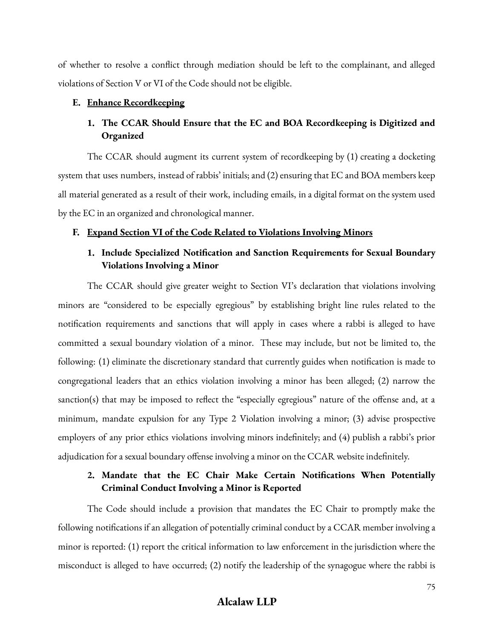of whether to resolve a conflict through mediation should be left to the complainant, and alleged violations of Section V or VI of the Code should not be eligible.

### **E. Enhance Recordkeeping**

## **1. The CCAR Should Ensure that the EC and BOA Recordkeeping is Digitized and Organized**

The CCAR should augment its current system of recordkeeping by (1) creating a docketing system that uses numbers, instead of rabbis' initials; and (2) ensuring that EC and BOA members keep all material generated as a result of their work, including emails, in a digital format on the system used by the EC in an organized and chronological manner.

#### **F. Expand Section VI of the Code Related to Violations Involving Minors**

## **1. Include Specialized Notification and Sanction Requirements for Sexual Boundary Violations Involving a Minor**

The CCAR should give greater weight to Section VI's declaration that violations involving minors are "considered to be especially egregious" by establishing bright line rules related to the notification requirements and sanctions that will apply in cases where a rabbi is alleged to have committed a sexual boundary violation of a minor. These may include, but not be limited to, the following: (1) eliminate the discretionary standard that currently guides when notification is made to congregational leaders that an ethics violation involving a minor has been alleged; (2) narrow the sanction(s) that may be imposed to reflect the "especially egregious" nature of the offense and, at a minimum, mandate expulsion for any Type 2 Violation involving a minor; (3) advise prospective employers of any prior ethics violations involving minors indefinitely; and (4) publish a rabbi's prior adjudication for a sexual boundary offense involving a minor on the CCAR website indefinitely.

## **2. Mandate that the EC Chair Make Certain Notifications When Potentially Criminal Conduct Involving a Minor is Reported**

The Code should include a provision that mandates the EC Chair to promptly make the following notifications if an allegation of potentially criminal conduct by a CCAR member involving a minor is reported: (1) report the critical information to law enforcement in the jurisdiction where the misconduct is alleged to have occurred; (2) notify the leadership of the synagogue where the rabbi is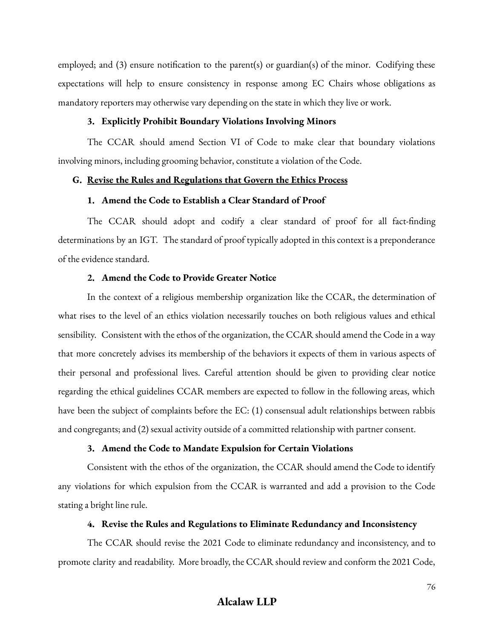employed; and (3) ensure notification to the parent(s) or guardian(s) of the minor. Codifying these expectations will help to ensure consistency in response among EC Chairs whose obligations as mandatory reporters may otherwise vary depending on the state in which they live or work.

### **3. Explicitly Prohibit Boundary Violations Involving Minors**

The CCAR should amend Section VI of Code to make clear that boundary violations involving minors, including grooming behavior, constitute a violation of the Code.

### **G. Revise the Rules and Regulations that Govern the Ethics Process**

### **1. Amend the Code to Establish a Clear Standard of Proof**

The CCAR should adopt and codify a clear standard of proof for all fact-finding determinations by an IGT. The standard of proof typically adopted in this context is a preponderance of the evidence standard.

## **2. Amend the Code to Provide Greater Notice**

In the context of a religious membership organization like the CCAR, the determination of what rises to the level of an ethics violation necessarily touches on both religious values and ethical sensibility. Consistent with the ethos of the organization, the CCAR should amend the Code in a way that more concretely advises its membership of the behaviors it expects of them in various aspects of their personal and professional lives. Careful attention should be given to providing clear notice regarding the ethical guidelines CCAR members are expected to follow in the following areas, which have been the subject of complaints before the EC: (1) consensual adult relationships between rabbis and congregants; and (2) sexual activity outside of a committed relationship with partner consent.

## **3. Amend the Code to Mandate Expulsion for Certain Violations**

Consistent with the ethos of the organization, the CCAR should amend the Code to identify any violations for which expulsion from the CCAR is warranted and add a provision to the Code stating a bright line rule.

## **4. Revise the Rules and Regulations to Eliminate Redundancy and Inconsistency**

The CCAR should revise the 2021 Code to eliminate redundancy and inconsistency, and to promote clarity and readability. More broadly, the CCAR should review and conform the 2021 Code,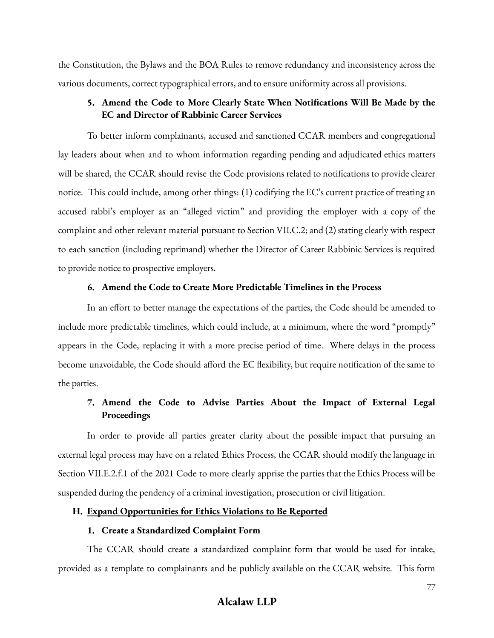the Constitution, the Bylaws and the BOA Rules to remove redundancy and inconsistency across the various documents, correct typographical errors, and to ensure uniformity across all provisions.

## **5. Amend the Code to More Clearly State When Notifications Will Be Made by the EC and Director of Rabbinic Career Services**

To better inform complainants, accused and sanctioned CCAR members and congregational lay leaders about when and to whom information regarding pending and adjudicated ethics matters will be shared, the CCAR should revise the Code provisions related to notifications to provide clearer notice. This could include, among other things: (1) codifying the EC's current practice of treating an accused rabbi's employer as an "alleged victim" and providing the employer with a copy of the complaint and other relevant material pursuant to Section VII.C.2; and (2) stating clearly with respect to each sanction (including reprimand) whether the Director of Career Rabbinic Services is required to provide notice to prospective employers.

### **6. Amend the Code to Create More Predictable Timelines in the Process**

In an effort to better manage the expectations of the parties, the Code should be amended to include more predictable timelines, which could include, at a minimum, where the word "promptly" appears in the Code, replacing it with a more precise period of time. Where delays in the process become unavoidable, the Code should afford the EC flexibility, but require notification of the same to the parties.

## **7. Amend the Code to Advise Parties About the Impact of External Legal Proceedings**

In order to provide all parties greater clarity about the possible impact that pursuing an external legal process may have on a related Ethics Process, the CCAR should modify the language in Section VII.E.2.f.1 of the 2021 Code to more clearly apprise the parties that the Ethics Process will be suspended during the pendency of a criminal investigation, prosecution or civil litigation.

### **H. Expand Opportunities for Ethics Violations to Be Reported**

#### **1. Create a Standardized Complaint Form**

The CCAR should create a standardized complaint form that would be used for intake, provided as a template to complainants and be publicly available on the CCAR website. This form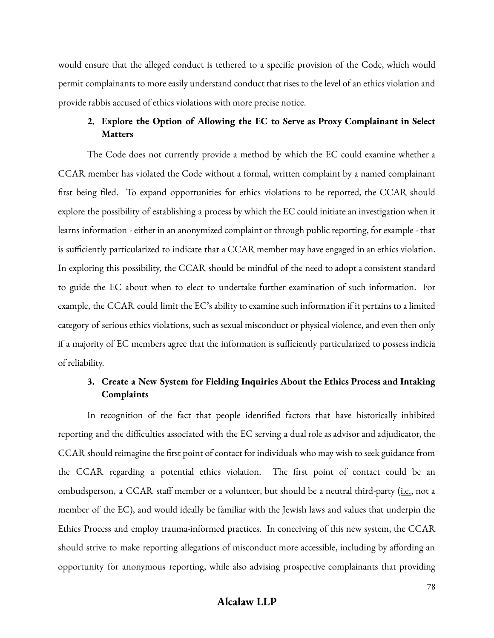would ensure that the alleged conduct is tethered to a specific provision of the Code, which would permit complainants to more easily understand conduct that rises to the level of an ethics violation and provide rabbis accused of ethics violations with more precise notice.

## **2. Explore the Option of Allowing the EC to Serve as Proxy Complainant in Select Matters**

The Code does not currently provide a method by which the EC could examine whether a CCAR member has violated the Code without a formal, written complaint by a named complainant first being filed. To expand opportunities for ethics violations to be reported, the CCAR should explore the possibility of establishing a process by which the EC could initiate an investigation when it learns information - either in an anonymized complaint or through public reporting, for example - that is sufficiently particularized to indicate that a CCAR member may have engaged in an ethics violation. In exploring this possibility, the CCAR should be mindful of the need to adopt a consistent standard to guide the EC about when to elect to undertake further examination of such information. For example, the CCAR could limit the EC's ability to examine such information if it pertains to a limited category of serious ethics violations, such as sexual misconduct or physical violence, and even then only if a majority of EC members agree that the information is sufficiently particularized to possess indicia of reliability.

## **3. Create a New System for Fielding Inquiries About the Ethics Process and Intaking Complaints**

In recognition of the fact that people identified factors that have historically inhibited reporting and the difficulties associated with the EC serving a dual role as advisor and adjudicator, the CCAR should reimagine the first point of contact for individuals who may wish to seek guidance from the CCAR regarding a potential ethics violation. The first point of contact could be an ombudsperson, a CCAR staff member or a volunteer, but should be a neutral third-party (i.e., not a member of the EC), and would ideally be familiar with the Jewish laws and values that underpin the Ethics Process and employ trauma-informed practices. In conceiving of this new system, the CCAR should strive to make reporting allegations of misconduct more accessible, including by affording an opportunity for anonymous reporting, while also advising prospective complainants that providing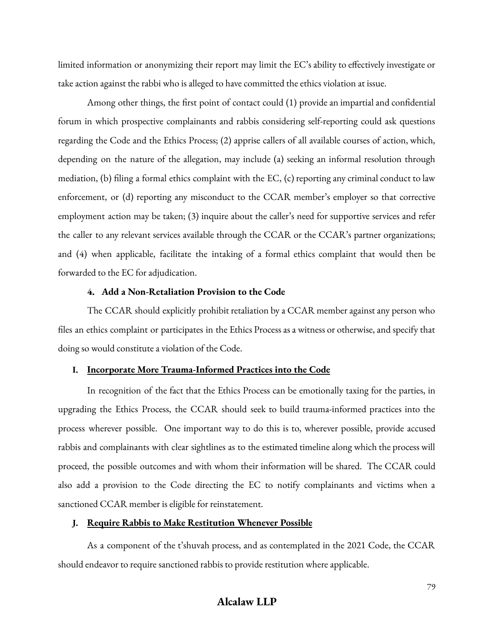limited information or anonymizing their report may limit the EC's ability to effectively investigate or take action against the rabbi who is alleged to have committed the ethics violation at issue.

Among other things, the first point of contact could (1) provide an impartial and confidential forum in which prospective complainants and rabbis considering self-reporting could ask questions regarding the Code and the Ethics Process; (2) apprise callers of all available courses of action, which, depending on the nature of the allegation, may include (a) seeking an informal resolution through mediation, (b) filing a formal ethics complaint with the EC, (c) reporting any criminal conduct to law enforcement, or (d) reporting any misconduct to the CCAR member's employer so that corrective employment action may be taken; (3) inquire about the caller's need for supportive services and refer the caller to any relevant services available through the CCAR or the CCAR's partner organizations; and (4) when applicable, facilitate the intaking of a formal ethics complaint that would then be forwarded to the EC for adjudication.

### **4. Add a Non-Retaliation Provision to the Code**

The CCAR should explicitly prohibit retaliation by a CCAR member against any person who files an ethics complaint or participates in the Ethics Process as a witness or otherwise, and specify that doing so would constitute a violation of the Code.

#### **I. Incorporate More Trauma-Informed Practices into the Code**

In recognition of the fact that the Ethics Process can be emotionally taxing for the parties, in upgrading the Ethics Process, the CCAR should seek to build trauma-informed practices into the process wherever possible. One important way to do this is to, wherever possible, provide accused rabbis and complainants with clear sightlines as to the estimated timeline along which the process will proceed, the possible outcomes and with whom their information will be shared. The CCAR could also add a provision to the Code directing the EC to notify complainants and victims when a sanctioned CCAR member is eligible for reinstatement.

#### **J. Require Rabbis to Make Restitution Whenever Possible**

As a component of the t'shuvah process, and as contemplated in the 2021 Code, the CCAR should endeavor to require sanctioned rabbis to provide restitution where applicable.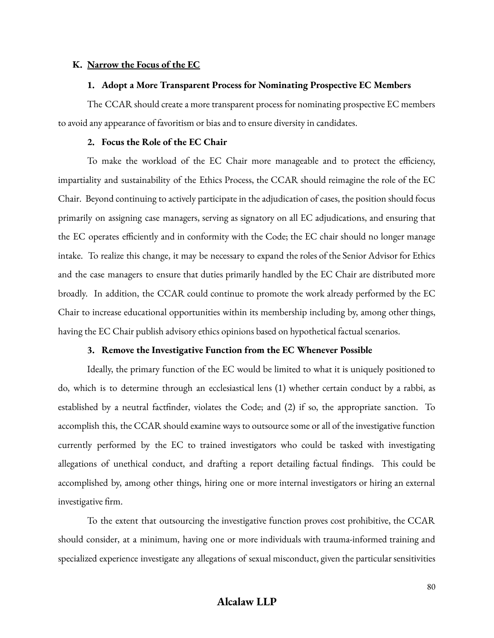#### **K. Narrow the Focus of the EC**

#### **1. Adopt a More Transparent Process for Nominating Prospective EC Members**

The CCAR should create a more transparent process for nominating prospective EC members to avoid any appearance of favoritism or bias and to ensure diversity in candidates.

#### **2. Focus the Role of the EC Chair**

To make the workload of the EC Chair more manageable and to protect the efficiency, impartiality and sustainability of the Ethics Process, the CCAR should reimagine the role of the EC Chair. Beyond continuing to actively participate in the adjudication of cases, the position should focus primarily on assigning case managers, serving as signatory on all EC adjudications, and ensuring that the EC operates efficiently and in conformity with the Code; the EC chair should no longer manage intake. To realize this change, it may be necessary to expand the roles of the Senior Advisor for Ethics and the case managers to ensure that duties primarily handled by the EC Chair are distributed more broadly. In addition, the CCAR could continue to promote the work already performed by the EC Chair to increase educational opportunities within its membership including by, among other things, having the EC Chair publish advisory ethics opinions based on hypothetical factual scenarios.

### **3. Remove the Investigative Function from the EC Whenever Possible**

Ideally, the primary function of the EC would be limited to what it is uniquely positioned to do, which is to determine through an ecclesiastical lens (1) whether certain conduct by a rabbi, as established by a neutral factfinder, violates the Code; and (2) if so, the appropriate sanction. To accomplish this, the CCAR should examine ways to outsource some or all of the investigative function currently performed by the EC to trained investigators who could be tasked with investigating allegations of unethical conduct, and drafting a report detailing factual findings. This could be accomplished by, among other things, hiring one or more internal investigators or hiring an external investigative firm.

To the extent that outsourcing the investigative function proves cost prohibitive, the CCAR should consider, at a minimum, having one or more individuals with trauma-informed training and specialized experience investigate any allegations of sexual misconduct, given the particular sensitivities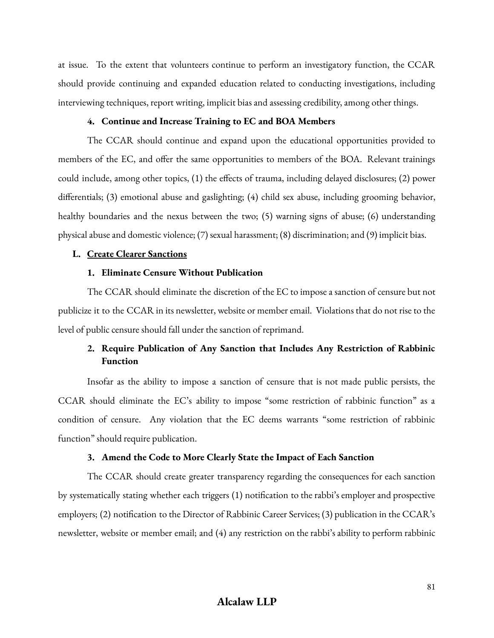at issue. To the extent that volunteers continue to perform an investigatory function, the CCAR should provide continuing and expanded education related to conducting investigations, including interviewing techniques, report writing, implicit bias and assessing credibility, among other things.

#### **4. Continue and Increase Training to EC and BOA Members**

The CCAR should continue and expand upon the educational opportunities provided to members of the EC, and offer the same opportunities to members of the BOA. Relevant trainings could include, among other topics, (1) the effects of trauma, including delayed disclosures; (2) power differentials; (3) emotional abuse and gaslighting; (4) child sex abuse, including grooming behavior, healthy boundaries and the nexus between the two; (5) warning signs of abuse; (6) understanding physical abuse and domestic violence; (7) sexual harassment; (8) discrimination; and (9) implicit bias.

#### **L. Create Clearer Sanctions**

#### **1. Eliminate Censure Without Publication**

The CCAR should eliminate the discretion of the EC to impose a sanction of censure but not publicize it to the CCAR in its newsletter, website or member email. Violations that do not rise to the level of public censure should fall under the sanction of reprimand.

## **2. Require Publication of Any Sanction that Includes Any Restriction of Rabbinic Function**

Insofar as the ability to impose a sanction of censure that is not made public persists, the CCAR should eliminate the EC's ability to impose "some restriction of rabbinic function" as a condition of censure. Any violation that the EC deems warrants "some restriction of rabbinic function" should require publication.

#### **3. Amend the Code to More Clearly State the Impact of Each Sanction**

The CCAR should create greater transparency regarding the consequences for each sanction by systematically stating whether each triggers (1) notification to the rabbi's employer and prospective employers; (2) notification to the Director of Rabbinic Career Services; (3) publication in the CCAR's newsletter, website or member email; and (4) any restriction on the rabbi's ability to perform rabbinic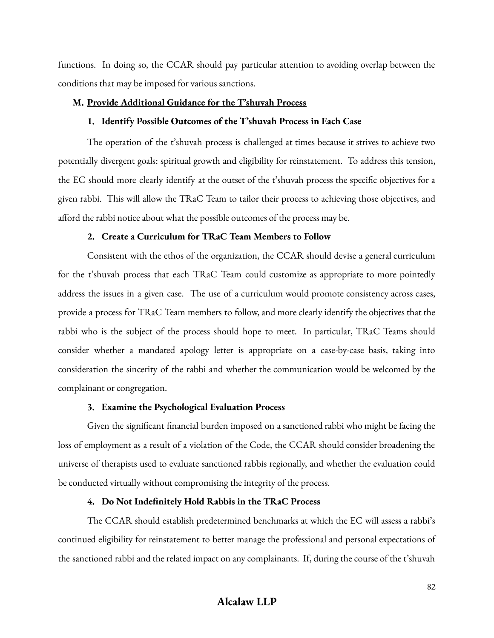functions. In doing so, the CCAR should pay particular attention to avoiding overlap between the conditions that may be imposed for various sanctions.

### **M. Provide Additional Guidance for the T'shuvah Process**

#### **1. Identify Possible Outcomes of the T'shuvah Process in Each Case**

The operation of the t'shuvah process is challenged at times because it strives to achieve two potentially divergent goals: spiritual growth and eligibility for reinstatement. To address this tension, the EC should more clearly identify at the outset of the t'shuvah process the specific objectives for a given rabbi. This will allow the TRaC Team to tailor their process to achieving those objectives, and afford the rabbi notice about what the possible outcomes of the process may be.

### **2. Create a Curriculum for TRaC Team Members to Follow**

Consistent with the ethos of the organization, the CCAR should devise a general curriculum for the t'shuvah process that each TRaC Team could customize as appropriate to more pointedly address the issues in a given case. The use of a curriculum would promote consistency across cases, provide a process for TRaC Team members to follow, and more clearly identify the objectives that the rabbi who is the subject of the process should hope to meet. In particular, TRaC Teams should consider whether a mandated apology letter is appropriate on a case-by-case basis, taking into consideration the sincerity of the rabbi and whether the communication would be welcomed by the complainant or congregation.

### **3. Examine the Psychological Evaluation Process**

Given the significant financial burden imposed on a sanctioned rabbi who might be facing the loss of employment as a result of a violation of the Code, the CCAR should consider broadening the universe of therapists used to evaluate sanctioned rabbis regionally, and whether the evaluation could be conducted virtually without compromising the integrity of the process.

#### **4. Do Not Indefinitely Hold Rabbis in the TRaC Process**

The CCAR should establish predetermined benchmarks at which the EC will assess a rabbi's continued eligibility for reinstatement to better manage the professional and personal expectations of the sanctioned rabbi and the related impact on any complainants. If, during the course of the t'shuvah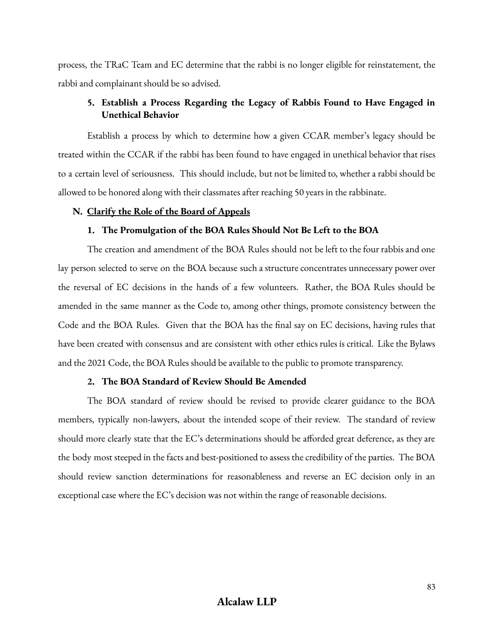process, the TRaC Team and EC determine that the rabbi is no longer eligible for reinstatement, the rabbi and complainant should be so advised.

## **5. Establish a Process Regarding the Legacy of Rabbis Found to Have Engaged in Unethical Behavior**

Establish a process by which to determine how a given CCAR member's legacy should be treated within the CCAR if the rabbi has been found to have engaged in unethical behavior that rises to a certain level of seriousness. This should include, but not be limited to, whether a rabbi should be allowed to be honored along with their classmates after reaching 50 years in the rabbinate.

#### **N. Clarify the Role of the Board of Appeals**

### **1. The Promulgation of the BOA Rules Should Not Be Left to the BOA**

The creation and amendment of the BOA Rules should not be left to the four rabbis and one lay person selected to serve on the BOA because such a structure concentrates unnecessary power over the reversal of EC decisions in the hands of a few volunteers. Rather, the BOA Rules should be amended in the same manner as the Code to, among other things, promote consistency between the Code and the BOA Rules. Given that the BOA has the final say on EC decisions, having rules that have been created with consensus and are consistent with other ethics rules is critical. Like the Bylaws and the 2021 Code, the BOA Rules should be available to the public to promote transparency.

#### **2. The BOA Standard of Review Should Be Amended**

The BOA standard of review should be revised to provide clearer guidance to the BOA members, typically non-lawyers, about the intended scope of their review. The standard of review should more clearly state that the EC's determinations should be afforded great deference, as they are the body most steeped in the facts and best-positioned to assess the credibility of the parties. The BOA should review sanction determinations for reasonableness and reverse an EC decision only in an exceptional case where the EC's decision was not within the range of reasonable decisions.